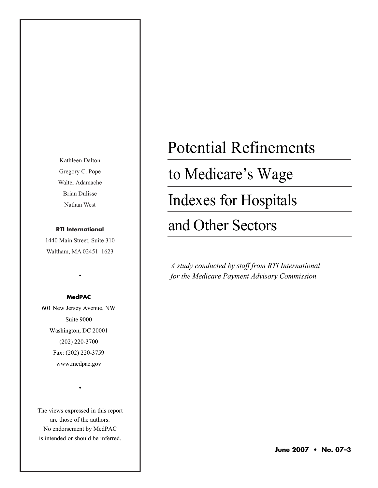Kathleen Dalton Gregory C. Pope Walter Adamache Brian Dulisse Nathan West

#### **RTI International**

1440 Main Street, Suite 310 Waltham, MA 02451–1623

#### **MedPAC**

•

601 New Jersey Avenue, NW Suite 9000 Washington, DC 20001 (202) 220-3700 Fax: (202) 220-3759 www.medpac.gov

The views expressed in this report are those of the authors. No endorsement by MedPAC is intended or should be inferred.

•

# Potential Refinements

to Medicare's Wage

Indexes for Hospitals

# and Other Sectors

*A study conducted by staff from RTI International for the Medicare Payment Advisory Commission*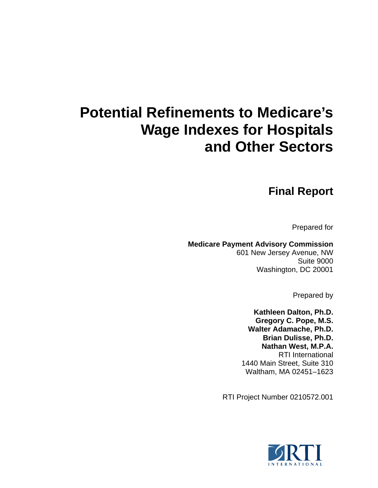# **Potential Refinements to Medicare's Wage Indexes for Hospitals and Other Sectors**

# **Final Report**

Prepared for

**Medicare Payment Advisory Commission**  601 New Jersey Avenue, NW Suite 9000 Washington, DC 20001

Prepared by

**Kathleen Dalton, Ph.D. Gregory C. Pope, M.S. Walter Adamache, Ph.D. Brian Dulisse, Ph.D. Nathan West, M.P.A.**  RTI International 1440 Main Street, Suite 310 Waltham, MA 02451–1623

RTI Project Number 0210572.001

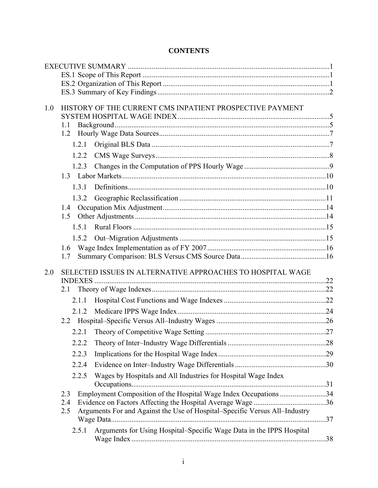# **CONTENTS**

| 1.0 | HISTORY OF THE CURRENT CMS INPATIENT PROSPECTIVE PAYMENT                          |  |
|-----|-----------------------------------------------------------------------------------|--|
|     |                                                                                   |  |
|     | 1.1                                                                               |  |
|     | 1.2                                                                               |  |
|     | 1.2.1                                                                             |  |
|     | 1.2.2                                                                             |  |
|     | 1.2.3                                                                             |  |
|     |                                                                                   |  |
|     | 1.3.1                                                                             |  |
|     | 1.3.2                                                                             |  |
|     | 1.4                                                                               |  |
|     | 1.5                                                                               |  |
|     | 1.5.1                                                                             |  |
|     | 1.5.2                                                                             |  |
|     | 1.6                                                                               |  |
|     | 1.7                                                                               |  |
| 2.0 | SELECTED ISSUES IN ALTERNATIVE APPROACHES TO HOSPITAL WAGE                        |  |
|     |                                                                                   |  |
|     |                                                                                   |  |
|     | 2.1.1                                                                             |  |
|     | 2.1.2                                                                             |  |
|     |                                                                                   |  |
|     |                                                                                   |  |
|     | 2.2.2                                                                             |  |
|     | 2.2.3                                                                             |  |
|     | 2.2.4                                                                             |  |
|     | 2.2.5                                                                             |  |
|     | Wages by Hospitals and All Industries for Hospital Wage Index                     |  |
|     | Employment Composition of the Hospital Wage Index Occupations34<br>2.3            |  |
|     | 2.4                                                                               |  |
|     | Arguments For and Against the Use of Hospital–Specific Versus All–Industry<br>2.5 |  |
|     |                                                                                   |  |
|     | Arguments for Using Hospital-Specific Wage Data in the IPPS Hospital<br>2.5.1     |  |
|     |                                                                                   |  |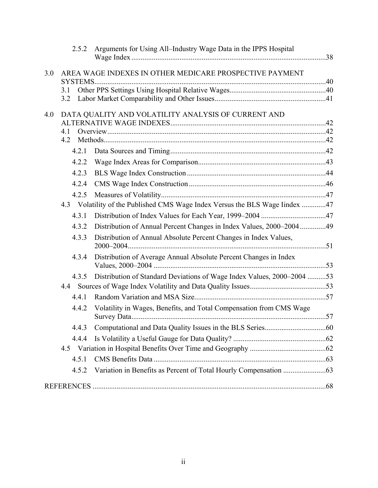|     | 2.5.2      | Arguments for Using All–Industry Wage Data in the IPPS Hospital             |  |
|-----|------------|-----------------------------------------------------------------------------|--|
| 3.0 |            | AREA WAGE INDEXES IN OTHER MEDICARE PROSPECTIVE PAYMENT                     |  |
|     | 3.1        |                                                                             |  |
|     | 3.2        |                                                                             |  |
| 4.0 |            | DATA QUALITY AND VOLATILITY ANALYSIS OF CURRENT AND                         |  |
|     |            |                                                                             |  |
|     | 4.1<br>4.2 |                                                                             |  |
|     | 4.2.1      |                                                                             |  |
|     | 4.2.2      |                                                                             |  |
|     | 4.2.3      |                                                                             |  |
|     | 4.2.4      |                                                                             |  |
|     | 4.2.5      |                                                                             |  |
|     |            | 4.3 Volatility of the Published CMS Wage Index Versus the BLS Wage Index 47 |  |
|     | 4.3.1      |                                                                             |  |
|     | 4.3.2      | Distribution of Annual Percent Changes in Index Values, 2000–200449         |  |
|     | 4.3.3      | Distribution of Annual Absolute Percent Changes in Index Values,            |  |
|     | 4.3.4      | Distribution of Average Annual Absolute Percent Changes in Index            |  |
|     | 4.3.5      | Distribution of Standard Deviations of Wage Index Values, 2000–2004 53      |  |
|     |            |                                                                             |  |
|     | 4.4.1      |                                                                             |  |
|     | 4.4.2      | Volatility in Wages, Benefits, and Total Compensation from CMS Wage         |  |
|     | 4.4.3      |                                                                             |  |
|     | 4.4.4      |                                                                             |  |
|     |            |                                                                             |  |
|     | 4.5.1      |                                                                             |  |
|     | 4.5.2      |                                                                             |  |
|     |            |                                                                             |  |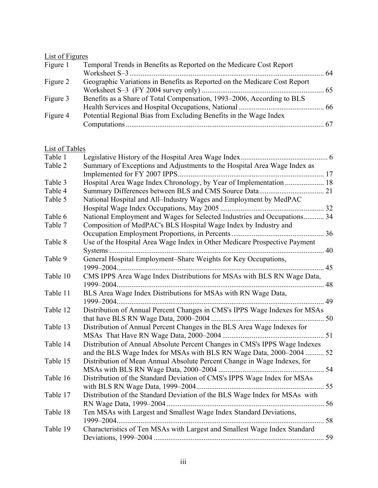# List of Figures

| Figure 1 | Temporal Trends in Benefits as Reported on the Medicare Cost Report       |  |
|----------|---------------------------------------------------------------------------|--|
|          |                                                                           |  |
| Figure 2 | Geographic Variations in Benefits as Reported on the Medicare Cost Report |  |
|          |                                                                           |  |
| Figure 3 | Benefits as a Share of Total Compensation, 1993–2006, According to BLS    |  |
|          |                                                                           |  |
| Figure 4 | Potential Regional Bias from Excluding Benefits in the Wage Index         |  |
|          |                                                                           |  |
|          |                                                                           |  |

# List of Tables

| Table 1  |                                                                                                                                                    |    |
|----------|----------------------------------------------------------------------------------------------------------------------------------------------------|----|
| Table 2  | Summary of Exceptions and Adjustments to the Hospital Area Wage Index as                                                                           |    |
| Table 3  | Hospital Area Wage Index Chronology, by Year of Implementation  18                                                                                 |    |
| Table 4  |                                                                                                                                                    |    |
| Table 5  | National Hospital and All-Industry Wages and Employment by MedPAC                                                                                  |    |
|          |                                                                                                                                                    |    |
| Table 6  | National Employment and Wages for Selected Industries and Occupations 34                                                                           |    |
| Table 7  | Composition of MedPAC's BLS Hospital Wage Index by Industry and                                                                                    |    |
|          |                                                                                                                                                    |    |
| Table 8  | Use of the Hospital Area Wage Index in Other Medicare Prospective Payment                                                                          |    |
|          |                                                                                                                                                    |    |
| Table 9  | General Hospital Employment-Share Weights for Key Occupations,                                                                                     |    |
|          |                                                                                                                                                    |    |
| Table 10 | CMS IPPS Area Wage Index Distributions for MSAs with BLS RN Wage Data,<br>1999-2004                                                                | 48 |
| Table 11 | BLS Area Wage Index Distributions for MSAs with RN Wage Data,                                                                                      |    |
|          |                                                                                                                                                    |    |
| Table 12 | Distribution of Annual Percent Changes in CMS's IPPS Wage Indexes for MSAs                                                                         |    |
| Table 13 | Distribution of Annual Percent Changes in the BLS Area Wage Indexes for                                                                            |    |
| Table 14 | Distribution of Annual Absolute Percent Changes in CMS's IPPS Wage Indexes<br>and the BLS Wage Index for MSAs with BLS RN Wage Data, 2000–2004  52 |    |
| Table 15 | Distribution of Mean Annual Absolute Percent Change in Wage Indexes, for                                                                           |    |
|          |                                                                                                                                                    |    |
| Table 16 | Distribution of the Standard Deviation of CMS's IPPS Wage Index for MSAs                                                                           |    |
|          | with BLS RN Wage Data, 1999–2004                                                                                                                   |    |
| Table 17 | Distribution of the Standard Deviation of the BLS Wage Index for MSAs with                                                                         |    |
|          |                                                                                                                                                    |    |
| Table 18 | Ten MSAs with Largest and Smallest Wage Index Standard Deviations,                                                                                 |    |
|          |                                                                                                                                                    | 58 |
| Table 19 | Characteristics of Ten MSAs with Largest and Smallest Wage Index Standard                                                                          |    |
|          |                                                                                                                                                    | 59 |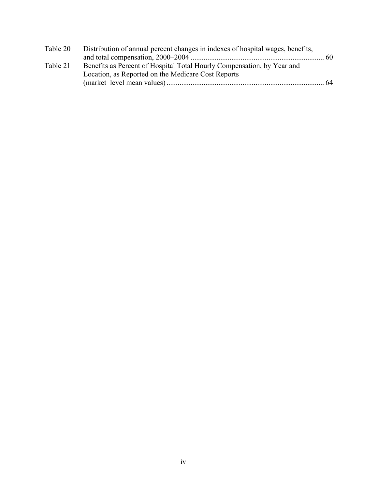| Table 20 | Distribution of annual percent changes in indexes of hospital wages, benefits, |     |
|----------|--------------------------------------------------------------------------------|-----|
|          |                                                                                |     |
| Table 21 | Benefits as Percent of Hospital Total Hourly Compensation, by Year and         |     |
|          | Location, as Reported on the Medicare Cost Reports                             |     |
|          |                                                                                | -64 |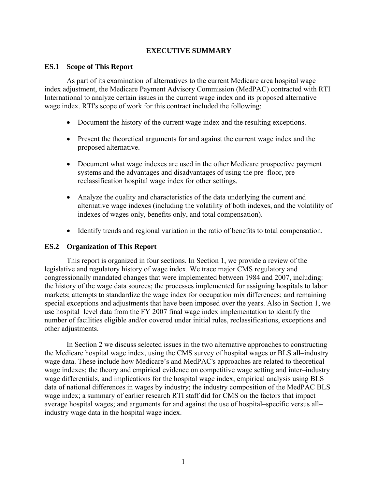# **EXECUTIVE SUMMARY**

#### <span id="page-6-0"></span>**ES.1 Scope of This Report**

As part of its examination of alternatives to the current Medicare area hospital wage index adjustment, the Medicare Payment Advisory Commission (MedPAC) contracted with RTI International to analyze certain issues in the current wage index and its proposed alternative wage index. RTI's scope of work for this contract included the following:

- Document the history of the current wage index and the resulting exceptions.
- Present the theoretical arguments for and against the current wage index and the proposed alternative.
- Document what wage indexes are used in the other Medicare prospective payment systems and the advantages and disadvantages of using the pre–floor, pre– reclassification hospital wage index for other settings.
- Analyze the quality and characteristics of the data underlying the current and alternative wage indexes (including the volatility of both indexes, and the volatility of indexes of wages only, benefits only, and total compensation).
- Identify trends and regional variation in the ratio of benefits to total compensation.

#### **ES.2 Organization of This Report**

This report is organized in four sections. In Section 1, we provide a review of the legislative and regulatory history of wage index. We trace major CMS regulatory and congressionally mandated changes that were implemented between 1984 and 2007, including: the history of the wage data sources; the processes implemented for assigning hospitals to labor markets; attempts to standardize the wage index for occupation mix differences; and remaining special exceptions and adjustments that have been imposed over the years. Also in Section 1, we use hospital–level data from the FY 2007 final wage index implementation to identify the number of facilities eligible and/or covered under initial rules, reclassifications, exceptions and other adjustments.

In Section 2 we discuss selected issues in the two alternative approaches to constructing the Medicare hospital wage index, using the CMS survey of hospital wages or BLS all–industry wage data. These include how Medicare's and MedPAC's approaches are related to theoretical wage indexes; the theory and empirical evidence on competitive wage setting and inter–industry wage differentials, and implications for the hospital wage index; empirical analysis using BLS data of national differences in wages by industry; the industry composition of the MedPAC BLS wage index; a summary of earlier research RTI staff did for CMS on the factors that impact average hospital wages; and arguments for and against the use of hospital–specific versus all– industry wage data in the hospital wage index.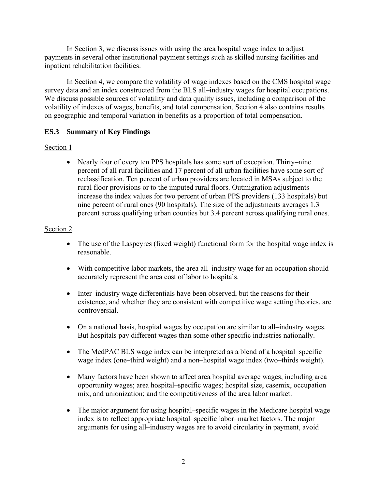<span id="page-7-0"></span>In Section 3, we discuss issues with using the area hospital wage index to adjust payments in several other institutional payment settings such as skilled nursing facilities and inpatient rehabilitation facilities.

In Section 4, we compare the volatility of wage indexes based on the CMS hospital wage survey data and an index constructed from the BLS all–industry wages for hospital occupations. We discuss possible sources of volatility and data quality issues, including a comparison of the volatility of indexes of wages, benefits, and total compensation. Section 4 also contains results on geographic and temporal variation in benefits as a proportion of total compensation.

# **ES.3 Summary of Key Findings**

# Section 1

• Nearly four of every ten PPS hospitals has some sort of exception. Thirty–nine percent of all rural facilities and 17 percent of all urban facilities have some sort of reclassification. Ten percent of urban providers are located in MSAs subject to the rural floor provisions or to the imputed rural floors. Outmigration adjustments increase the index values for two percent of urban PPS providers (133 hospitals) but nine percent of rural ones (90 hospitals). The size of the adjustments averages 1.3 percent across qualifying urban counties but 3.4 percent across qualifying rural ones.

# Section 2

- The use of the Laspeyres (fixed weight) functional form for the hospital wage index is reasonable.
- With competitive labor markets, the area all-industry wage for an occupation should accurately represent the area cost of labor to hospitals.
- Inter–industry wage differentials have been observed, but the reasons for their existence, and whether they are consistent with competitive wage setting theories, are controversial.
- On a national basis, hospital wages by occupation are similar to all-industry wages. But hospitals pay different wages than some other specific industries nationally.
- The MedPAC BLS wage index can be interpreted as a blend of a hospital–specific wage index (one–third weight) and a non–hospital wage index (two–thirds weight).
- Many factors have been shown to affect area hospital average wages, including area opportunity wages; area hospital–specific wages; hospital size, casemix, occupation mix, and unionization; and the competitiveness of the area labor market.
- The major argument for using hospital–specific wages in the Medicare hospital wage index is to reflect appropriate hospital–specific labor–market factors. The major arguments for using all–industry wages are to avoid circularity in payment, avoid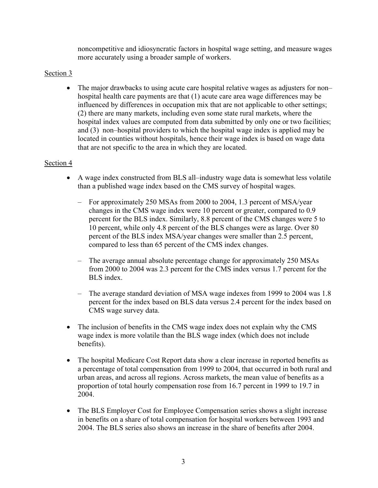noncompetitive and idiosyncratic factors in hospital wage setting, and measure wages more accurately using a broader sample of workers.

# Section 3

• The major drawbacks to using acute care hospital relative wages as adjusters for non– hospital health care payments are that (1) acute care area wage differences may be influenced by differences in occupation mix that are not applicable to other settings; (2) there are many markets, including even some state rural markets, where the hospital index values are computed from data submitted by only one or two facilities; and (3) non–hospital providers to which the hospital wage index is applied may be located in counties without hospitals, hence their wage index is based on wage data that are not specific to the area in which they are located.

#### Section 4

- A wage index constructed from BLS all–industry wage data is somewhat less volatile than a published wage index based on the CMS survey of hospital wages.
	- For approximately 250 MSAs from 2000 to 2004, 1.3 percent of MSA/year changes in the CMS wage index were 10 percent or greater, compared to 0.9 percent for the BLS index. Similarly, 8.8 percent of the CMS changes were 5 to 10 percent, while only 4.8 percent of the BLS changes were as large. Over 80 percent of the BLS index MSA/year changes were smaller than 2.5 percent, compared to less than 65 percent of the CMS index changes.
	- The average annual absolute percentage change for approximately 250 MSAs from 2000 to 2004 was 2.3 percent for the CMS index versus 1.7 percent for the BLS index.
	- The average standard deviation of MSA wage indexes from 1999 to 2004 was 1.8 percent for the index based on BLS data versus 2.4 percent for the index based on CMS wage survey data.
- The inclusion of benefits in the CMS wage index does not explain why the CMS wage index is more volatile than the BLS wage index (which does not include benefits).
- The hospital Medicare Cost Report data show a clear increase in reported benefits as a percentage of total compensation from 1999 to 2004, that occurred in both rural and urban areas, and across all regions. Across markets, the mean value of benefits as a proportion of total hourly compensation rose from 16.7 percent in 1999 to 19.7 in 2004.
- The BLS Employer Cost for Employee Compensation series shows a slight increase in benefits on a share of total compensation for hospital workers between 1993 and 2004. The BLS series also shows an increase in the share of benefits after 2004.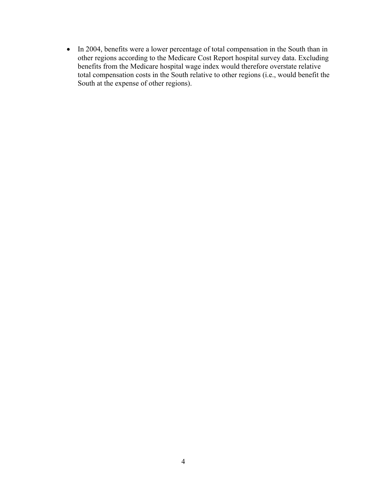• In 2004, benefits were a lower percentage of total compensation in the South than in other regions according to the Medicare Cost Report hospital survey data. Excluding benefits from the Medicare hospital wage index would therefore overstate relative total compensation costs in the South relative to other regions (i.e., would benefit the South at the expense of other regions).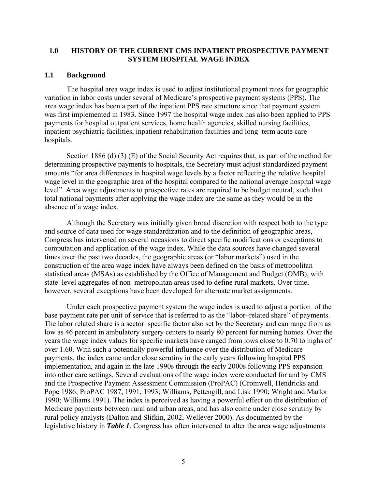### <span id="page-10-0"></span>**1.0 HISTORY OF THE CURRENT CMS INPATIENT PROSPECTIVE PAYMENT SYSTEM HOSPITAL WAGE INDEX**

#### **1.1 Background**

The hospital area wage index is used to adjust institutional payment rates for geographic variation in labor costs under several of Medicare's prospective payment systems (PPS). The area wage index has been a part of the inpatient PPS rate structure since that payment system was first implemented in 1983. Since 1997 the hospital wage index has also been applied to PPS payments for hospital outpatient services, home health agencies, skilled nursing facilities, inpatient psychiatric facilities, inpatient rehabilitation facilities and long–term acute care hospitals.

Section 1886 (d) (3) (E) of the Social Security Act requires that, as part of the method for determining prospective payments to hospitals, the Secretary must adjust standardized payment amounts "for area differences in hospital wage levels by a factor reflecting the relative hospital wage level in the geographic area of the hospital compared to the national average hospital wage level". Area wage adjustments to prospective rates are required to be budget neutral, such that total national payments after applying the wage index are the same as they would be in the absence of a wage index.

Although the Secretary was initially given broad discretion with respect both to the type and source of data used for wage standardization and to the definition of geographic areas, Congress has intervened on several occasions to direct specific modifications or exceptions to computation and application of the wage index. While the data sources have changed several times over the past two decades, the geographic areas (or "labor markets") used in the construction of the area wage index have always been defined on the basis of metropolitan statistical areas (MSAs) as established by the Office of Management and Budget (OMB), with state–level aggregates of non–metropolitan areas used to define rural markets. Over time, however, several exceptions have been developed for alternate market assignments.

Under each prospective payment system the wage index is used to adjust a portion of the base payment rate per unit of service that is referred to as the "labor–related share" of payments. The labor related share is a sector–specific factor also set by the Secretary and can range from as low as 46 percent in ambulatory surgery centers to nearly 80 percent for nursing homes. Over the years the wage index values for specific markets have ranged from lows close to 0.70 to highs of over 1.60. With such a potentially powerful influence over the distribution of Medicare payments, the index came under close scrutiny in the early years following hospital PPS implementation, and again in the late 1990s through the early 2000s following PPS expansion into other care settings. Several evaluations of the wage index were conducted for and by CMS and the Prospective Payment Assessment Commission (ProPAC) (Cromwell, Hendricks and Pope 1986; ProPAC 1987, 1991, 1993; Williams, Pettengill, and Lisk 1990; Wright and Marlor 1990; Williams 1991). The index is perceived as having a powerful effect on the distribution of Medicare payments between rural and urban areas, and has also come under close scrutiny by rural policy analysts (Dalton and Slifkin, 2002, Wellever 2000). As documented by the legislative history in *Table 1*, Congress has often intervened to alter the area wage adjustments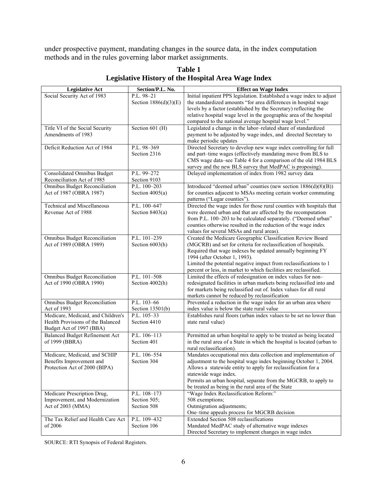<span id="page-11-0"></span>under prospective payment, mandating changes in the source data, in the index computation methods and in the rules governing labor market assignments.

| Social Security Act of 1983<br>Initial inpatient PPS legislation. Established a wage index to adjust<br>P.L. 98-21<br>the standardized amounts "for area differences in hospital wage<br>Section $1886(d)(3)(E)$<br>levels by a factor (established by the Secretary) reflecting the<br>relative hospital wage level in the geographic area of the hospital<br>compared to the national average hospital wage level."<br>Legislated a change in the labor-related share of standardized<br>Section 601 (H)<br>Title VI of the Social Security<br>Amendments of 1983<br>payment to be adjusted by wage index, and directed Secretary to<br>make periodic updates<br>P.L. 98-369<br>Directed Secretary to develop new wage index controlling for full<br>Deficit Reduction Act of 1984<br>Section 2316<br>and part-time wages (effectively mandating move from BLS to<br>CMS wage data-see Table 4 for a comparison of the old 1984 BLS<br>survey and the new BLS survey that MedPAC is proposing).<br><b>Consolidated Omnibus Budget</b><br>P.L. 99-272<br>Delayed implementation of index from 1982 survey data<br>Reconciliation Act of 1985<br>Section 9103<br>Introduced "deemed urban" counties (new section 1886(d)(8)(B))<br><b>Omnibus Budget Reconciliation</b><br>P.L. 100-203<br>Act of 1987 (OBRA 1987)<br>Section $4005(a)$<br>for counties adjacent to MSAs meeting certain worker commuting<br>patterns ("Lugar counties").<br>P.L. 100-647<br><b>Technical and Miscellaneous</b><br>Directed the wage index for those rural counties with hospitals that<br>Revenue Act of 1988<br>Section $8403(a)$<br>were deemed urban and that are affected by the recomputation<br>from P.L. 100-203 to be calculated separately. ("Deemed urban"<br>counties otherwise resulted in the reduction of the wage index<br>values for several MSAs and rural areas).<br>P.L. 101-239<br><b>Omnibus Budget Reconciliation</b><br>Created the Medicare Geographic Classification Review Board<br>Act of 1989 (OBRA 1989)<br>Section 6003(h)<br>(MGCRB) and set for criteria for reclassification of hospitals.<br>Required that wage indexes be updated annually beginning FY<br>1994 (after October 1, 1993).<br>Limited the potential negative impact from reclassifications to 1<br>percent or less, in market to which facilities are reclassified.<br>P.L. 101-508<br>Limited the effects of redesignation on index values for non-<br><b>Omnibus Budget Reconciliation</b><br>redesignated facilities in urban markets being reclassified into and<br>Act of 1990 (OBRA 1990)<br>Section 4002(h)<br>for markets being reclassified out of. Index values for all rural<br>markets cannot be reduced by reclassification<br>P.L. 103-66<br>Prevented a reduction in the wage index for an urban area where<br><b>Omnibus Budget Reconciliation</b><br>Act of 1993<br>Section $13501(b)$<br>index value is below the state rural value<br>Medicare, Medicaid, and Children's<br>P.L. 105-33<br>Establishes rural floors (urban index values to be set no lower than<br>Health Provisions of the Balanced<br>Section 4410<br>state rural value)<br>Budget Act of 1997 (BBA)<br>P.L. 106-113<br><b>Balanced Budget Refinement Act</b><br>Permitted an urban hospital to apply to be treated as being located<br>Section 401<br>of 1999 (BBRA)<br>in the rural area of a State in which the hospital is located (urban to<br>rural reclassification).<br>Medicare, Medicaid, and SCHIP<br>Mandates occupational mix data collection and implementation of<br>P.L. 106-554<br>adjustment to the hospital wage index beginning October 1, 2004.<br>Benefits Improvement and<br>Section 304<br>Protection Act of 2000 (BIPA)<br>Allows a statewide entity to apply for reclassification for a<br>statewide wage index.<br>Permits an urban hospital, separate from the MGCRB, to apply to<br>be treated as being in the rural area of the State<br>"Wage Index Reclassification Reform:"<br>P.L. 108-173<br>Medicare Prescription Drug,<br>Improvement, and Modernization<br>Section 505;<br>508 exemptions;<br>Act of 2003 (MMA)<br>Outmigration adjustments;<br>Section 508<br>One-time appeals process for MGCRB decision<br>Extended Section 508 reclassifications<br>The Tax Relief and Health Care Act<br>P.L. 109-432 | <b>Legislative Act</b> | Section/P.L. No. | <b>Effect on Wage Index</b> |
|-------------------------------------------------------------------------------------------------------------------------------------------------------------------------------------------------------------------------------------------------------------------------------------------------------------------------------------------------------------------------------------------------------------------------------------------------------------------------------------------------------------------------------------------------------------------------------------------------------------------------------------------------------------------------------------------------------------------------------------------------------------------------------------------------------------------------------------------------------------------------------------------------------------------------------------------------------------------------------------------------------------------------------------------------------------------------------------------------------------------------------------------------------------------------------------------------------------------------------------------------------------------------------------------------------------------------------------------------------------------------------------------------------------------------------------------------------------------------------------------------------------------------------------------------------------------------------------------------------------------------------------------------------------------------------------------------------------------------------------------------------------------------------------------------------------------------------------------------------------------------------------------------------------------------------------------------------------------------------------------------------------------------------------------------------------------------------------------------------------------------------------------------------------------------------------------------------------------------------------------------------------------------------------------------------------------------------------------------------------------------------------------------------------------------------------------------------------------------------------------------------------------------------------------------------------------------------------------------------------------------------------------------------------------------------------------------------------------------------------------------------------------------------------------------------------------------------------------------------------------------------------------------------------------------------------------------------------------------------------------------------------------------------------------------------------------------------------------------------------------------------------------------------------------------------------------------------------------------------------------------------------------------------------------------------------------------------------------------------------------------------------------------------------------------------------------------------------------------------------------------------------------------------------------------------------------------------------------------------------------------------------------------------------------------------------------------------------------------------------------------------------------------------------------------------------------------------------------------------------------------------------------------------------------------------------------------------------------------------------------------------------------------------------------------------------------------------------------------------------------------------------------------------------------------------------------------------------------------------------------------------------------------------------------------------------------------|------------------------|------------------|-----------------------------|
|                                                                                                                                                                                                                                                                                                                                                                                                                                                                                                                                                                                                                                                                                                                                                                                                                                                                                                                                                                                                                                                                                                                                                                                                                                                                                                                                                                                                                                                                                                                                                                                                                                                                                                                                                                                                                                                                                                                                                                                                                                                                                                                                                                                                                                                                                                                                                                                                                                                                                                                                                                                                                                                                                                                                                                                                                                                                                                                                                                                                                                                                                                                                                                                                                                                                                                                                                                                                                                                                                                                                                                                                                                                                                                                                                                                                                                                                                                                                                                                                                                                                                                                                                                                                                                                                                                                         |                        |                  |                             |
|                                                                                                                                                                                                                                                                                                                                                                                                                                                                                                                                                                                                                                                                                                                                                                                                                                                                                                                                                                                                                                                                                                                                                                                                                                                                                                                                                                                                                                                                                                                                                                                                                                                                                                                                                                                                                                                                                                                                                                                                                                                                                                                                                                                                                                                                                                                                                                                                                                                                                                                                                                                                                                                                                                                                                                                                                                                                                                                                                                                                                                                                                                                                                                                                                                                                                                                                                                                                                                                                                                                                                                                                                                                                                                                                                                                                                                                                                                                                                                                                                                                                                                                                                                                                                                                                                                                         |                        |                  |                             |
|                                                                                                                                                                                                                                                                                                                                                                                                                                                                                                                                                                                                                                                                                                                                                                                                                                                                                                                                                                                                                                                                                                                                                                                                                                                                                                                                                                                                                                                                                                                                                                                                                                                                                                                                                                                                                                                                                                                                                                                                                                                                                                                                                                                                                                                                                                                                                                                                                                                                                                                                                                                                                                                                                                                                                                                                                                                                                                                                                                                                                                                                                                                                                                                                                                                                                                                                                                                                                                                                                                                                                                                                                                                                                                                                                                                                                                                                                                                                                                                                                                                                                                                                                                                                                                                                                                                         |                        |                  |                             |
|                                                                                                                                                                                                                                                                                                                                                                                                                                                                                                                                                                                                                                                                                                                                                                                                                                                                                                                                                                                                                                                                                                                                                                                                                                                                                                                                                                                                                                                                                                                                                                                                                                                                                                                                                                                                                                                                                                                                                                                                                                                                                                                                                                                                                                                                                                                                                                                                                                                                                                                                                                                                                                                                                                                                                                                                                                                                                                                                                                                                                                                                                                                                                                                                                                                                                                                                                                                                                                                                                                                                                                                                                                                                                                                                                                                                                                                                                                                                                                                                                                                                                                                                                                                                                                                                                                                         |                        |                  |                             |
|                                                                                                                                                                                                                                                                                                                                                                                                                                                                                                                                                                                                                                                                                                                                                                                                                                                                                                                                                                                                                                                                                                                                                                                                                                                                                                                                                                                                                                                                                                                                                                                                                                                                                                                                                                                                                                                                                                                                                                                                                                                                                                                                                                                                                                                                                                                                                                                                                                                                                                                                                                                                                                                                                                                                                                                                                                                                                                                                                                                                                                                                                                                                                                                                                                                                                                                                                                                                                                                                                                                                                                                                                                                                                                                                                                                                                                                                                                                                                                                                                                                                                                                                                                                                                                                                                                                         |                        |                  |                             |
|                                                                                                                                                                                                                                                                                                                                                                                                                                                                                                                                                                                                                                                                                                                                                                                                                                                                                                                                                                                                                                                                                                                                                                                                                                                                                                                                                                                                                                                                                                                                                                                                                                                                                                                                                                                                                                                                                                                                                                                                                                                                                                                                                                                                                                                                                                                                                                                                                                                                                                                                                                                                                                                                                                                                                                                                                                                                                                                                                                                                                                                                                                                                                                                                                                                                                                                                                                                                                                                                                                                                                                                                                                                                                                                                                                                                                                                                                                                                                                                                                                                                                                                                                                                                                                                                                                                         |                        |                  |                             |
|                                                                                                                                                                                                                                                                                                                                                                                                                                                                                                                                                                                                                                                                                                                                                                                                                                                                                                                                                                                                                                                                                                                                                                                                                                                                                                                                                                                                                                                                                                                                                                                                                                                                                                                                                                                                                                                                                                                                                                                                                                                                                                                                                                                                                                                                                                                                                                                                                                                                                                                                                                                                                                                                                                                                                                                                                                                                                                                                                                                                                                                                                                                                                                                                                                                                                                                                                                                                                                                                                                                                                                                                                                                                                                                                                                                                                                                                                                                                                                                                                                                                                                                                                                                                                                                                                                                         |                        |                  |                             |
|                                                                                                                                                                                                                                                                                                                                                                                                                                                                                                                                                                                                                                                                                                                                                                                                                                                                                                                                                                                                                                                                                                                                                                                                                                                                                                                                                                                                                                                                                                                                                                                                                                                                                                                                                                                                                                                                                                                                                                                                                                                                                                                                                                                                                                                                                                                                                                                                                                                                                                                                                                                                                                                                                                                                                                                                                                                                                                                                                                                                                                                                                                                                                                                                                                                                                                                                                                                                                                                                                                                                                                                                                                                                                                                                                                                                                                                                                                                                                                                                                                                                                                                                                                                                                                                                                                                         |                        |                  |                             |
|                                                                                                                                                                                                                                                                                                                                                                                                                                                                                                                                                                                                                                                                                                                                                                                                                                                                                                                                                                                                                                                                                                                                                                                                                                                                                                                                                                                                                                                                                                                                                                                                                                                                                                                                                                                                                                                                                                                                                                                                                                                                                                                                                                                                                                                                                                                                                                                                                                                                                                                                                                                                                                                                                                                                                                                                                                                                                                                                                                                                                                                                                                                                                                                                                                                                                                                                                                                                                                                                                                                                                                                                                                                                                                                                                                                                                                                                                                                                                                                                                                                                                                                                                                                                                                                                                                                         |                        |                  |                             |
|                                                                                                                                                                                                                                                                                                                                                                                                                                                                                                                                                                                                                                                                                                                                                                                                                                                                                                                                                                                                                                                                                                                                                                                                                                                                                                                                                                                                                                                                                                                                                                                                                                                                                                                                                                                                                                                                                                                                                                                                                                                                                                                                                                                                                                                                                                                                                                                                                                                                                                                                                                                                                                                                                                                                                                                                                                                                                                                                                                                                                                                                                                                                                                                                                                                                                                                                                                                                                                                                                                                                                                                                                                                                                                                                                                                                                                                                                                                                                                                                                                                                                                                                                                                                                                                                                                                         |                        |                  |                             |
|                                                                                                                                                                                                                                                                                                                                                                                                                                                                                                                                                                                                                                                                                                                                                                                                                                                                                                                                                                                                                                                                                                                                                                                                                                                                                                                                                                                                                                                                                                                                                                                                                                                                                                                                                                                                                                                                                                                                                                                                                                                                                                                                                                                                                                                                                                                                                                                                                                                                                                                                                                                                                                                                                                                                                                                                                                                                                                                                                                                                                                                                                                                                                                                                                                                                                                                                                                                                                                                                                                                                                                                                                                                                                                                                                                                                                                                                                                                                                                                                                                                                                                                                                                                                                                                                                                                         |                        |                  |                             |
|                                                                                                                                                                                                                                                                                                                                                                                                                                                                                                                                                                                                                                                                                                                                                                                                                                                                                                                                                                                                                                                                                                                                                                                                                                                                                                                                                                                                                                                                                                                                                                                                                                                                                                                                                                                                                                                                                                                                                                                                                                                                                                                                                                                                                                                                                                                                                                                                                                                                                                                                                                                                                                                                                                                                                                                                                                                                                                                                                                                                                                                                                                                                                                                                                                                                                                                                                                                                                                                                                                                                                                                                                                                                                                                                                                                                                                                                                                                                                                                                                                                                                                                                                                                                                                                                                                                         |                        |                  |                             |
|                                                                                                                                                                                                                                                                                                                                                                                                                                                                                                                                                                                                                                                                                                                                                                                                                                                                                                                                                                                                                                                                                                                                                                                                                                                                                                                                                                                                                                                                                                                                                                                                                                                                                                                                                                                                                                                                                                                                                                                                                                                                                                                                                                                                                                                                                                                                                                                                                                                                                                                                                                                                                                                                                                                                                                                                                                                                                                                                                                                                                                                                                                                                                                                                                                                                                                                                                                                                                                                                                                                                                                                                                                                                                                                                                                                                                                                                                                                                                                                                                                                                                                                                                                                                                                                                                                                         |                        |                  |                             |
|                                                                                                                                                                                                                                                                                                                                                                                                                                                                                                                                                                                                                                                                                                                                                                                                                                                                                                                                                                                                                                                                                                                                                                                                                                                                                                                                                                                                                                                                                                                                                                                                                                                                                                                                                                                                                                                                                                                                                                                                                                                                                                                                                                                                                                                                                                                                                                                                                                                                                                                                                                                                                                                                                                                                                                                                                                                                                                                                                                                                                                                                                                                                                                                                                                                                                                                                                                                                                                                                                                                                                                                                                                                                                                                                                                                                                                                                                                                                                                                                                                                                                                                                                                                                                                                                                                                         |                        |                  |                             |
|                                                                                                                                                                                                                                                                                                                                                                                                                                                                                                                                                                                                                                                                                                                                                                                                                                                                                                                                                                                                                                                                                                                                                                                                                                                                                                                                                                                                                                                                                                                                                                                                                                                                                                                                                                                                                                                                                                                                                                                                                                                                                                                                                                                                                                                                                                                                                                                                                                                                                                                                                                                                                                                                                                                                                                                                                                                                                                                                                                                                                                                                                                                                                                                                                                                                                                                                                                                                                                                                                                                                                                                                                                                                                                                                                                                                                                                                                                                                                                                                                                                                                                                                                                                                                                                                                                                         |                        |                  |                             |
|                                                                                                                                                                                                                                                                                                                                                                                                                                                                                                                                                                                                                                                                                                                                                                                                                                                                                                                                                                                                                                                                                                                                                                                                                                                                                                                                                                                                                                                                                                                                                                                                                                                                                                                                                                                                                                                                                                                                                                                                                                                                                                                                                                                                                                                                                                                                                                                                                                                                                                                                                                                                                                                                                                                                                                                                                                                                                                                                                                                                                                                                                                                                                                                                                                                                                                                                                                                                                                                                                                                                                                                                                                                                                                                                                                                                                                                                                                                                                                                                                                                                                                                                                                                                                                                                                                                         |                        |                  |                             |
|                                                                                                                                                                                                                                                                                                                                                                                                                                                                                                                                                                                                                                                                                                                                                                                                                                                                                                                                                                                                                                                                                                                                                                                                                                                                                                                                                                                                                                                                                                                                                                                                                                                                                                                                                                                                                                                                                                                                                                                                                                                                                                                                                                                                                                                                                                                                                                                                                                                                                                                                                                                                                                                                                                                                                                                                                                                                                                                                                                                                                                                                                                                                                                                                                                                                                                                                                                                                                                                                                                                                                                                                                                                                                                                                                                                                                                                                                                                                                                                                                                                                                                                                                                                                                                                                                                                         |                        |                  |                             |
|                                                                                                                                                                                                                                                                                                                                                                                                                                                                                                                                                                                                                                                                                                                                                                                                                                                                                                                                                                                                                                                                                                                                                                                                                                                                                                                                                                                                                                                                                                                                                                                                                                                                                                                                                                                                                                                                                                                                                                                                                                                                                                                                                                                                                                                                                                                                                                                                                                                                                                                                                                                                                                                                                                                                                                                                                                                                                                                                                                                                                                                                                                                                                                                                                                                                                                                                                                                                                                                                                                                                                                                                                                                                                                                                                                                                                                                                                                                                                                                                                                                                                                                                                                                                                                                                                                                         |                        |                  |                             |
|                                                                                                                                                                                                                                                                                                                                                                                                                                                                                                                                                                                                                                                                                                                                                                                                                                                                                                                                                                                                                                                                                                                                                                                                                                                                                                                                                                                                                                                                                                                                                                                                                                                                                                                                                                                                                                                                                                                                                                                                                                                                                                                                                                                                                                                                                                                                                                                                                                                                                                                                                                                                                                                                                                                                                                                                                                                                                                                                                                                                                                                                                                                                                                                                                                                                                                                                                                                                                                                                                                                                                                                                                                                                                                                                                                                                                                                                                                                                                                                                                                                                                                                                                                                                                                                                                                                         |                        |                  |                             |
|                                                                                                                                                                                                                                                                                                                                                                                                                                                                                                                                                                                                                                                                                                                                                                                                                                                                                                                                                                                                                                                                                                                                                                                                                                                                                                                                                                                                                                                                                                                                                                                                                                                                                                                                                                                                                                                                                                                                                                                                                                                                                                                                                                                                                                                                                                                                                                                                                                                                                                                                                                                                                                                                                                                                                                                                                                                                                                                                                                                                                                                                                                                                                                                                                                                                                                                                                                                                                                                                                                                                                                                                                                                                                                                                                                                                                                                                                                                                                                                                                                                                                                                                                                                                                                                                                                                         |                        |                  |                             |
|                                                                                                                                                                                                                                                                                                                                                                                                                                                                                                                                                                                                                                                                                                                                                                                                                                                                                                                                                                                                                                                                                                                                                                                                                                                                                                                                                                                                                                                                                                                                                                                                                                                                                                                                                                                                                                                                                                                                                                                                                                                                                                                                                                                                                                                                                                                                                                                                                                                                                                                                                                                                                                                                                                                                                                                                                                                                                                                                                                                                                                                                                                                                                                                                                                                                                                                                                                                                                                                                                                                                                                                                                                                                                                                                                                                                                                                                                                                                                                                                                                                                                                                                                                                                                                                                                                                         |                        |                  |                             |
|                                                                                                                                                                                                                                                                                                                                                                                                                                                                                                                                                                                                                                                                                                                                                                                                                                                                                                                                                                                                                                                                                                                                                                                                                                                                                                                                                                                                                                                                                                                                                                                                                                                                                                                                                                                                                                                                                                                                                                                                                                                                                                                                                                                                                                                                                                                                                                                                                                                                                                                                                                                                                                                                                                                                                                                                                                                                                                                                                                                                                                                                                                                                                                                                                                                                                                                                                                                                                                                                                                                                                                                                                                                                                                                                                                                                                                                                                                                                                                                                                                                                                                                                                                                                                                                                                                                         |                        |                  |                             |
|                                                                                                                                                                                                                                                                                                                                                                                                                                                                                                                                                                                                                                                                                                                                                                                                                                                                                                                                                                                                                                                                                                                                                                                                                                                                                                                                                                                                                                                                                                                                                                                                                                                                                                                                                                                                                                                                                                                                                                                                                                                                                                                                                                                                                                                                                                                                                                                                                                                                                                                                                                                                                                                                                                                                                                                                                                                                                                                                                                                                                                                                                                                                                                                                                                                                                                                                                                                                                                                                                                                                                                                                                                                                                                                                                                                                                                                                                                                                                                                                                                                                                                                                                                                                                                                                                                                         |                        |                  |                             |
|                                                                                                                                                                                                                                                                                                                                                                                                                                                                                                                                                                                                                                                                                                                                                                                                                                                                                                                                                                                                                                                                                                                                                                                                                                                                                                                                                                                                                                                                                                                                                                                                                                                                                                                                                                                                                                                                                                                                                                                                                                                                                                                                                                                                                                                                                                                                                                                                                                                                                                                                                                                                                                                                                                                                                                                                                                                                                                                                                                                                                                                                                                                                                                                                                                                                                                                                                                                                                                                                                                                                                                                                                                                                                                                                                                                                                                                                                                                                                                                                                                                                                                                                                                                                                                                                                                                         |                        |                  |                             |
|                                                                                                                                                                                                                                                                                                                                                                                                                                                                                                                                                                                                                                                                                                                                                                                                                                                                                                                                                                                                                                                                                                                                                                                                                                                                                                                                                                                                                                                                                                                                                                                                                                                                                                                                                                                                                                                                                                                                                                                                                                                                                                                                                                                                                                                                                                                                                                                                                                                                                                                                                                                                                                                                                                                                                                                                                                                                                                                                                                                                                                                                                                                                                                                                                                                                                                                                                                                                                                                                                                                                                                                                                                                                                                                                                                                                                                                                                                                                                                                                                                                                                                                                                                                                                                                                                                                         |                        |                  |                             |
|                                                                                                                                                                                                                                                                                                                                                                                                                                                                                                                                                                                                                                                                                                                                                                                                                                                                                                                                                                                                                                                                                                                                                                                                                                                                                                                                                                                                                                                                                                                                                                                                                                                                                                                                                                                                                                                                                                                                                                                                                                                                                                                                                                                                                                                                                                                                                                                                                                                                                                                                                                                                                                                                                                                                                                                                                                                                                                                                                                                                                                                                                                                                                                                                                                                                                                                                                                                                                                                                                                                                                                                                                                                                                                                                                                                                                                                                                                                                                                                                                                                                                                                                                                                                                                                                                                                         |                        |                  |                             |
|                                                                                                                                                                                                                                                                                                                                                                                                                                                                                                                                                                                                                                                                                                                                                                                                                                                                                                                                                                                                                                                                                                                                                                                                                                                                                                                                                                                                                                                                                                                                                                                                                                                                                                                                                                                                                                                                                                                                                                                                                                                                                                                                                                                                                                                                                                                                                                                                                                                                                                                                                                                                                                                                                                                                                                                                                                                                                                                                                                                                                                                                                                                                                                                                                                                                                                                                                                                                                                                                                                                                                                                                                                                                                                                                                                                                                                                                                                                                                                                                                                                                                                                                                                                                                                                                                                                         |                        |                  |                             |
|                                                                                                                                                                                                                                                                                                                                                                                                                                                                                                                                                                                                                                                                                                                                                                                                                                                                                                                                                                                                                                                                                                                                                                                                                                                                                                                                                                                                                                                                                                                                                                                                                                                                                                                                                                                                                                                                                                                                                                                                                                                                                                                                                                                                                                                                                                                                                                                                                                                                                                                                                                                                                                                                                                                                                                                                                                                                                                                                                                                                                                                                                                                                                                                                                                                                                                                                                                                                                                                                                                                                                                                                                                                                                                                                                                                                                                                                                                                                                                                                                                                                                                                                                                                                                                                                                                                         |                        |                  |                             |
|                                                                                                                                                                                                                                                                                                                                                                                                                                                                                                                                                                                                                                                                                                                                                                                                                                                                                                                                                                                                                                                                                                                                                                                                                                                                                                                                                                                                                                                                                                                                                                                                                                                                                                                                                                                                                                                                                                                                                                                                                                                                                                                                                                                                                                                                                                                                                                                                                                                                                                                                                                                                                                                                                                                                                                                                                                                                                                                                                                                                                                                                                                                                                                                                                                                                                                                                                                                                                                                                                                                                                                                                                                                                                                                                                                                                                                                                                                                                                                                                                                                                                                                                                                                                                                                                                                                         |                        |                  |                             |
|                                                                                                                                                                                                                                                                                                                                                                                                                                                                                                                                                                                                                                                                                                                                                                                                                                                                                                                                                                                                                                                                                                                                                                                                                                                                                                                                                                                                                                                                                                                                                                                                                                                                                                                                                                                                                                                                                                                                                                                                                                                                                                                                                                                                                                                                                                                                                                                                                                                                                                                                                                                                                                                                                                                                                                                                                                                                                                                                                                                                                                                                                                                                                                                                                                                                                                                                                                                                                                                                                                                                                                                                                                                                                                                                                                                                                                                                                                                                                                                                                                                                                                                                                                                                                                                                                                                         |                        |                  |                             |
|                                                                                                                                                                                                                                                                                                                                                                                                                                                                                                                                                                                                                                                                                                                                                                                                                                                                                                                                                                                                                                                                                                                                                                                                                                                                                                                                                                                                                                                                                                                                                                                                                                                                                                                                                                                                                                                                                                                                                                                                                                                                                                                                                                                                                                                                                                                                                                                                                                                                                                                                                                                                                                                                                                                                                                                                                                                                                                                                                                                                                                                                                                                                                                                                                                                                                                                                                                                                                                                                                                                                                                                                                                                                                                                                                                                                                                                                                                                                                                                                                                                                                                                                                                                                                                                                                                                         |                        |                  |                             |
|                                                                                                                                                                                                                                                                                                                                                                                                                                                                                                                                                                                                                                                                                                                                                                                                                                                                                                                                                                                                                                                                                                                                                                                                                                                                                                                                                                                                                                                                                                                                                                                                                                                                                                                                                                                                                                                                                                                                                                                                                                                                                                                                                                                                                                                                                                                                                                                                                                                                                                                                                                                                                                                                                                                                                                                                                                                                                                                                                                                                                                                                                                                                                                                                                                                                                                                                                                                                                                                                                                                                                                                                                                                                                                                                                                                                                                                                                                                                                                                                                                                                                                                                                                                                                                                                                                                         |                        |                  |                             |
|                                                                                                                                                                                                                                                                                                                                                                                                                                                                                                                                                                                                                                                                                                                                                                                                                                                                                                                                                                                                                                                                                                                                                                                                                                                                                                                                                                                                                                                                                                                                                                                                                                                                                                                                                                                                                                                                                                                                                                                                                                                                                                                                                                                                                                                                                                                                                                                                                                                                                                                                                                                                                                                                                                                                                                                                                                                                                                                                                                                                                                                                                                                                                                                                                                                                                                                                                                                                                                                                                                                                                                                                                                                                                                                                                                                                                                                                                                                                                                                                                                                                                                                                                                                                                                                                                                                         |                        |                  |                             |
|                                                                                                                                                                                                                                                                                                                                                                                                                                                                                                                                                                                                                                                                                                                                                                                                                                                                                                                                                                                                                                                                                                                                                                                                                                                                                                                                                                                                                                                                                                                                                                                                                                                                                                                                                                                                                                                                                                                                                                                                                                                                                                                                                                                                                                                                                                                                                                                                                                                                                                                                                                                                                                                                                                                                                                                                                                                                                                                                                                                                                                                                                                                                                                                                                                                                                                                                                                                                                                                                                                                                                                                                                                                                                                                                                                                                                                                                                                                                                                                                                                                                                                                                                                                                                                                                                                                         |                        |                  |                             |
|                                                                                                                                                                                                                                                                                                                                                                                                                                                                                                                                                                                                                                                                                                                                                                                                                                                                                                                                                                                                                                                                                                                                                                                                                                                                                                                                                                                                                                                                                                                                                                                                                                                                                                                                                                                                                                                                                                                                                                                                                                                                                                                                                                                                                                                                                                                                                                                                                                                                                                                                                                                                                                                                                                                                                                                                                                                                                                                                                                                                                                                                                                                                                                                                                                                                                                                                                                                                                                                                                                                                                                                                                                                                                                                                                                                                                                                                                                                                                                                                                                                                                                                                                                                                                                                                                                                         |                        |                  |                             |
|                                                                                                                                                                                                                                                                                                                                                                                                                                                                                                                                                                                                                                                                                                                                                                                                                                                                                                                                                                                                                                                                                                                                                                                                                                                                                                                                                                                                                                                                                                                                                                                                                                                                                                                                                                                                                                                                                                                                                                                                                                                                                                                                                                                                                                                                                                                                                                                                                                                                                                                                                                                                                                                                                                                                                                                                                                                                                                                                                                                                                                                                                                                                                                                                                                                                                                                                                                                                                                                                                                                                                                                                                                                                                                                                                                                                                                                                                                                                                                                                                                                                                                                                                                                                                                                                                                                         |                        |                  |                             |
|                                                                                                                                                                                                                                                                                                                                                                                                                                                                                                                                                                                                                                                                                                                                                                                                                                                                                                                                                                                                                                                                                                                                                                                                                                                                                                                                                                                                                                                                                                                                                                                                                                                                                                                                                                                                                                                                                                                                                                                                                                                                                                                                                                                                                                                                                                                                                                                                                                                                                                                                                                                                                                                                                                                                                                                                                                                                                                                                                                                                                                                                                                                                                                                                                                                                                                                                                                                                                                                                                                                                                                                                                                                                                                                                                                                                                                                                                                                                                                                                                                                                                                                                                                                                                                                                                                                         |                        |                  |                             |
|                                                                                                                                                                                                                                                                                                                                                                                                                                                                                                                                                                                                                                                                                                                                                                                                                                                                                                                                                                                                                                                                                                                                                                                                                                                                                                                                                                                                                                                                                                                                                                                                                                                                                                                                                                                                                                                                                                                                                                                                                                                                                                                                                                                                                                                                                                                                                                                                                                                                                                                                                                                                                                                                                                                                                                                                                                                                                                                                                                                                                                                                                                                                                                                                                                                                                                                                                                                                                                                                                                                                                                                                                                                                                                                                                                                                                                                                                                                                                                                                                                                                                                                                                                                                                                                                                                                         |                        |                  |                             |
|                                                                                                                                                                                                                                                                                                                                                                                                                                                                                                                                                                                                                                                                                                                                                                                                                                                                                                                                                                                                                                                                                                                                                                                                                                                                                                                                                                                                                                                                                                                                                                                                                                                                                                                                                                                                                                                                                                                                                                                                                                                                                                                                                                                                                                                                                                                                                                                                                                                                                                                                                                                                                                                                                                                                                                                                                                                                                                                                                                                                                                                                                                                                                                                                                                                                                                                                                                                                                                                                                                                                                                                                                                                                                                                                                                                                                                                                                                                                                                                                                                                                                                                                                                                                                                                                                                                         |                        |                  |                             |
|                                                                                                                                                                                                                                                                                                                                                                                                                                                                                                                                                                                                                                                                                                                                                                                                                                                                                                                                                                                                                                                                                                                                                                                                                                                                                                                                                                                                                                                                                                                                                                                                                                                                                                                                                                                                                                                                                                                                                                                                                                                                                                                                                                                                                                                                                                                                                                                                                                                                                                                                                                                                                                                                                                                                                                                                                                                                                                                                                                                                                                                                                                                                                                                                                                                                                                                                                                                                                                                                                                                                                                                                                                                                                                                                                                                                                                                                                                                                                                                                                                                                                                                                                                                                                                                                                                                         |                        |                  |                             |
|                                                                                                                                                                                                                                                                                                                                                                                                                                                                                                                                                                                                                                                                                                                                                                                                                                                                                                                                                                                                                                                                                                                                                                                                                                                                                                                                                                                                                                                                                                                                                                                                                                                                                                                                                                                                                                                                                                                                                                                                                                                                                                                                                                                                                                                                                                                                                                                                                                                                                                                                                                                                                                                                                                                                                                                                                                                                                                                                                                                                                                                                                                                                                                                                                                                                                                                                                                                                                                                                                                                                                                                                                                                                                                                                                                                                                                                                                                                                                                                                                                                                                                                                                                                                                                                                                                                         |                        |                  |                             |
|                                                                                                                                                                                                                                                                                                                                                                                                                                                                                                                                                                                                                                                                                                                                                                                                                                                                                                                                                                                                                                                                                                                                                                                                                                                                                                                                                                                                                                                                                                                                                                                                                                                                                                                                                                                                                                                                                                                                                                                                                                                                                                                                                                                                                                                                                                                                                                                                                                                                                                                                                                                                                                                                                                                                                                                                                                                                                                                                                                                                                                                                                                                                                                                                                                                                                                                                                                                                                                                                                                                                                                                                                                                                                                                                                                                                                                                                                                                                                                                                                                                                                                                                                                                                                                                                                                                         |                        |                  |                             |
|                                                                                                                                                                                                                                                                                                                                                                                                                                                                                                                                                                                                                                                                                                                                                                                                                                                                                                                                                                                                                                                                                                                                                                                                                                                                                                                                                                                                                                                                                                                                                                                                                                                                                                                                                                                                                                                                                                                                                                                                                                                                                                                                                                                                                                                                                                                                                                                                                                                                                                                                                                                                                                                                                                                                                                                                                                                                                                                                                                                                                                                                                                                                                                                                                                                                                                                                                                                                                                                                                                                                                                                                                                                                                                                                                                                                                                                                                                                                                                                                                                                                                                                                                                                                                                                                                                                         |                        |                  |                             |
|                                                                                                                                                                                                                                                                                                                                                                                                                                                                                                                                                                                                                                                                                                                                                                                                                                                                                                                                                                                                                                                                                                                                                                                                                                                                                                                                                                                                                                                                                                                                                                                                                                                                                                                                                                                                                                                                                                                                                                                                                                                                                                                                                                                                                                                                                                                                                                                                                                                                                                                                                                                                                                                                                                                                                                                                                                                                                                                                                                                                                                                                                                                                                                                                                                                                                                                                                                                                                                                                                                                                                                                                                                                                                                                                                                                                                                                                                                                                                                                                                                                                                                                                                                                                                                                                                                                         |                        |                  |                             |
|                                                                                                                                                                                                                                                                                                                                                                                                                                                                                                                                                                                                                                                                                                                                                                                                                                                                                                                                                                                                                                                                                                                                                                                                                                                                                                                                                                                                                                                                                                                                                                                                                                                                                                                                                                                                                                                                                                                                                                                                                                                                                                                                                                                                                                                                                                                                                                                                                                                                                                                                                                                                                                                                                                                                                                                                                                                                                                                                                                                                                                                                                                                                                                                                                                                                                                                                                                                                                                                                                                                                                                                                                                                                                                                                                                                                                                                                                                                                                                                                                                                                                                                                                                                                                                                                                                                         |                        |                  |                             |
|                                                                                                                                                                                                                                                                                                                                                                                                                                                                                                                                                                                                                                                                                                                                                                                                                                                                                                                                                                                                                                                                                                                                                                                                                                                                                                                                                                                                                                                                                                                                                                                                                                                                                                                                                                                                                                                                                                                                                                                                                                                                                                                                                                                                                                                                                                                                                                                                                                                                                                                                                                                                                                                                                                                                                                                                                                                                                                                                                                                                                                                                                                                                                                                                                                                                                                                                                                                                                                                                                                                                                                                                                                                                                                                                                                                                                                                                                                                                                                                                                                                                                                                                                                                                                                                                                                                         |                        |                  |                             |
|                                                                                                                                                                                                                                                                                                                                                                                                                                                                                                                                                                                                                                                                                                                                                                                                                                                                                                                                                                                                                                                                                                                                                                                                                                                                                                                                                                                                                                                                                                                                                                                                                                                                                                                                                                                                                                                                                                                                                                                                                                                                                                                                                                                                                                                                                                                                                                                                                                                                                                                                                                                                                                                                                                                                                                                                                                                                                                                                                                                                                                                                                                                                                                                                                                                                                                                                                                                                                                                                                                                                                                                                                                                                                                                                                                                                                                                                                                                                                                                                                                                                                                                                                                                                                                                                                                                         |                        |                  |                             |
|                                                                                                                                                                                                                                                                                                                                                                                                                                                                                                                                                                                                                                                                                                                                                                                                                                                                                                                                                                                                                                                                                                                                                                                                                                                                                                                                                                                                                                                                                                                                                                                                                                                                                                                                                                                                                                                                                                                                                                                                                                                                                                                                                                                                                                                                                                                                                                                                                                                                                                                                                                                                                                                                                                                                                                                                                                                                                                                                                                                                                                                                                                                                                                                                                                                                                                                                                                                                                                                                                                                                                                                                                                                                                                                                                                                                                                                                                                                                                                                                                                                                                                                                                                                                                                                                                                                         |                        |                  |                             |
|                                                                                                                                                                                                                                                                                                                                                                                                                                                                                                                                                                                                                                                                                                                                                                                                                                                                                                                                                                                                                                                                                                                                                                                                                                                                                                                                                                                                                                                                                                                                                                                                                                                                                                                                                                                                                                                                                                                                                                                                                                                                                                                                                                                                                                                                                                                                                                                                                                                                                                                                                                                                                                                                                                                                                                                                                                                                                                                                                                                                                                                                                                                                                                                                                                                                                                                                                                                                                                                                                                                                                                                                                                                                                                                                                                                                                                                                                                                                                                                                                                                                                                                                                                                                                                                                                                                         |                        |                  |                             |
|                                                                                                                                                                                                                                                                                                                                                                                                                                                                                                                                                                                                                                                                                                                                                                                                                                                                                                                                                                                                                                                                                                                                                                                                                                                                                                                                                                                                                                                                                                                                                                                                                                                                                                                                                                                                                                                                                                                                                                                                                                                                                                                                                                                                                                                                                                                                                                                                                                                                                                                                                                                                                                                                                                                                                                                                                                                                                                                                                                                                                                                                                                                                                                                                                                                                                                                                                                                                                                                                                                                                                                                                                                                                                                                                                                                                                                                                                                                                                                                                                                                                                                                                                                                                                                                                                                                         |                        |                  |                             |
|                                                                                                                                                                                                                                                                                                                                                                                                                                                                                                                                                                                                                                                                                                                                                                                                                                                                                                                                                                                                                                                                                                                                                                                                                                                                                                                                                                                                                                                                                                                                                                                                                                                                                                                                                                                                                                                                                                                                                                                                                                                                                                                                                                                                                                                                                                                                                                                                                                                                                                                                                                                                                                                                                                                                                                                                                                                                                                                                                                                                                                                                                                                                                                                                                                                                                                                                                                                                                                                                                                                                                                                                                                                                                                                                                                                                                                                                                                                                                                                                                                                                                                                                                                                                                                                                                                                         |                        |                  |                             |
| of 2006<br>Section 106<br>Mandated MedPAC study of alternative wage indexes                                                                                                                                                                                                                                                                                                                                                                                                                                                                                                                                                                                                                                                                                                                                                                                                                                                                                                                                                                                                                                                                                                                                                                                                                                                                                                                                                                                                                                                                                                                                                                                                                                                                                                                                                                                                                                                                                                                                                                                                                                                                                                                                                                                                                                                                                                                                                                                                                                                                                                                                                                                                                                                                                                                                                                                                                                                                                                                                                                                                                                                                                                                                                                                                                                                                                                                                                                                                                                                                                                                                                                                                                                                                                                                                                                                                                                                                                                                                                                                                                                                                                                                                                                                                                                             |                        |                  |                             |
| Directed Secretary to implement changes in wage index                                                                                                                                                                                                                                                                                                                                                                                                                                                                                                                                                                                                                                                                                                                                                                                                                                                                                                                                                                                                                                                                                                                                                                                                                                                                                                                                                                                                                                                                                                                                                                                                                                                                                                                                                                                                                                                                                                                                                                                                                                                                                                                                                                                                                                                                                                                                                                                                                                                                                                                                                                                                                                                                                                                                                                                                                                                                                                                                                                                                                                                                                                                                                                                                                                                                                                                                                                                                                                                                                                                                                                                                                                                                                                                                                                                                                                                                                                                                                                                                                                                                                                                                                                                                                                                                   |                        |                  |                             |

**Table 1 Legislative History of the Hospital Area Wage Index** 

SOURCE: RTI Synopsis of Federal Registers.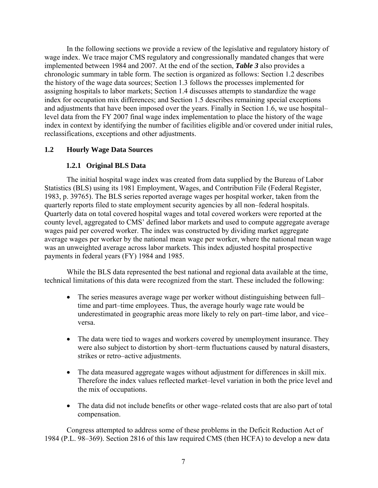<span id="page-12-0"></span>In the following sections we provide a review of the legislative and regulatory history of wage index. We trace major CMS regulatory and congressionally mandated changes that were implemented between 1984 and 2007. At the end of the section, *Table 3* also provides a chronologic summary in table form. The section is organized as follows: Section 1.2 describes the history of the wage data sources; Section 1.3 follows the processes implemented for assigning hospitals to labor markets; Section 1.4 discusses attempts to standardize the wage index for occupation mix differences; and Section 1.5 describes remaining special exceptions and adjustments that have been imposed over the years. Finally in Section 1.6, we use hospital– level data from the FY 2007 final wage index implementation to place the history of the wage index in context by identifying the number of facilities eligible and/or covered under initial rules, reclassifications, exceptions and other adjustments.

# **1.2 Hourly Wage Data Sources**

# **1.2.1 Original BLS Data**

The initial hospital wage index was created from data supplied by the Bureau of Labor Statistics (BLS) using its 1981 Employment, Wages, and Contribution File (Federal Register, 1983, p. 39765). The BLS series reported average wages per hospital worker, taken from the quarterly reports filed to state employment security agencies by all non–federal hospitals. Quarterly data on total covered hospital wages and total covered workers were reported at the county level, aggregated to CMS' defined labor markets and used to compute aggregate average wages paid per covered worker. The index was constructed by dividing market aggregate average wages per worker by the national mean wage per worker, where the national mean wage was an unweighted average across labor markets. This index adjusted hospital prospective payments in federal years (FY) 1984 and 1985.

While the BLS data represented the best national and regional data available at the time, technical limitations of this data were recognized from the start. These included the following:

- The series measures average wage per worker without distinguishing between full– time and part–time employees. Thus, the average hourly wage rate would be underestimated in geographic areas more likely to rely on part–time labor, and vice– versa.
- The data were tied to wages and workers covered by unemployment insurance. They were also subject to distortion by short–term fluctuations caused by natural disasters, strikes or retro–active adjustments.
- The data measured aggregate wages without adjustment for differences in skill mix. Therefore the index values reflected market–level variation in both the price level and the mix of occupations.
- The data did not include benefits or other wage–related costs that are also part of total compensation.

Congress attempted to address some of these problems in the Deficit Reduction Act of 1984 (P.L. 98–369). Section 2816 of this law required CMS (then HCFA) to develop a new data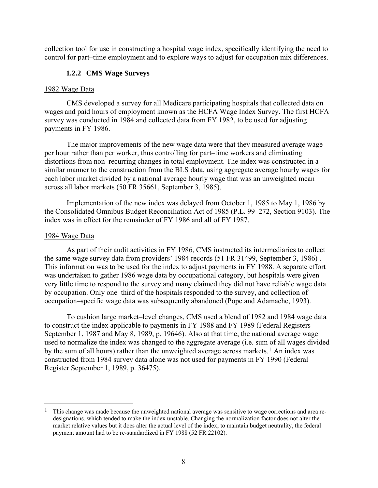<span id="page-13-0"></span>collection tool for use in constructing a hospital wage index, specifically identifying the need to control for part–time employment and to explore ways to adjust for occupation mix differences.

# **1.2.2 CMS Wage Surveys**

#### 1982 Wage Data

CMS developed a survey for all Medicare participating hospitals that collected data on wages and paid hours of employment known as the HCFA Wage Index Survey. The first HCFA survey was conducted in 1984 and collected data from FY 1982, to be used for adjusting payments in FY 1986.

The major improvements of the new wage data were that they measured average wage per hour rather than per worker, thus controlling for part–time workers and eliminating distortions from non–recurring changes in total employment. The index was constructed in a similar manner to the construction from the BLS data, using aggregate average hourly wages for each labor market divided by a national average hourly wage that was an unweighted mean across all labor markets (50 FR 35661, September 3, 1985).

Implementation of the new index was delayed from October 1, 1985 to May 1, 1986 by the Consolidated Omnibus Budget Reconciliation Act of 1985 (P.L. 99–272, Section 9103). The index was in effect for the remainder of FY 1986 and all of FY 1987.

#### 1984 Wage Data

 $\overline{a}$ 

As part of their audit activities in FY 1986, CMS instructed its intermediaries to collect the same wage survey data from providers' 1984 records (51 FR 31499, September 3, 1986) . This information was to be used for the index to adjust payments in FY 1988. A separate effort was undertaken to gather 1986 wage data by occupational category, but hospitals were given very little time to respond to the survey and many claimed they did not have reliable wage data by occupation. Only one–third of the hospitals responded to the survey, and collection of occupation–specific wage data was subsequently abandoned (Pope and Adamache, 1993).

To cushion large market–level changes, CMS used a blend of 1982 and 1984 wage data to construct the index applicable to payments in FY 1988 and FY 1989 (Federal Registers September 1, 1987 and May 8, 1989, p. 19646). Also at that time, the national average wage used to normalize the index was changed to the aggregate average (i.e. sum of all wages divided by the sum of all hours) rather than the unweighted average across markets.<sup>[1](#page-13-1)</sup> An index was constructed from 1984 survey data alone was not used for payments in FY 1990 (Federal Register September 1, 1989, p. 36475).

<span id="page-13-1"></span><sup>1</sup> This change was made because the unweighted national average was sensitive to wage corrections and area redesignations, which tended to make the index unstable. Changing the normalization factor does not alter the market relative values but it does alter the actual level of the index; to maintain budget neutrality, the federal payment amount had to be re-standardized in FY 1988 (52 FR 22102).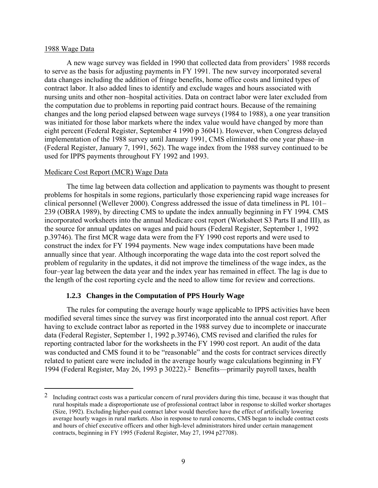#### <span id="page-14-0"></span>1988 Wage Data

 $\overline{a}$ 

A new wage survey was fielded in 1990 that collected data from providers' 1988 records to serve as the basis for adjusting payments in FY 1991. The new survey incorporated several data changes including the addition of fringe benefits, home office costs and limited types of contract labor. It also added lines to identify and exclude wages and hours associated with nursing units and other non–hospital activities. Data on contract labor were later excluded from the computation due to problems in reporting paid contract hours. Because of the remaining changes and the long period elapsed between wage surveys (1984 to 1988), a one year transition was initiated for those labor markets where the index value would have changed by more than eight percent (Federal Register, September 4 1990 p 36041). However, when Congress delayed implementation of the 1988 survey until January 1991, CMS eliminated the one year phase–in (Federal Register, January 7, 1991, 562). The wage index from the 1988 survey continued to be used for IPPS payments throughout FY 1992 and 1993.

#### Medicare Cost Report (MCR) Wage Data

The time lag between data collection and application to payments was thought to present problems for hospitals in some regions, particularly those experiencing rapid wage increases for clinical personnel (Wellever 2000). Congress addressed the issue of data timeliness in PL 101– 239 (OBRA 1989), by directing CMS to update the index annually beginning in FY 1994. CMS incorporated worksheets into the annual Medicare cost report (Worksheet S3 Parts II and III), as the source for annual updates on wages and paid hours (Federal Register, September 1, 1992 p.39746). The first MCR wage data were from the FY 1990 cost reports and were used to construct the index for FY 1994 payments. New wage index computations have been made annually since that year. Although incorporating the wage data into the cost report solved the problem of regularity in the updates, it did not improve the timeliness of the wage index, as the four–year lag between the data year and the index year has remained in effect. The lag is due to the length of the cost reporting cycle and the need to allow time for review and corrections.

#### **1.2.3 Changes in the Computation of PPS Hourly Wage**

The rules for computing the average hourly wage applicable to IPPS activities have been modified several times since the survey was first incorporated into the annual cost report. After having to exclude contract labor as reported in the 1988 survey due to incomplete or inaccurate data (Federal Register, September 1, 1992 p.39746), CMS revised and clarified the rules for reporting contracted labor for the worksheets in the FY 1990 cost report. An audit of the data was conducted and CMS found it to be "reasonable" and the costs for contract services directly related to patient care were included in the average hourly wage calculations beginning in FY 1994 (Federal Register, May 26, 1993 p 30222)[.2](#page-14-1) Benefits—primarily payroll taxes, health

<span id="page-14-1"></span><sup>2</sup> Including contract costs was a particular concern of rural providers during this time, because it was thought that rural hospitals made a disproportionate use of professional contract labor in response to skilled worker shortages (Size, 1992). Excluding higher-paid contract labor would therefore have the effect of artificially lowering average hourly wages in rural markets. Also in response to rural concerns, CMS began to include contract costs and hours of chief executive officers and other high-level administrators hired under certain management contracts, beginning in FY 1995 (Federal Register, May 27, 1994 p27708).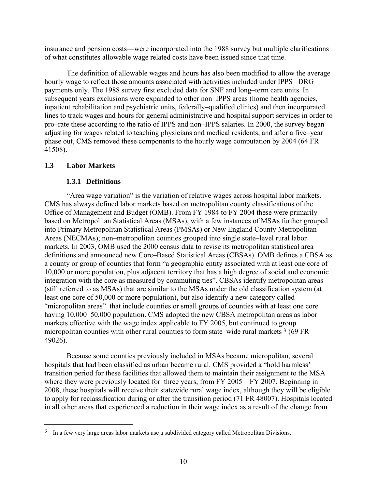<span id="page-15-0"></span>insurance and pension costs—were incorporated into the 1988 survey but multiple clarifications of what constitutes allowable wage related costs have been issued since that time.

The definition of allowable wages and hours has also been modified to allow the average hourly wage to reflect those amounts associated with activities included under IPPS –DRG payments only. The 1988 survey first excluded data for SNF and long–term care units. In subsequent years exclusions were expanded to other non–IPPS areas (home health agencies, inpatient rehabilitation and psychiatric units, federally–qualified clinics) and then incorporated lines to track wages and hours for general administrative and hospital support services in order to pro–rate these according to the ratio of IPPS and non–IPPS salaries. In 2000, the survey began adjusting for wages related to teaching physicians and medical residents, and after a five–year phase out, CMS removed these components to the hourly wage computation by 2004 (64 FR 41508).

# **1.3 Labor Markets**

 $\overline{a}$ 

# **1.3.1 Definitions**

"Area wage variation" is the variation of relative wages across hospital labor markets. CMS has always defined labor markets based on metropolitan county classifications of the Office of Management and Budget (OMB). From FY 1984 to FY 2004 these were primarily based on Metropolitan Statistical Areas (MSAs), with a few instances of MSAs further grouped into Primary Metropolitan Statistical Areas (PMSAs) or New England County Metropolitan Areas (NECMAs); non–metropolitan counties grouped into single state–level rural labor markets. In 2003, OMB used the 2000 census data to revise its metropolitan statistical area definitions and announced new Core–Based Statistical Areas (CBSAs). OMB defines a CBSA as a county or group of counties that form "a geographic entity associated with at least one core of 10,000 or more population, plus adjacent territory that has a high degree of social and economic integration with the core as measured by commuting ties". CBSAs identify metropolitan areas (still referred to as MSAs) that are similar to the MSAs under the old classification system (at least one core of 50,000 or more population), but also identify a new category called "micropolitan areas" that include counties or small groups of counties with at least one core having 10,000–50,000 population. CMS adopted the new CBSA metropolitan areas as labor markets effective with the wage index applicable to FY 2005, but continued to group micropolitan counties with other rural counties to form state–wide rural markets [3](#page-15-1) (69 FR 49026).

Because some counties previously included in MSAs became micropolitan, several hospitals that had been classified as urban became rural. CMS provided a "hold harmless' transition period for these facilities that allowed them to maintain their assignment to the MSA where they were previously located for three years, from FY 2005 – FY 2007. Beginning in 2008, these hospitals will receive their statewide rural wage index, although they will be eligible to apply for reclassification during or after the transition period (71 FR 48007). Hospitals located in all other areas that experienced a reduction in their wage index as a result of the change from

<span id="page-15-1"></span> $3 \text{ In a few very large areas labor markets use a subdivided category called Metropolitan Divisions.}$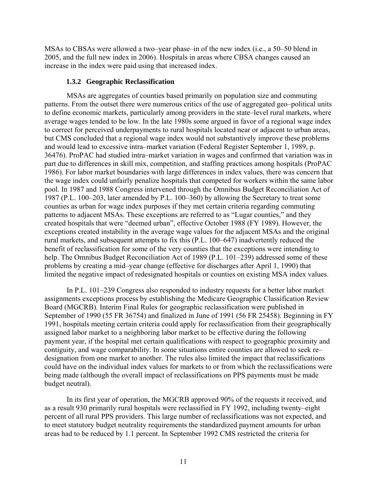<span id="page-16-0"></span>MSAs to CBSAs were allowed a two–year phase–in of the new index (i.e., a 50–50 blend in 2005, and the full new index in 2006). Hospitals in areas where CBSA changes caused an increase in the index were paid using that increased index.

### **1.3.2 Geographic Reclassification**

MSAs are aggregates of counties based primarily on population size and commuting patterns. From the outset there were numerous critics of the use of aggregated geo–political units to define economic markets, particularly among providers in the state–level rural markets, where average wages tended to be low. In the late 1980s some argued in favor of a regional wage index to correct for perceived underpayments to rural hospitals located near or adjacent to urban areas, but CMS concluded that a regional wage index would not substantively improve these problems and would lead to excessive intra–market variation (Federal Register September 1, 1989, p. 36476). ProPAC had studied intra–market variation in wages and confirmed that variation was in part due to differences in skill mix, competition, and staffing practices among hospitals (ProPAC 1986). For labor market boundaries with large differences in index values, there was concern that the wage index could unfairly penalize hospitals that competed for workers within the same labor pool. In 1987 and 1988 Congress intervened through the Omnibus Budget Reconciliation Act of 1987 (P.L. 100–203, later amended by P.L. 100–360) by allowing the Secretary to treat some counties as urban for wage index purposes if they met certain criteria regarding commuting patterns to adjacent MSAs. These exceptions are referred to as "Lugar counties," and they created hospitals that were "deemed urban", effective October 1988 (FY 1989). However, the exceptions created instability in the average wage values for the adjacent MSAs and the original rural markets, and subsequent attempts to fix this (P.L. 100–647) inadvertently reduced the benefit of reclassification for some of the very counties that the exceptions were intending to help. The Omnibus Budget Reconciliation Act of 1989 (P.L. 101–239) addressed some of these problems by creating a mid–year change (effective for discharges after April 1, 1990) that limited the negative impact of redesignated hospitals or counties on existing MSA index values.

In P.L. 101–239 Congress also responded to industry requests for a better labor market assignments exceptions process by establishing the Medicare Geographic Classification Review Board (MGCRB). Interim Final Rules for geographic reclassification were published in September of 1990 (55 FR 36754) and finalized in June of 1991 (56 FR 25458). Beginning in FY 1991, hospitals meeting certain criteria could apply for reclassification from their geographically assigned labor market to a neighboring labor market to be effective during the following payment year, if the hospital met certain qualifications with respect to geographic proximity and contiguity, and wage comparability. In some situations entire counties are allowed to seek re– designation from one market to another. The rules also limited the impact that reclassifications could have on the individual index values for markets to or from which the reclassifications were being made (although the overall impact of reclassifications on PPS payments must be made budget neutral).

In its first year of operation, the MGCRB approved 90% of the requests it received, and as a result 930 primarily rural hospitals were reclassified in FY 1992, including twenty–eight percent of all rural PPS providers. This large number of reclassifications was not expected, and to meet statutory budget neutrality requirements the standardized payment amounts for urban areas had to be reduced by 1.1 percent. In September 1992 CMS restricted the criteria for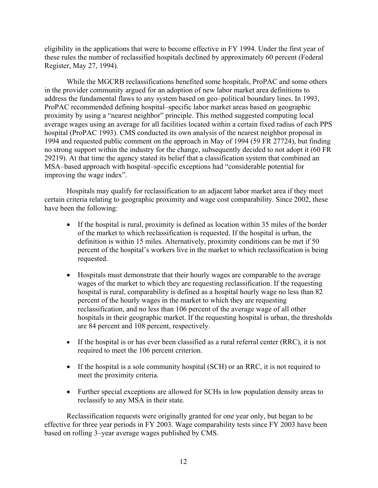eligibility in the applications that were to become effective in FY 1994. Under the first year of these rules the number of reclassified hospitals declined by approximately 60 percent (Federal Register, May 27, 1994).

While the MGCRB reclassifications benefited some hospitals, ProPAC and some others in the provider community argued for an adoption of new labor market area definitions to address the fundamental flaws to any system based on geo–political boundary lines. In 1993, ProPAC recommended defining hospital–specific labor market areas based on geographic proximity by using a "nearest neighbor" principle. This method suggested computing local average wages using an average for all facilities located within a certain fixed radius of each PPS hospital (ProPAC 1993). CMS conducted its own analysis of the nearest neighbor proposal in 1994 and requested public comment on the approach in May of 1994 (59 FR 27724), but finding no strong support within the industry for the change, subsequently decided to not adopt it (60 FR 29219). At that time the agency stated its belief that a classification system that combined an MSA–based approach with hospital–specific exceptions had "considerable potential for improving the wage index".

Hospitals may qualify for reclassification to an adjacent labor market area if they meet certain criteria relating to geographic proximity and wage cost comparability. Since 2002, these have been the following:

- If the hospital is rural, proximity is defined as location within 35 miles of the border of the market to which reclassification is requested. If the hospital is urban, the definition is within 15 miles. Alternatively, proximity conditions can be met if 50 percent of the hospital's workers live in the market to which reclassification is being requested.
- Hospitals must demonstrate that their hourly wages are comparable to the average wages of the market to which they are requesting reclassification. If the requesting hospital is rural, comparability is defined as a hospital hourly wage no less than 82 percent of the hourly wages in the market to which they are requesting reclassification, and no less than 106 percent of the average wage of all other hospitals in their geographic market. If the requesting hospital is urban, the thresholds are 84 percent and 108 percent, respectively.
- If the hospital is or has ever been classified as a rural referral center (RRC), it is not required to meet the 106 percent criterion.
- If the hospital is a sole community hospital (SCH) or an RRC, it is not required to meet the proximity criteria.
- Further special exceptions are allowed for SCHs in low population density areas to reclassify to any MSA in their state.

Reclassification requests were originally granted for one year only, but began to be effective for three year periods in FY 2003. Wage comparability tests since FY 2003 have been based on rolling 3–year average wages published by CMS.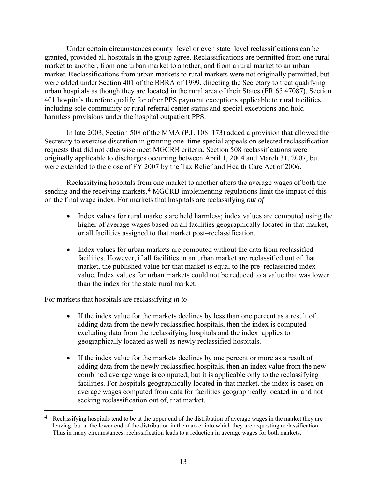Under certain circumstances county–level or even state–level reclassifications can be granted, provided all hospitals in the group agree. Reclassifications are permitted from one rural market to another, from one urban market to another, and from a rural market to an urban market. Reclassifications from urban markets to rural markets were not originally permitted, but were added under Section 401 of the BBRA of 1999, directing the Secretary to treat qualifying urban hospitals as though they are located in the rural area of their States (FR 65 47087). Section 401 hospitals therefore qualify for other PPS payment exceptions applicable to rural facilities, including sole community or rural referral center status and special exceptions and hold– harmless provisions under the hospital outpatient PPS.

In late 2003, Section 508 of the MMA (P.L.108–173) added a provision that allowed the Secretary to exercise discretion in granting one–time special appeals on selected reclassification requests that did not otherwise meet MGCRB criteria. Section 508 reclassifications were originally applicable to discharges occurring between April 1, 2004 and March 31, 2007, but were extended to the close of FY 2007 by the Tax Relief and Health Care Act of 2006.

Reclassifying hospitals from one market to another alters the average wages of both the sending and the receiving markets.<sup>4</sup> MGCRB implementing regulations limit the impact of this on the final wage index. For markets that hospitals are reclassifying *out of*

- Index values for rural markets are held harmless; index values are computed using the higher of average wages based on all facilities geographically located in that market, or all facilities assigned to that market post–reclassification.
- Index values for urban markets are computed without the data from reclassified facilities. However, if all facilities in an urban market are reclassified out of that market, the published value for that market is equal to the pre–reclassified index value. Index values for urban markets could not be reduced to a value that was lower than the index for the state rural market.

For markets that hospitals are reclassifying *in to*

 $\overline{a}$ 

- If the index value for the markets declines by less than one percent as a result of adding data from the newly reclassified hospitals, then the index is computed excluding data from the reclassifying hospitals and the index applies to geographically located as well as newly reclassified hospitals.
- If the index value for the markets declines by one percent or more as a result of adding data from the newly reclassified hospitals, then an index value from the new combined average wage is computed, but it is applicable only to the reclassifying facilities. For hospitals geographically located in that market, the index is based on average wages computed from data for facilities geographically located in, and not seeking reclassification out of, that market.

<span id="page-18-0"></span><sup>&</sup>lt;sup>4</sup> Reclassifying hospitals tend to be at the upper end of the distribution of average wages in the market they are leaving, but at the lower end of the distribution in the market into which they are requesting reclassification. Thus in many circumstances, reclassification leads to a reduction in average wages for both markets.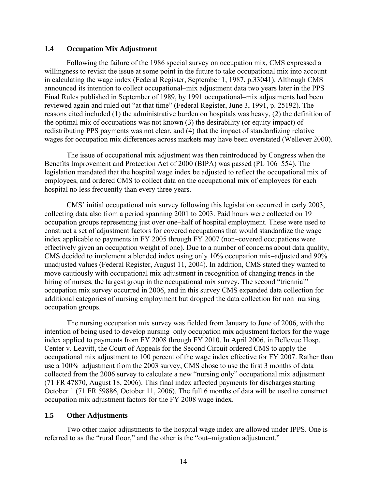#### <span id="page-19-0"></span>**1.4 Occupation Mix Adjustment**

Following the failure of the 1986 special survey on occupation mix, CMS expressed a willingness to revisit the issue at some point in the future to take occupational mix into account in calculating the wage index (Federal Register, September 1, 1987, p.33041). Although CMS announced its intention to collect occupational–mix adjustment data two years later in the PPS Final Rules published in September of 1989, by 1991 occupational–mix adjustments had been reviewed again and ruled out "at that time" (Federal Register, June 3, 1991, p. 25192). The reasons cited included (1) the administrative burden on hospitals was heavy, (2) the definition of the optimal mix of occupations was not known (3) the desirability (or equity impact) of redistributing PPS payments was not clear, and (4) that the impact of standardizing relative wages for occupation mix differences across markets may have been overstated (Wellever 2000).

The issue of occupational mix adjustment was then reintroduced by Congress when the Benefits Improvement and Protection Act of 2000 (BIPA) was passed (PL 106–554). The legislation mandated that the hospital wage index be adjusted to reflect the occupational mix of employees, and ordered CMS to collect data on the occupational mix of employees for each hospital no less frequently than every three years.

CMS' initial occupational mix survey following this legislation occurred in early 2003, collecting data also from a period spanning 2001 to 2003. Paid hours were collected on 19 occupation groups representing just over one–half of hospital employment. These were used to construct a set of adjustment factors for covered occupations that would standardize the wage index applicable to payments in FY 2005 through FY 2007 (non–covered occupations were effectively given an occupation weight of one). Due to a number of concerns about data quality, CMS decided to implement a blended index using only 10% occupation mix–adjusted and 90% unadjusted values (Federal Register, August 11, 2004). In addition, CMS stated they wanted to move cautiously with occupational mix adjustment in recognition of changing trends in the hiring of nurses, the largest group in the occupational mix survey. The second "triennial" occupation mix survey occurred in 2006, and in this survey CMS expanded data collection for additional categories of nursing employment but dropped the data collection for non–nursing occupation groups.

The nursing occupation mix survey was fielded from January to June of 2006, with the intention of being used to develop nursing–only occupation mix adjustment factors for the wage index applied to payments from FY 2008 through FY 2010. In April 2006, in Bellevue Hosp. Center v. Leavitt, the Court of Appeals for the Second Circuit ordered CMS to apply the occupational mix adjustment to 100 percent of the wage index effective for FY 2007. Rather than use a 100% adjustment from the 2003 survey, CMS chose to use the first 3 months of data collected from the 2006 survey to calculate a new "nursing only" occupational mix adjustment (71 FR 47870, August 18, 2006). This final index affected payments for discharges starting October 1 (71 FR 59886, October 11, 2006). The full 6 months of data will be used to construct occupation mix adjustment factors for the FY 2008 wage index.

#### **1.5 Other Adjustments**

Two other major adjustments to the hospital wage index are allowed under IPPS. One is referred to as the "rural floor," and the other is the "out–migration adjustment."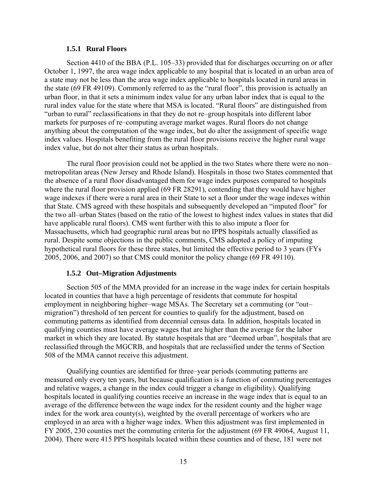#### **1.5.1 Rural Floors**

<span id="page-20-0"></span>Section 4410 of the BBA (P.L. 105–33) provided that for discharges occurring on or after October 1, 1997, the area wage index applicable to any hospital that is located in an urban area of a state may not be less than the area wage index applicable to hospitals located in rural areas in the state (69 FR 49109). Commonly referred to as the "rural floor", this provision is actually an urban floor, in that it sets a minimum index value for any urban labor index that is equal to the rural index value for the state where that MSA is located. "Rural floors" are distinguished from "urban to rural" reclassifications in that they do not re–group hospitals into different labor markets for purposes of re–computing average market wages. Rural floors do not change anything about the computation of the wage index, but do alter the assignment of specific wage index values. Hospitals benefiting from the rural floor provisions receive the higher rural wage index value, but do not alter their status as urban hospitals.

The rural floor provision could not be applied in the two States where there were no non– metropolitan areas (New Jersey and Rhode Island). Hospitals in those two States commented that the absence of a rural floor disadvantaged them for wage index purposes compared to hospitals where the rural floor provision applied (69 FR 28291), contending that they would have higher wage indexes if there were a rural area in their State to set a floor under the wage indexes within that State. CMS agreed with these hospitals and subsequently developed an "imputed floor" for the two all–urban States (based on the ratio of the lowest to highest index values in states that did have applicable rural floors). CMS went further with this to also impute a floor for Massachusetts, which had geographic rural areas but no IPPS hospitals actually classified as rural. Despite some objections in the public comments, CMS adopted a policy of imputing hypothetical rural floors for these three states, but limited the effective period to 3 years (FYs 2005, 2006, and 2007) so that CMS could monitor the policy change (69 FR 49110).

#### **1.5.2 Out–Migration Adjustments**

Section 505 of the MMA provided for an increase in the wage index for certain hospitals located in counties that have a high percentage of residents that commute for hospital employment in neighboring higher–wage MSAs. The Secretary set a commuting (or "out– migration") threshold of ten percent for counties to qualify for the adjustment, based on commuting patterns as identified from decennial census data. In addition, hospitals located in qualifying counties must have average wages that are higher than the average for the labor market in which they are located. By statute hospitals that are "deemed urban", hospitals that are reclassified through the MGCRB, and hospitals that are reclassified under the terms of Section 508 of the MMA cannot receive this adjustment.

Qualifying counties are identified for three–year periods (commuting patterns are measured only every ten years, but because qualification is a function of commuting percentages and relative wages, a change in the index could trigger a change in eligibility). Qualifying hospitals located in qualifying counties receive an increase in the wage index that is equal to an average of the difference between the wage index for the resident county and the higher wage index for the work area county(s), weighted by the overall percentage of workers who are employed in an area with a higher wage index. When this adjustment was first implemented in FY 2005, 230 counties met the commuting criteria for the adjustment (69 FR 49064, August 11, 2004). There were 415 PPS hospitals located within these counties and of these, 181 were not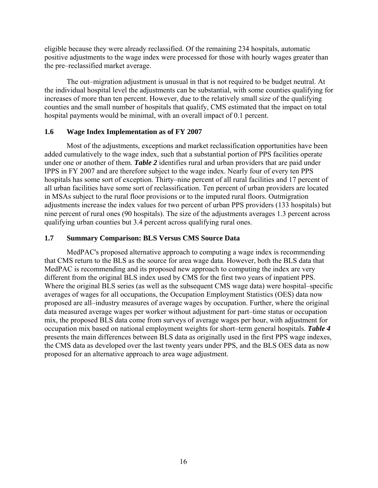<span id="page-21-0"></span>eligible because they were already reclassified. Of the remaining 234 hospitals, automatic positive adjustments to the wage index were processed for those with hourly wages greater than the pre–reclassified market average.

The out–migration adjustment is unusual in that is not required to be budget neutral. At the individual hospital level the adjustments can be substantial, with some counties qualifying for increases of more than ten percent. However, due to the relatively small size of the qualifying counties and the small number of hospitals that qualify, CMS estimated that the impact on total hospital payments would be minimal, with an overall impact of 0.1 percent.

# **1.6 Wage Index Implementation as of FY 2007**

Most of the adjustments, exceptions and market reclassification opportunities have been added cumulatively to the wage index, such that a substantial portion of PPS facilities operate under one or another of them. *Table 2* identifies rural and urban providers that are paid under IPPS in FY 2007 and are therefore subject to the wage index. Nearly four of every ten PPS hospitals has some sort of exception. Thirty–nine percent of all rural facilities and 17 percent of all urban facilities have some sort of reclassification. Ten percent of urban providers are located in MSAs subject to the rural floor provisions or to the imputed rural floors. Outmigration adjustments increase the index values for two percent of urban PPS providers (133 hospitals) but nine percent of rural ones (90 hospitals). The size of the adjustments averages 1.3 percent across qualifying urban counties but 3.4 percent across qualifying rural ones.

# **1.7 Summary Comparison: BLS Versus CMS Source Data**

MedPAC's proposed alternative approach to computing a wage index is recommending that CMS return to the BLS as the source for area wage data. However, both the BLS data that MedPAC is recommending and its proposed new approach to computing the index are very different from the original BLS index used by CMS for the first two years of inpatient PPS. Where the original BLS series (as well as the subsequent CMS wage data) were hospital–specific averages of wages for all occupations, the Occupation Employment Statistics (OES) data now proposed are all–industry measures of average wages by occupation. Further, where the original data measured average wages per worker without adjustment for part–time status or occupation mix, the proposed BLS data come from surveys of average wages per hour, with adjustment for occupation mix based on national employment weights for short–term general hospitals. *Table 4* presents the main differences between BLS data as originally used in the first PPS wage indexes, the CMS data as developed over the last twenty years under PPS, and the BLS OES data as now proposed for an alternative approach to area wage adjustment.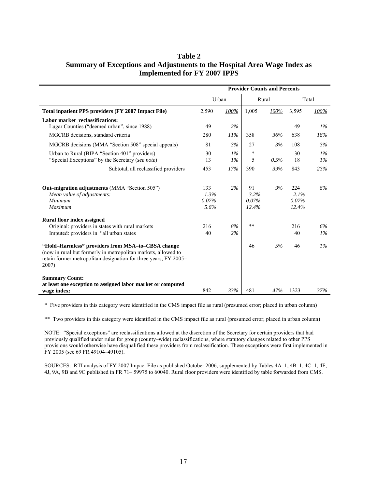# <span id="page-22-0"></span>**Table 2 Summary of Exceptions and Adjustments to the Hospital Area Wage Index as Implemented for FY 2007 IPPS**

|                                                                                                                                                                                                                                                          | <b>Provider Counts and Percents</b> |                |                              |      |                               |                      |
|----------------------------------------------------------------------------------------------------------------------------------------------------------------------------------------------------------------------------------------------------------|-------------------------------------|----------------|------------------------------|------|-------------------------------|----------------------|
|                                                                                                                                                                                                                                                          | Urban                               |                | Rural                        |      | Total                         |                      |
| Total inpatient PPS providers (FY 2007 Impact File)                                                                                                                                                                                                      | 2,590                               | 100%           | 1,005                        | 100% | 3,595                         | 100%                 |
| Labor market reclassifications:<br>Lugar Counties ("deemed urban", since 1988)                                                                                                                                                                           | 49                                  | 2%             |                              |      | 49                            | $1\%$                |
| MGCRB decisions, standard criteria                                                                                                                                                                                                                       | 280                                 | 11%            | 358                          | 36%  | 638                           | 18%                  |
| MGCRB decisions (MMA "Section 508" special appeals)                                                                                                                                                                                                      | 81                                  | 3%             | 27                           | 3%   | 108                           | 3%                   |
| Urban to Rural (BIPA "Section 401" providers)<br>"Special Exceptions" by the Secretary (see note)                                                                                                                                                        | 30<br>13                            | $1\%$<br>$1\%$ | $\ast$<br>5                  | 0.5% | 30<br>18                      | $1\%$<br>$1\%$       |
| Subtotal, all reclassified providers                                                                                                                                                                                                                     | 453                                 | 17%            | 390                          | 39%  | 843                           | 23%                  |
| <b>Out–migration adjustments</b> (MMA "Section 505")<br>Mean value of adjustments:<br><b>Minimum</b><br>Maximum                                                                                                                                          | 133<br>1.3%<br>0.07%<br>5.6%        | 2%             | 91<br>3.2%<br>0.07%<br>12.4% | 9%   | 224<br>2.1%<br>0.07%<br>12.4% | 6%                   |
| <b>Rural floor index assigned</b><br>Original: providers in states with rural markets<br>Imputed: providers in "all urban states"<br>"Hold–Harmless" providers from MSA–to–CBSA change<br>(now in rural but formerly in metropolitan markets, allowed to | 216<br>40                           | 8%<br>2%       | $***$<br>46                  | 5%   | 216<br>40<br>46               | 6%<br>$1\%$<br>$1\%$ |
| retain former metropolitan designation for three years, FY 2005–<br>2007)<br><b>Summary Count:</b><br>at least one exception to assigned labor market or computed<br>wage index:                                                                         | 842                                 | 33%            | 481                          | 47%  | 1323                          | 37%                  |

\* Five providers in this category were identified in the CMS impact file as rural (presumed error; placed in urban column)

\*\* Two providers in this category were identified in the CMS impact file as rural (presumed error; placed in urban column)

NOTE: "Special exceptions" are reclassifications allowed at the discretion of the Secretary for certain providers that had previously qualified under rules for group (county–wide) reclassifications, where statutory changes related to other PPS provisions would otherwise have disqualified these providers from reclassification. These exceptions were first implemented in FY 2005 (see 69 FR 49104–49105).

SOURCES: RTI analysis of FY 2007 Impact File as published October 2006, supplemented by Tables 4A–1, 4B–1, 4C–1, 4F, 4J, 9A, 9B and 9C published in FR 71– 59975 to 60040. Rural floor providers were identified by table forwarded from CMS.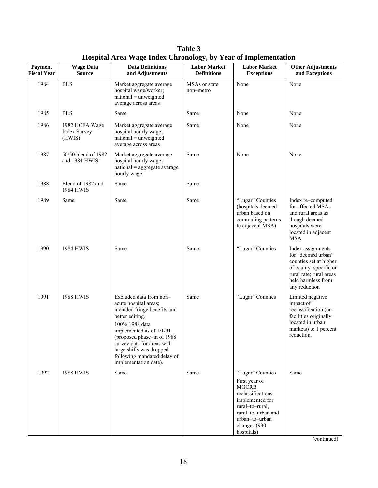<span id="page-23-0"></span>

| Payment<br><b>Fiscal Year</b> | <b>Wage Data</b><br><b>Source</b>               | <b>Data Definitions</b><br>and Adjustments                                                                                                                                                                                                                                                        | <b>Labor Market</b><br><b>Definitions</b> | <b>Labor Market</b><br><b>Exceptions</b>                                                                                                                                           | <b>Other Adjustments</b><br>and Exceptions                                                                                                                   |
|-------------------------------|-------------------------------------------------|---------------------------------------------------------------------------------------------------------------------------------------------------------------------------------------------------------------------------------------------------------------------------------------------------|-------------------------------------------|------------------------------------------------------------------------------------------------------------------------------------------------------------------------------------|--------------------------------------------------------------------------------------------------------------------------------------------------------------|
| 1984                          | <b>BLS</b>                                      | Market aggregate average<br>hospital wage/worker;<br>$\text{national} = \text{unweighted}$<br>average across areas                                                                                                                                                                                | MSAs or state<br>non-metro                | None                                                                                                                                                                               | None                                                                                                                                                         |
| 1985                          | <b>BLS</b>                                      | Same                                                                                                                                                                                                                                                                                              | Same                                      | None                                                                                                                                                                               | None                                                                                                                                                         |
| 1986                          | 1982 HCFA Wage<br><b>Index Survey</b><br>(HWIS) | Market aggregate average<br>hospital hourly wage;<br>national = unweighted<br>average across areas                                                                                                                                                                                                | Same                                      | None                                                                                                                                                                               | None                                                                                                                                                         |
| 1987                          | 50/50 blend of 1982<br>and 1984 $HWIS1$         | Market aggregate average<br>hospital hourly wage;<br>$\text{national} = \text{aggregate average}$<br>hourly wage                                                                                                                                                                                  | Same                                      | None                                                                                                                                                                               | None                                                                                                                                                         |
| 1988                          | Blend of 1982 and<br>1984 HWIS                  | Same                                                                                                                                                                                                                                                                                              | Same                                      |                                                                                                                                                                                    |                                                                                                                                                              |
| 1989                          | Same                                            | Same                                                                                                                                                                                                                                                                                              | Same                                      | "Lugar" Counties<br>(hospitals deemed<br>urban based on<br>commuting patterns<br>to adjacent MSA)                                                                                  | Index re-computed<br>for affected MSAs<br>and rural areas as<br>though deemed<br>hospitals were<br>located in adjacent<br><b>MSA</b>                         |
| 1990                          | 1984 HWIS                                       | Same                                                                                                                                                                                                                                                                                              | Same                                      | "Lugar" Counties                                                                                                                                                                   | Index assignments<br>for "deemed urban"<br>counties set at higher<br>of county-specific or<br>rural rate; rural areas<br>held harmless from<br>any reduction |
| 1991                          | <b>1988 HWIS</b>                                | Excluded data from non-<br>acute hospital areas;<br>included fringe benefits and<br>better editing.<br>100% 1988 data<br>implemented as of 1/1/91<br>(proposed phase-in of 1988<br>survey data for areas with<br>large shifts was dropped<br>following mandated delay of<br>implementation date). | Same                                      | "Lugar" Counties                                                                                                                                                                   | Limited negative<br>impact of<br>reclassification (on<br>facilities originally<br>located in urban<br>markets) to 1 percent<br>reduction.                    |
| 1992                          | <b>1988 HWIS</b>                                | Same                                                                                                                                                                                                                                                                                              | Same                                      | "Lugar" Counties<br>First year of<br><b>MGCRB</b><br>reclassifications<br>implemented for<br>rural-to-rural,<br>rural-to-urban and<br>urban-to-urban<br>changes (930<br>hospitals) | Same                                                                                                                                                         |

**Table 3 Hospital Area Wage Index Chronology, by Year of Implementation** 

(continued)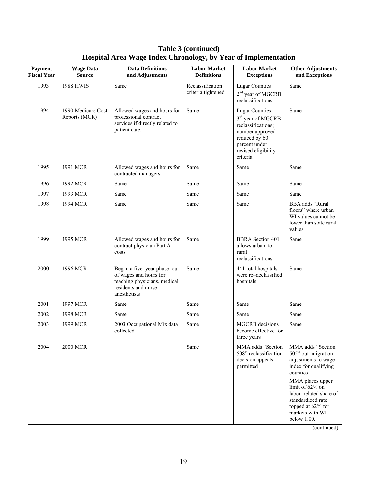| Table 3 (continued)                                            |  |  |  |  |
|----------------------------------------------------------------|--|--|--|--|
| Hospital Area Wage Index Chronology, by Year of Implementation |  |  |  |  |

| <b>Payment</b><br><b>Fiscal Year</b> | <b>Wage Data</b><br><b>Source</b>   | <b>Data Definitions</b><br>and Adjustments                                                                                   | <b>Labor Market</b><br><b>Definitions</b> | <b>Labor Market</b><br><b>Exceptions</b>                                                                                                                             | <b>Other Adjustments</b><br>and Exceptions                                                                                                |
|--------------------------------------|-------------------------------------|------------------------------------------------------------------------------------------------------------------------------|-------------------------------------------|----------------------------------------------------------------------------------------------------------------------------------------------------------------------|-------------------------------------------------------------------------------------------------------------------------------------------|
| 1993                                 | <b>1988 HWIS</b>                    | Same                                                                                                                         | Reclassification<br>criteria tightened    | <b>Lugar Counties</b><br>2 <sup>nd</sup> year of MGCRB<br>reclassifications                                                                                          | Same                                                                                                                                      |
| 1994                                 | 1990 Medicare Cost<br>Reports (MCR) | Allowed wages and hours for<br>professional contract<br>services if directly related to<br>patient care.                     | Same                                      | <b>Lugar Counties</b><br>3 <sup>rd</sup> year of MGCRB<br>reclassifications;<br>number approved<br>reduced by 60<br>percent under<br>revised eligibility<br>criteria | Same                                                                                                                                      |
| 1995                                 | 1991 MCR                            | Allowed wages and hours for<br>contracted managers                                                                           | Same                                      | Same                                                                                                                                                                 | Same                                                                                                                                      |
| 1996                                 | 1992 MCR                            | Same                                                                                                                         | Same                                      | Same                                                                                                                                                                 | Same                                                                                                                                      |
| 1997                                 | 1993 MCR                            | Same                                                                                                                         | Same                                      | Same                                                                                                                                                                 | Same                                                                                                                                      |
| 1998                                 | 1994 MCR                            | Same                                                                                                                         | Same                                      | Same                                                                                                                                                                 | BBA adds "Rural<br>floors" where urban<br>WI values cannot be<br>lower than state rural<br>values                                         |
| 1999                                 | 1995 MCR                            | Allowed wages and hours for<br>contract physician Part A<br>costs                                                            | Same                                      | <b>BBRA</b> Section 401<br>allows urban-to-<br>rural<br>reclassifications                                                                                            | Same                                                                                                                                      |
| 2000                                 | 1996 MCR                            | Began a five-year phase-out<br>of wages and hours for<br>teaching physicians, medical<br>residents and nurse<br>anesthetists | Same                                      | 441 total hospitals<br>were re-declassified<br>hospitals                                                                                                             | Same                                                                                                                                      |
| 2001                                 | 1997 MCR                            | Same                                                                                                                         | Same                                      | Same                                                                                                                                                                 | Same                                                                                                                                      |
| 2002                                 | 1998 MCR                            | Same                                                                                                                         | Same                                      | Same                                                                                                                                                                 | Same                                                                                                                                      |
| 2003                                 | 1999 MCR                            | 2003 Occupational Mix data<br>collected                                                                                      | Same                                      | <b>MGCRB</b> decisions<br>become effective for<br>three years                                                                                                        | Same                                                                                                                                      |
| 2004                                 | <b>2000 MCR</b>                     |                                                                                                                              | Same                                      | MMA adds "Section<br>508" reclassification<br>decision appeals<br>permitted                                                                                          | MMA adds "Section<br>505" out-migration<br>adjustments to wage<br>index for qualifying<br>counties                                        |
|                                      |                                     |                                                                                                                              |                                           |                                                                                                                                                                      | MMA places upper<br>limit of 62% on<br>labor-related share of<br>standardized rate<br>topped at 62% for<br>markets with WI<br>below 1.00. |

(continued)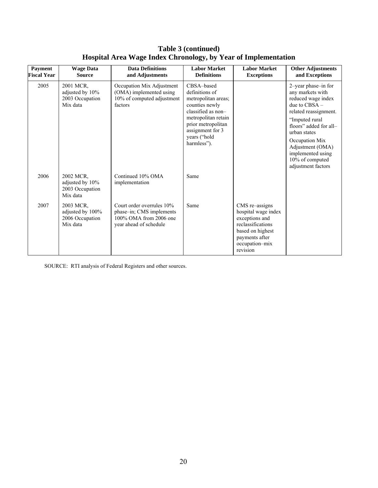| <b>Payment</b><br><b>Fiscal Year</b> | <b>Wage Data</b><br><b>Source</b>                            | <b>Data Definitions</b><br>and Adjustments                                                                | <b>Labor Market</b><br><b>Definitions</b>                                                                                                                                                   | <b>Labor Market</b><br><b>Exceptions</b>                                                                                                         | <b>Other Adjustments</b><br>and Exceptions                                                                                                                                                                                                                                 |
|--------------------------------------|--------------------------------------------------------------|-----------------------------------------------------------------------------------------------------------|---------------------------------------------------------------------------------------------------------------------------------------------------------------------------------------------|--------------------------------------------------------------------------------------------------------------------------------------------------|----------------------------------------------------------------------------------------------------------------------------------------------------------------------------------------------------------------------------------------------------------------------------|
| 2005                                 | 2001 MCR.<br>adjusted by 10%<br>2003 Occupation<br>Mix data  | Occupation Mix Adjustment<br>(OMA) implemented using<br>10% of computed adjustment<br>factors             | CBSA-based<br>definitions of<br>metropolitan areas;<br>counties newly<br>classified as non-<br>metropolitan retain<br>prior metropolitan<br>assignment for 3<br>years ("hold<br>harmless"). |                                                                                                                                                  | 2-year phase-in for<br>any markets with<br>reduced wage index<br>due to $CRSA -$<br>related reassignment.<br>"Imputed rural"<br>floors" added for all-<br>urban states<br>Occupation Mix<br>Adjustment (OMA)<br>implemented using<br>10% of computed<br>adjustment factors |
| 2006                                 | 2002 MCR.<br>adjusted by 10%<br>2003 Occupation<br>Mix data  | Continued 10% OMA<br>implementation                                                                       | Same                                                                                                                                                                                        |                                                                                                                                                  |                                                                                                                                                                                                                                                                            |
| 2007                                 | 2003 MCR.<br>adjusted by 100%<br>2006 Occupation<br>Mix data | Court order overrules 10%<br>phase-in; CMS implements<br>100% OMA from 2006 one<br>year ahead of schedule | Same                                                                                                                                                                                        | CMS re-assigns<br>hospital wage index<br>exceptions and<br>reclassifications<br>based on highest<br>payments after<br>occupation-mix<br>revision |                                                                                                                                                                                                                                                                            |

# **Table 3 (continued) Hospital Area Wage Index Chronology, by Year of Implementation**

SOURCE: RTI analysis of Federal Registers and other sources.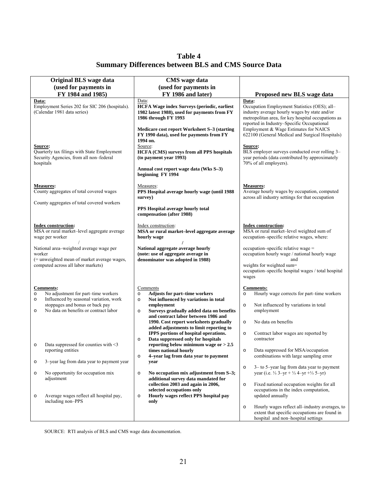**Table 4 Summary Differences between BLS and CMS Source Data** 

<span id="page-26-0"></span>

| Original BLS wage data                                                                                                                                                                                                                                                                                                                                                                                                                                                                         | <b>CMS</b> wage data                                                                                                                                                                                                                                                                                                                                                                                                                                                                                                                                                                                                                                                                                                                                                 |                                                                                                                                                                                                                                                                                                                                                                                                                                                                                                                                                                                                     |  |
|------------------------------------------------------------------------------------------------------------------------------------------------------------------------------------------------------------------------------------------------------------------------------------------------------------------------------------------------------------------------------------------------------------------------------------------------------------------------------------------------|----------------------------------------------------------------------------------------------------------------------------------------------------------------------------------------------------------------------------------------------------------------------------------------------------------------------------------------------------------------------------------------------------------------------------------------------------------------------------------------------------------------------------------------------------------------------------------------------------------------------------------------------------------------------------------------------------------------------------------------------------------------------|-----------------------------------------------------------------------------------------------------------------------------------------------------------------------------------------------------------------------------------------------------------------------------------------------------------------------------------------------------------------------------------------------------------------------------------------------------------------------------------------------------------------------------------------------------------------------------------------------------|--|
| (used for payments in                                                                                                                                                                                                                                                                                                                                                                                                                                                                          | (used for payments in                                                                                                                                                                                                                                                                                                                                                                                                                                                                                                                                                                                                                                                                                                                                                |                                                                                                                                                                                                                                                                                                                                                                                                                                                                                                                                                                                                     |  |
| FY 1984 and 1985)                                                                                                                                                                                                                                                                                                                                                                                                                                                                              | FY 1986 and later)                                                                                                                                                                                                                                                                                                                                                                                                                                                                                                                                                                                                                                                                                                                                                   | Proposed new BLS wage data                                                                                                                                                                                                                                                                                                                                                                                                                                                                                                                                                                          |  |
| Data:<br>Employment Series 202 for SIC 206 (hospitals).<br>(Calendar 1981 data series)                                                                                                                                                                                                                                                                                                                                                                                                         | Data:<br><b>HCFA Wage index Surveys (periodic, earliest</b><br>1982 latest 1988), used for payments from FY<br>1986 through FY 1993                                                                                                                                                                                                                                                                                                                                                                                                                                                                                                                                                                                                                                  | Data:<br>Occupation Employment Statistics (OES); all-<br>industry average hourly wages by state and/or<br>metropolitan area, for key hospital occupations as<br>reported in Industry-Specific Occupational                                                                                                                                                                                                                                                                                                                                                                                          |  |
| Source:<br>Quarterly tax filings with State Employment<br>Security Agencies, from all non-federal<br>hospitals                                                                                                                                                                                                                                                                                                                                                                                 | Medicare cost report Worksheet S-3 (starting<br>FY 1990 data), used for payments from FY<br>1994 on.<br>Source:<br><b>HCFA (CMS) surveys from all PPS hospitals</b><br>(to payment year 1993)<br>Annual cost report wage data (Wks S-3)<br>beginning FY 1994                                                                                                                                                                                                                                                                                                                                                                                                                                                                                                         | Employment & Wage Estimates for NAICS<br>622100 (General Medical and Surgical Hospitals)<br>Source:<br>BLS employer surveys conducted over rolling 3-<br>year periods (data contributed by approximately<br>70% of all employers).                                                                                                                                                                                                                                                                                                                                                                  |  |
| <b>Measures:</b><br>County aggregates of total covered wages                                                                                                                                                                                                                                                                                                                                                                                                                                   | Measures:<br>PPS Hospital average hourly wage (until 1988<br>survey)                                                                                                                                                                                                                                                                                                                                                                                                                                                                                                                                                                                                                                                                                                 | <b>Measures:</b><br>Average hourly wages by occupation, computed<br>across all industry settings for that occupation                                                                                                                                                                                                                                                                                                                                                                                                                                                                                |  |
| County aggregates of total covered workers                                                                                                                                                                                                                                                                                                                                                                                                                                                     | PPS Hospital average hourly total<br>compensation (after 1988)                                                                                                                                                                                                                                                                                                                                                                                                                                                                                                                                                                                                                                                                                                       |                                                                                                                                                                                                                                                                                                                                                                                                                                                                                                                                                                                                     |  |
| <b>Index construction:</b><br>MSA or rural market-level aggregate average<br>wage per worker                                                                                                                                                                                                                                                                                                                                                                                                   | Index construction:<br>MSA or rural market-level aggregate average<br>hourly wage                                                                                                                                                                                                                                                                                                                                                                                                                                                                                                                                                                                                                                                                                    | <b>Index construction:</b><br>MSA or rural market-level weighted sum of<br>occupation-specific relative wages, where:                                                                                                                                                                                                                                                                                                                                                                                                                                                                               |  |
| National area-weighted average wage per<br>worker<br>(= unweighted mean of market average wages,<br>computed across all labor markets)                                                                                                                                                                                                                                                                                                                                                         | National aggregate average hourly<br>(note: use of aggregate average in<br>denominator was adopted in 1988)                                                                                                                                                                                                                                                                                                                                                                                                                                                                                                                                                                                                                                                          | occupation-specific relative wage =<br>occupation hourly wage / national hourly wage<br>and<br>weights for weighted sum=<br>occupation-specific hospital wages / total hospital<br>wages                                                                                                                                                                                                                                                                                                                                                                                                            |  |
| <b>Comments:</b><br>No adjustment for part-time workers<br>$\circ$<br>Influenced by seasonal variation, work<br>$\circ$<br>stoppages and bonus or back pay<br>No data on benefits or contract labor<br>$\circ$<br>Data suppressed for counties with $\leq$ 3<br>$\circ$<br>reporting entities<br>3-year lag from data year to payment year<br>$\circ$<br>No opportunity for occupation mix<br>$\circ$<br>adjustment<br>Average wages reflect all hospital pay,<br>$\circ$<br>including non-PPS | Comments<br><b>Adjusts for part-time workers</b><br>$\circ$<br>Not influenced by variations in total<br>$\circ$<br>employment<br>Surveys gradually added data on benefits<br>$\circ$<br>and contract labor between 1986 and<br>1990. Cost report worksheets gradually<br>added adjustments to limit reporting to<br>IPPS portions of hospital operations.<br>Data suppressed only for hospitals<br>$\circ$<br>reporting below minimum wage or $> 2.5$<br>times national hourly<br>4-year lag from data year to payment<br>$\circ$<br>year<br>No occupation mix adjustment from S-3;<br>$\circ$<br>additional survey data mandated for<br>collection 2003 and again in 2006,<br>selected occupations only<br>Hourly wages reflect PPS hospital pay<br>$\circ$<br>only | <b>Comments:</b><br>Hourly wage corrects for part-time workers<br>$\circ$<br>Not influenced by variations in total<br>$\circ$<br>employment<br>No data on benefits<br>$\circ$<br>Contract labor wages are reported by<br>$\circ$<br>contractor<br>Data suppressed for MSA/occupation<br>$\circ$<br>combinations with large sampling error<br>3– to 5–year lag from data year to payment<br>$\circ$<br>year (i.e. $\frac{1}{3}$ 3-yr + $\frac{1}{3}$ 4-yr + $\frac{1}{3}$ 5-yr)<br>Fixed national occupation weights for all<br>$\circ$<br>occupations in the index computation,<br>updated annually |  |
|                                                                                                                                                                                                                                                                                                                                                                                                                                                                                                |                                                                                                                                                                                                                                                                                                                                                                                                                                                                                                                                                                                                                                                                                                                                                                      | Hourly wages reflect all-industry averages, to<br>$\circ$<br>extent that specific occupations are found in<br>hospital and non-hospital settings                                                                                                                                                                                                                                                                                                                                                                                                                                                    |  |

SOURCE: RTI analysis of BLS and CMS wage data documentation.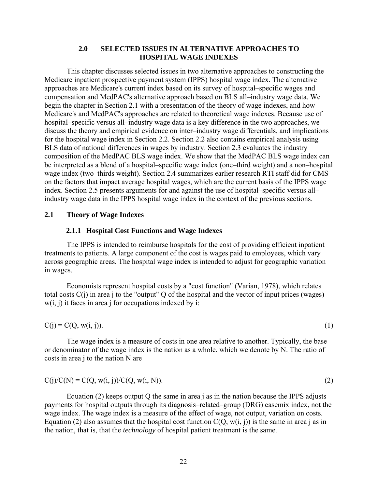#### **2.0 SELECTED ISSUES IN ALTERNATIVE APPROACHES TO HOSPITAL WAGE INDEXES**

<span id="page-27-0"></span>This chapter discusses selected issues in two alternative approaches to constructing the Medicare inpatient prospective payment system (IPPS) hospital wage index. The alternative approaches are Medicare's current index based on its survey of hospital–specific wages and compensation and MedPAC's alternative approach based on BLS all–industry wage data. We begin the chapter in Section 2.1 with a presentation of the theory of wage indexes, and how Medicare's and MedPAC's approaches are related to theoretical wage indexes. Because use of hospital–specific versus all–industry wage data is a key difference in the two approaches, we discuss the theory and empirical evidence on inter–industry wage differentials, and implications for the hospital wage index in Section 2.2. Section 2.2 also contains empirical analysis using BLS data of national differences in wages by industry. Section 2.3 evaluates the industry composition of the MedPAC BLS wage index. We show that the MedPAC BLS wage index can be interpreted as a blend of a hospital–specific wage index (one–third weight) and a non–hospital wage index (two–thirds weight). Section 2.4 summarizes earlier research RTI staff did for CMS on the factors that impact average hospital wages, which are the current basis of the IPPS wage index. Section 2.5 presents arguments for and against the use of hospital–specific versus all– industry wage data in the IPPS hospital wage index in the context of the previous sections.

#### **2.1 Theory of Wage Indexes**

### **2.1.1 Hospital Cost Functions and Wage Indexes**

The IPPS is intended to reimburse hospitals for the cost of providing efficient inpatient treatments to patients. A large component of the cost is wages paid to employees, which vary across geographic areas. The hospital wage index is intended to adjust for geographic variation in wages.

Economists represent hospital costs by a "cost function" (Varian, 1978), which relates total costs  $C(i)$  in area j to the "output" Q of the hospital and the vector of input prices (wages)  $w(i, j)$  it faces in area j for occupations indexed by i:

$$
C(j) = C(Q, w(i, j)).
$$
\n<sup>(1)</sup>

The wage index is a measure of costs in one area relative to another. Typically, the base or denominator of the wage index is the nation as a whole, which we denote by N. The ratio of costs in area j to the nation N are

$$
C(j)/C(N) = C(Q, w(i, j))/C(Q, w(i, N)).
$$
\n(2)

Equation (2) keeps output Q the same in area j as in the nation because the IPPS adjusts payments for hospital outputs through its diagnosis–related–group (DRG) casemix index, not the wage index. The wage index is a measure of the effect of wage, not output, variation on costs. Equation (2) also assumes that the hospital cost function  $C(Q, w(i, i))$  is the same in area j as in the nation, that is, that the *technology* of hospital patient treatment is the same.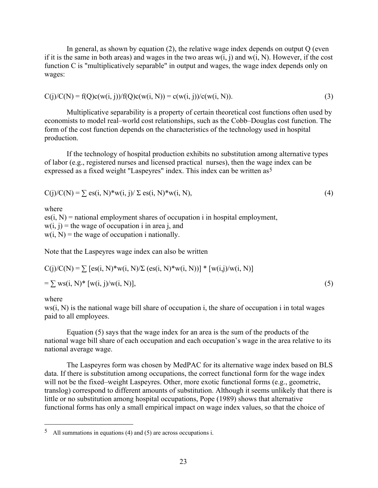<span id="page-28-0"></span>In general, as shown by equation (2), the relative wage index depends on output Q (even if it is the same in both areas) and wages in the two areas  $w(i, j)$  and  $w(i, N)$ . However, if the cost function C is "multiplicatively separable" in output and wages, the wage index depends only on wages:

$$
C(j)/C(N) = f(Q)c(w(i, j))/f(Q)c(w(i, N)) = c(w(i, j))/c(w(i, N)).
$$
\n(3)

Multiplicative separability is a property of certain theoretical cost functions often used by economists to model real–world cost relationships, such as the Cobb–Douglas cost function. The form of the cost function depends on the characteristics of the technology used in hospital production.

If the technology of hospital production exhibits no substitution among alternative types of labor (e.g., registered nurses and licensed practical nurses), then the wage index can be expressed as a fixed weight "Laspeyres" index. This index can be written as<sup>5</sup>

$$
C(j)/C(N) = \sum \text{es}(i, N)^* w(i, j) / \sum \text{es}(i, N)^* w(i, N), \tag{4}
$$

where

 $es(i, N)$  = national employment shares of occupation i in hospital employment,  $w(i, j)$  = the wage of occupation i in area j, and  $w(i, N)$  = the wage of occupation i nationally.

Note that the Laspeyres wage index can also be written

$$
C(j)/C(N) = \sum [es(i, N) * w(i, N)/\sum (es(i, N) * w(i, N))] * [w(i,j)/w(i, N)]
$$
  
=  $\sum ws(i, N) * [w(i, j)/w(i, N)],$  (5)

#### where

 $\overline{a}$ 

 $ws(i, N)$  is the national wage bill share of occupation i, the share of occupation i in total wages paid to all employees.

Equation (5) says that the wage index for an area is the sum of the products of the national wage bill share of each occupation and each occupation's wage in the area relative to its national average wage.

The Laspeyres form was chosen by MedPAC for its alternative wage index based on BLS data. If there is substitution among occupations, the correct functional form for the wage index will not be the fixed–weight Laspeyres. Other, more exotic functional forms (e.g., geometric, translog) correspond to different amounts of substitution. Although it seems unlikely that there is little or no substitution among hospital occupations, Pope (1989) shows that alternative functional forms has only a small empirical impact on wage index values, so that the choice of

<sup>5</sup> All summations in equations (4) and (5) are across occupations i.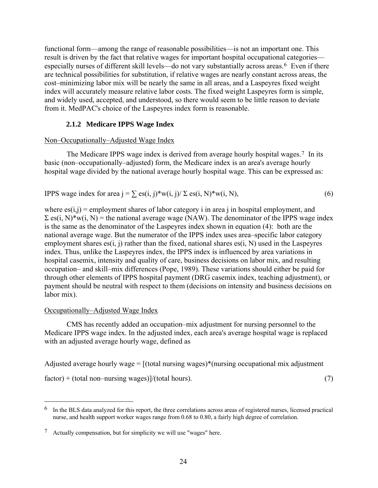<span id="page-29-0"></span>functional form––among the range of reasonable possibilities––is not an important one. This result is driven by the fact that relative wages for important hospital occupational categories— especially nurses of different skill levels—do not vary substantially across areas.<sup>[6](#page-29-0)</sup> Even if there are technical possibilities for substitution, if relative wages are nearly constant across areas, the cost–minimizing labor mix will be nearly the same in all areas, and a Laspeyres fixed weight index will accurately measure relative labor costs. The fixed weight Laspeyres form is simple, and widely used, accepted, and understood, so there would seem to be little reason to deviate from it. MedPAC's choice of the Laspeyres index form is reasonable.

# **2.1.2 Medicare IPPS Wage Index**

#### Non–Occupationally–Adjusted Wage Index

The Medicare IPPS wage index is derived from average hourly hospital wages.[7](#page-29-0) In its basic (non–occupationally–adjusted) form, the Medicare index is an area's average hourly hospital wage divided by the national average hourly hospital wage. This can be expressed as:

IPPS wage index for area j =  $\sum$  es(i, j)\*w(i, j)/ $\sum$  es(i, N)\*w(i, N), (6)

where  $es(i,j)$  = employment shares of labor category i in area j in hospital employment, and  $\Sigma$  es(i, N)\*w(i, N) = the national average wage (NAW). The denominator of the IPPS wage index is the same as the denominator of the Laspeyres index shown in equation (4): both are the national average wage. But the numerator of the IPPS index uses area–specific labor category employment shares es(i, j) rather than the fixed, national shares es(i, N) used in the Laspeyres index. Thus, unlike the Laspeyres index, the IPPS index is influenced by area variations in hospital casemix, intensity and quality of care, business decisions on labor mix, and resulting occupation– and skill–mix differences (Pope, 1989). These variations should either be paid for through other elements of IPPS hospital payment (DRG casemix index, teaching adjustment), or payment should be neutral with respect to them (decisions on intensity and business decisions on labor mix).

#### Occupationally–Adjusted Wage Index

 $\overline{a}$ 

CMS has recently added an occupation–mix adjustment for nursing personnel to the Medicare IPPS wage index. In the adjusted index, each area's average hospital wage is replaced with an adjusted average hourly wage, defined as

Adjusted average hourly wage  $=$   $[$ (total nursing wages)\*(nursing occupational mix adjustment

 $factor$ ) + (total non–nursing wages)]/(total hours). (7)

 $<sup>6</sup>$  In the BLS data analyzed for this report, the three correlations across areas of registered nurses, licensed practical</sup> nurse, and health support worker wages range from 0.68 to 0.80, a fairly high degree of correlation.

<sup>7</sup> Actually compensation, but for simplicity we will use "wages" here.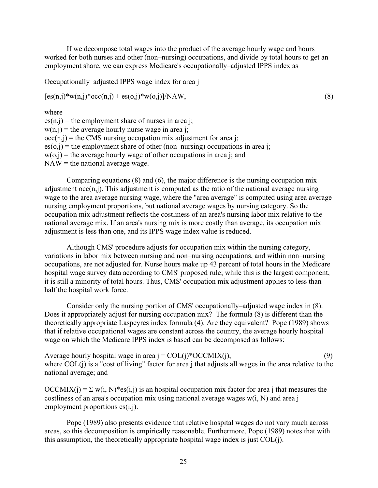If we decompose total wages into the product of the average hourly wage and hours worked for both nurses and other (non–nursing) occupations, and divide by total hours to get an employment share, we can express Medicare's occupationally–adjusted IPPS index as

Occupationally–adjusted IPPS wage index for area  $i =$ 

$$
[es(n,j)*w(n,j)*occ(n,j) + es(o,j)*w(o,j)]/NAW,
$$
\n(8)

where

 $es(n,j)$  = the employment share of nurses in area j;  $w(n,j)$  = the average hourly nurse wage in area j;  $occ(n,j)$  = the CMS nursing occupation mix adjustment for area j;  $es(o,i)$  = the employment share of other (non–nursing) occupations in area i:  $w(o,j)$  = the average hourly wage of other occupations in area j; and  $NAW =$  the national average wage.

Comparing equations  $(8)$  and  $(6)$ , the major difference is the nursing occupation mix adjustment  $occ(n,j)$ . This adjustment is computed as the ratio of the national average nursing wage to the area average nursing wage, where the "area average" is computed using area average nursing employment proportions, but national average wages by nursing category. So the occupation mix adjustment reflects the costliness of an area's nursing labor mix relative to the national average mix. If an area's nursing mix is more costly than average, its occupation mix adjustment is less than one, and its IPPS wage index value is reduced.

Although CMS' procedure adjusts for occupation mix within the nursing category, variations in labor mix between nursing and non–nursing occupations, and within non–nursing occupations, are not adjusted for. Nurse hours make up 43 percent of total hours in the Medicare hospital wage survey data according to CMS' proposed rule; while this is the largest component, it is still a minority of total hours. Thus, CMS' occupation mix adjustment applies to less than half the hospital work force.

Consider only the nursing portion of CMS' occupationally–adjusted wage index in (8). Does it appropriately adjust for nursing occupation mix? The formula (8) is different than the theoretically appropriate Laspeyres index formula (4). Are they equivalent? Pope (1989) shows that if relative occupational wages are constant across the country, the average hourly hospital wage on which the Medicare IPPS index is based can be decomposed as follows:

Average hourly hospital wage in area  $j = COL(j)*OCCMIX(j)$ , (9) where COL(j) is a "cost of living" factor for area j that adjusts all wages in the area relative to the national average; and

 $OCCMIX(i) = \sum w(i, N)*es(i, j)$  is an hospital occupation mix factor for area j that measures the costliness of an area's occupation mix using national average wages w(i, N) and area j employment proportions es(i,j).

Pope (1989) also presents evidence that relative hospital wages do not vary much across areas, so this decomposition is empirically reasonable. Furthermore, Pope (1989) notes that with this assumption, the theoretically appropriate hospital wage index is just COL(j).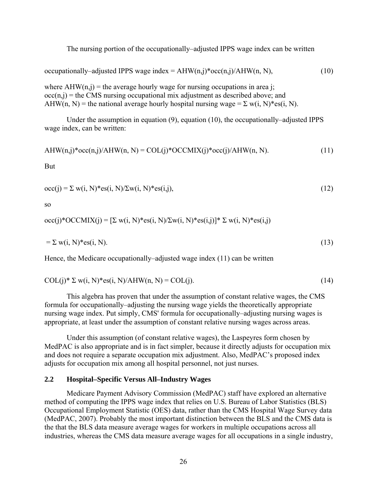The nursing portion of the occupationally–adjusted IPPS wage index can be written

<span id="page-31-0"></span>occupationally–adjusted IPPS wage index =  $AHW(n,j)*\text{occ}(n,j)/AHW(n, N)$ , (10)

where  $AHW(n,j)$  = the average hourly wage for nursing occupations in area j;  $occ(n,j)$  = the CMS nursing occupational mix adjustment as described above; and AHW(n, N) = the national average hourly hospital nursing wage =  $\Sigma$  w(i, N)\*es(i, N).

Under the assumption in equation (9), equation (10), the occupationally–adjusted IPPS wage index, can be written:

$$
AHW(n,j)*occ(n,j)/AHW(n,N) = COL(j)*OCCMIX(j)*occ(j)/AHW(n,N).
$$
\n(11)

But

$$
occ(j) = \sum w(i, N) * \text{es}(i, N) / \sum w(i, N) * \text{es}(i, j),
$$
\n(12)

so

occ(j)\*OCCMIX(j) =  $[\Sigma w(i, N)$ \*es(i, N) $\Sigma w(i, N)$ \*es(i,j)]\*  $\Sigma w(i, N)$ \*es(i,j)

$$
= \sum w(i, N)^* \text{es}(i, N). \tag{13}
$$

Hence, the Medicare occupationally–adjusted wage index (11) can be written

$$
COL(j)*\Sigma w(i, N)*es(i, N)/AHW(n, N) = COL(j).
$$
\n(14)

This algebra has proven that under the assumption of constant relative wages, the CMS formula for occupationally–adjusting the nursing wage yields the theoretically appropriate nursing wage index. Put simply, CMS' formula for occupationally–adjusting nursing wages is appropriate, at least under the assumption of constant relative nursing wages across areas.

Under this assumption (of constant relative wages), the Laspeyres form chosen by MedPAC is also appropriate and is in fact simpler, because it directly adjusts for occupation mix and does not require a separate occupation mix adjustment. Also, MedPAC's proposed index adjusts for occupation mix among all hospital personnel, not just nurses.

#### **2.2 Hospital–Specific Versus All–Industry Wages**

Medicare Payment Advisory Commission (MedPAC) staff have explored an alternative method of computing the IPPS wage index that relies on U.S. Bureau of Labor Statistics (BLS) Occupational Employment Statistic (OES) data, rather than the CMS Hospital Wage Survey data (MedPAC, 2007). Probably the most important distinction between the BLS and the CMS data is the that the BLS data measure average wages for workers in multiple occupations across all industries, whereas the CMS data measure average wages for all occupations in a single industry,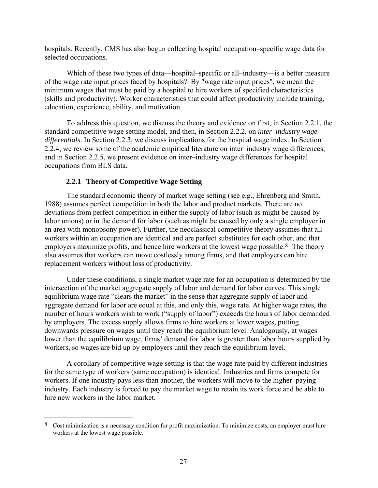<span id="page-32-0"></span>hospitals. Recently, CMS has also begun collecting hospital occupation–specific wage data for selected occupations.

Which of these two types of data—hospital–specific or all–industry—is a better measure of the wage rate input prices faced by hospitals? By "wage rate input prices", we mean the minimum wages that must be paid by a hospital to hire workers of specified characteristics (skills and productivity). Worker characteristics that could affect productivity include training, education, experience, ability, and motivation.

To address this question, we discuss the theory and evidence on first, in Section 2.2.1, the standard competitive wage setting model, and then, in Section 2.2.2, on *inter–industry wage differentials*. In Section 2.2.3, we discuss implications for the hospital wage index. In Section 2.2.4, we review some of the academic empirical literature on inter–industry wage differences, and in Section 2.2.5, we present evidence on inter–industry wage differences for hospital occupations from BLS data.

# **2.2.1 Theory of Competitive Wage Setting**

 $\overline{a}$ 

The standard economic theory of market wage setting (see e.g., Ehrenberg and Smith, 1988) assumes perfect competition in both the labor and product markets. There are no deviations from perfect competition in either the supply of labor (such as might be caused by labor unions) or in the demand for labor (such as might be caused by only a single employer in an area with monopsony power). Further, the neoclassical competitive theory assumes that all workers within an occupation are identical and are perfect substitutes for each other, and that employers maximize profits, and hence hire workers at the lowest wage possible.<sup>[8](#page-32-0)</sup> The theory also assumes that workers can move costlessly among firms, and that employers can hire replacement workers without loss of productivity.

Under these conditions, a single market wage rate for an occupation is determined by the intersection of the market aggregate supply of labor and demand for labor curves. This single equilibrium wage rate "clears the market" in the sense that aggregate supply of labor and aggregate demand for labor are equal at this, and only this, wage rate. At higher wage rates, the number of hours workers wish to work ("supply of labor") exceeds the hours of labor demanded by employers. The excess supply allows firms to hire workers at lower wages, putting downwards pressure on wages until they reach the equilibrium level. Analogously, at wages lower than the equilibrium wage, firms' demand for labor is greater than labor hours supplied by workers, so wages are bid up by employers until they reach the equilibrium level.

A corollary of competitive wage setting is that the wage rate paid by different industries for the same type of workers (same occupation) is identical. Industries and firms compete for workers. If one industry pays less than another, the workers will move to the higher–paying industry. Each industry is forced to pay the market wage to retain its work force and be able to hire new workers in the labor market.

<sup>8</sup> Cost minimization is a necessary condition for profit maximization. To minimize costs, an employer must hire workers at the lowest wage possible.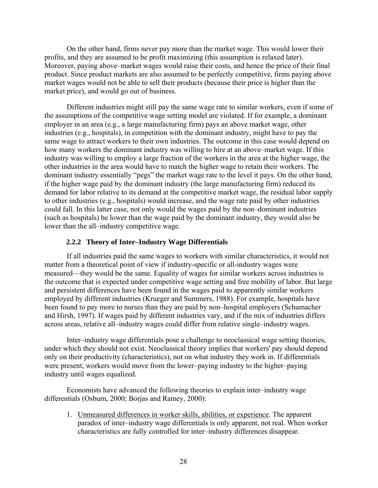<span id="page-33-0"></span>On the other hand, firms never pay more than the market wage. This would lower their profits, and they are assumed to be profit maximizing (this assumption is relaxed later). Moreover, paying above–market wages would raise their costs, and hence the price of their final product. Since product markets are also assumed to be perfectly competitive, firms paying above market wages would not be able to sell their products (because their price is higher than the market price), and would go out of business.

Different industries might still pay the same wage rate to similar workers, even if some of the assumptions of the competitive wage setting model are violated. If for example, a dominant employer in an area (e.g., a large manufacturing firm) pays an above market wage, other industries (e.g., hospitals), in competition with the dominant industry, might have to pay the same wage to attract workers to their own industries. The outcome in this case would depend on how many workers the dominant industry was willing to hire at an above–market wage. If this industry was willing to employ a large fraction of the workers in the area at the higher wage, the other industries in the area would have to match the higher wage to retain their workers. The dominant industry essentially "pegs" the market wage rate to the level it pays. On the other hand, if the higher wage paid by the dominant industry (the large manufacturing firm) reduced its demand for labor relative to its demand at the competitive market wage, the residual labor supply to other industries (e.g., hospitals) would increase, and the wage rate paid by other industries could fall. In this latter case, not only would the wages paid by the non–dominant industries (such as hospitals) be lower than the wage paid by the dominant industry, they would also be lower than the all–industry competitive wage.

# **2.2.2 Theory of Inter–Industry Wage Differentials**

If all industries paid the same wages to workers with similar characteristics, it would not matter from a theoretical point of view if industry-specific or all-industry wages were measured—they would be the same. Equality of wages for similar workers across industries is the outcome that is expected under competitive wage setting and free mobility of labor. But large and persistent differences have been found in the wages paid to apparently similar workers employed by different industries (Krueger and Summers, 1988). For example, hospitals have been found to pay more to nurses than they are paid by non–hospital employers (Schumacher and Hirsh, 1997). If wages paid by different industries vary, and if the mix of industries differs across areas, relative all–industry wages could differ from relative single–industry wages.

Inter–industry wage differentials pose a challenge to neoclassical wage setting theories, under which they should not exist. Neoclassical theory implies that workers' pay should depend only on their productivity (characteristics), not on what industry they work in. If differentials were present, workers would move from the lower–paying industry to the higher–paying industry until wages equalized.

Economists have advanced the following theories to explain inter–industry wage differentials (Osburn, 2000; Borjas and Ramey, 2000):

1. Unmeasured differences in worker skills, abilities, or experience. The apparent paradox of inter–industry wage differentials is only apparent, not real. When worker characteristics are fully controlled for inter–industry differences disappear.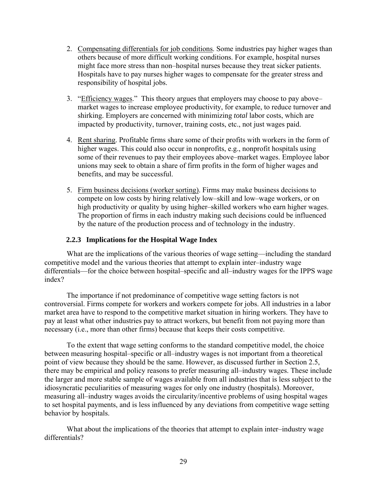- <span id="page-34-0"></span>2. Compensating differentials for job conditions. Some industries pay higher wages than others because of more difficult working conditions. For example, hospital nurses might face more stress than non–hospital nurses because they treat sicker patients. Hospitals have to pay nurses higher wages to compensate for the greater stress and responsibility of hospital jobs.
- 3. "Efficiency wages." This theory argues that employers may choose to pay above– market wages to increase employee productivity, for example, to reduce turnover and shirking. Employers are concerned with minimizing *total* labor costs, which are impacted by productivity, turnover, training costs, etc., not just wages paid.
- 4. Rent sharing. Profitable firms share some of their profits with workers in the form of higher wages. This could also occur in nonprofits, e.g., nonprofit hospitals using some of their revenues to pay their employees above–market wages. Employee labor unions may seek to obtain a share of firm profits in the form of higher wages and benefits, and may be successful.
- 5. Firm business decisions (worker sorting). Firms may make business decisions to compete on low costs by hiring relatively low–skill and low–wage workers, or on high productivity or quality by using higher–skilled workers who earn higher wages. The proportion of firms in each industry making such decisions could be influenced by the nature of the production process and of technology in the industry.

# **2.2.3 Implications for the Hospital Wage Index**

What are the implications of the various theories of wage setting—including the standard competitive model and the various theories that attempt to explain inter–industry wage differentials—for the choice between hospital–specific and all–industry wages for the IPPS wage index?

The importance if not predominance of competitive wage setting factors is not controversial. Firms compete for workers and workers compete for jobs. All industries in a labor market area have to respond to the competitive market situation in hiring workers. They have to pay at least what other industries pay to attract workers, but benefit from not paying more than necessary (i.e., more than other firms) because that keeps their costs competitive.

To the extent that wage setting conforms to the standard competitive model, the choice between measuring hospital–specific or all–industry wages is not important from a theoretical point of view because they should be the same. However, as discussed further in Section 2.5, there may be empirical and policy reasons to prefer measuring all–industry wages. These include the larger and more stable sample of wages available from all industries that is less subject to the idiosyncratic peculiarities of measuring wages for only one industry (hospitals). Moreover, measuring all–industry wages avoids the circularity/incentive problems of using hospital wages to set hospital payments, and is less influenced by any deviations from competitive wage setting behavior by hospitals.

What about the implications of the theories that attempt to explain inter–industry wage differentials?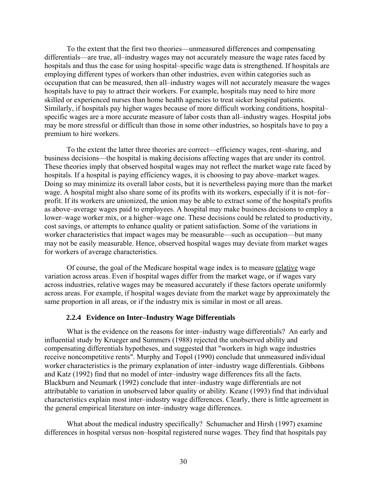<span id="page-35-0"></span>To the extent that the first two theories––unmeasured differences and compensating differentials––are true, all–industry wages may not accurately measure the wage rates faced by hospitals and thus the case for using hospital–specific wage data is strengthened. If hospitals are employing different types of workers than other industries, even within categories such as occupation that can be measured, then all–industry wages will not accurately measure the wages hospitals have to pay to attract their workers. For example, hospitals may need to hire more skilled or experienced nurses than home health agencies to treat sicker hospital patients. Similarly, if hospitals pay higher wages because of more difficult working conditions, hospital– specific wages are a more accurate measure of labor costs than all–industry wages. Hospital jobs may be more stressful or difficult than those in some other industries, so hospitals have to pay a premium to hire workers.

To the extent the latter three theories are correct––efficiency wages, rent–sharing, and business decisions––the hospital is making decisions affecting wages that are under its control. These theories imply that observed hospital wages may not reflect the market wage rate faced by hospitals. If a hospital is paying efficiency wages, it is choosing to pay above–market wages. Doing so may minimize its overall labor costs, but it is nevertheless paying more than the market wage. A hospital might also share some of its profits with its workers, especially if it is not–for– profit. If its workers are unionized, the union may be able to extract some of the hospital's profits as above–average wages paid to employees. A hospital may make business decisions to employ a lower–wage worker mix, or a higher–wage one. These decisions could be related to productivity, cost savings, or attempts to enhance quality or patient satisfaction. Some of the variations in worker characteristics that impact wages may be measurable—such as occupation—but many may not be easily measurable. Hence, observed hospital wages may deviate from market wages for workers of average characteristics.

Of course, the goal of the Medicare hospital wage index is to measure relative wage variation across areas. Even if hospital wages differ from the market wage, or if wages vary across industries, relative wages may be measured accurately if these factors operate uniformly across areas. For example, if hospital wages deviate from the market wage by approximately the same proportion in all areas, or if the industry mix is similar in most or all areas.

#### **2.2.4 Evidence on Inter–Industry Wage Differentials**

What is the evidence on the reasons for inter–industry wage differentials? An early and influential study by Krueger and Summers (1988) rejected the unobserved ability and compensating differentials hypotheses, and suggested that "workers in high wage industries receive noncompetitive rents". Murphy and Topol (1990) conclude that unmeasured individual worker characteristics is the primary explanation of inter–industry wage differentials. Gibbons and Katz (1992) find that no model of inter–industry wage differences fits all the facts. Blackburn and Neumark (1992) conclude that inter–industry wage differentials are not attributable to variation in unobserved labor quality or ability. Keane (1993) find that individual characteristics explain most inter–industry wage differences. Clearly, there is little agreement in the general empirical literature on inter–industry wage differences.

What about the medical industry specifically? Schumacher and Hirsh (1997) examine differences in hospital versus non–hospital registered nurse wages. They find that hospitals pay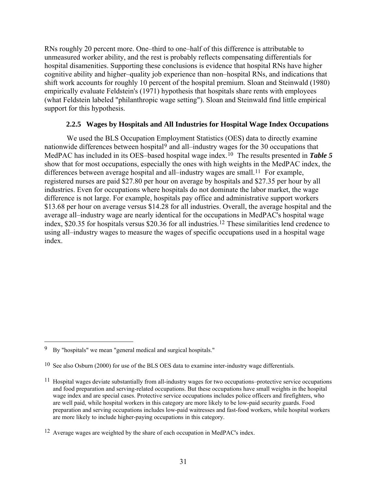<span id="page-36-0"></span>RNs roughly 20 percent more. One–third to one–half of this difference is attributable to unmeasured worker ability, and the rest is probably reflects compensating differentials for hospital disamenities. Supporting these conclusions is evidence that hospital RNs have higher cognitive ability and higher–quality job experience than non–hospital RNs, and indications that shift work accounts for roughly 10 percent of the hospital premium. Sloan and Steinwald (1980) empirically evaluate Feldstein's (1971) hypothesis that hospitals share rents with employees (what Feldstein labeled "philanthropic wage setting"). Sloan and Steinwald find little empirical support for this hypothesis.

### **2.2.5 Wages by Hospitals and All Industries for Hospital Wage Index Occupations**

We used the BLS Occupation Employment Statistics (OES) data to directly examine nationwide differences between hospital[9](#page-36-0) and all–industry wages for the 30 occupations that MedPAC has included in its OES–based hospital wage index.<sup>[10](#page-36-0)</sup> The results presented in *Table 5* show that for most occupations, especially the ones with high weights in the MedPAC index, the differences between average hospital and all–industry wages are small.<sup>[11](#page-36-0)</sup> For example, registered nurses are paid \$27.80 per hour on average by hospitals and \$27.35 per hour by all industries. Even for occupations where hospitals do not dominate the labor market, the wage difference is not large. For example, hospitals pay office and administrative support workers \$13.68 per hour on average versus \$14.28 for all industries. Overall, the average hospital and the average all–industry wage are nearly identical for the occupations in MedPAC's hospital wage index, \$20.35 for hospitals versus \$20.36 for all industries.[12](#page-36-0) These similarities lend credence to using all–industry wages to measure the wages of specific occupations used in a hospital wage index.

 $\overline{a}$ 

<sup>9</sup> By "hospitals" we mean "general medical and surgical hospitals."

<sup>10</sup> See also Osburn (2000) for use of the BLS OES data to examine inter-industry wage differentials.

<sup>&</sup>lt;sup>11</sup> Hospital wages deviate substantially from all-industry wages for two occupations–protective service occupations and food preparation and serving-related occupations. But these occupations have small weights in the hospital wage index and are special cases. Protective service occupations includes police officers and firefighters, who are well paid, while hospital workers in this category are more likely to be low-paid security guards. Food preparation and serving occupations includes low-paid waitresses and fast-food workers, while hospital workers are more likely to include higher-paying occupations in this category.

<sup>12</sup> Average wages are weighted by the share of each occupation in MedPAC's index.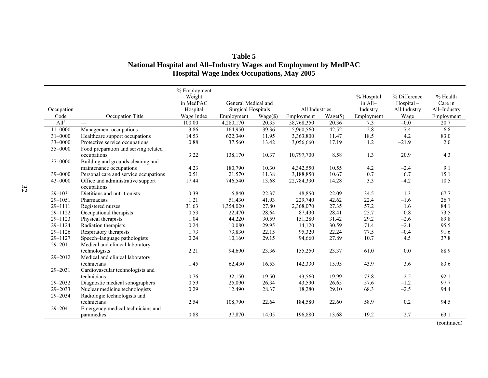### **Table 5 National Hospital and All–Industry Wages and Employment by MedPAC Hospital Wage Index Occupations, May 2005**

|                  |                                                  | % Employment<br>Weight<br>in MedPAC | General Medical and       |                   |                |                      | % Hospital<br>$in$ All- | % Difference<br>Hospital- | % Health<br>Care in |
|------------------|--------------------------------------------------|-------------------------------------|---------------------------|-------------------|----------------|----------------------|-------------------------|---------------------------|---------------------|
| Occupation       |                                                  | Hospital                            | <b>Surgical Hospitals</b> |                   | All Industries |                      | Industry                | All Industry              | All-Industry        |
| Code             | Occupation Title                                 | Wage Index                          | Employment                | $Wage(\text{\$})$ | Employment     | $Wage(\overline{$})$ | Employment              | Wage                      | Employment          |
| All <sup>1</sup> |                                                  | 100.00                              | 4,280,170                 | 20.35             | 58,768,350     | 20.36                | 7.3                     | $-0.0$                    | 20.7                |
| $11 - 0000$      | Management occupations                           | 3.86                                | 164,950                   | 39.36             | 5,960,560      | 42.52                | 2.8                     | $-7.4$                    | 6.8                 |
| $31 - 0000$      | Healthcare support occupations                   | 14.53                               | 622,340                   | 11.95             | 3,363,800      | 11.47                | 18.5                    | 4.2                       | 83.0                |
| 33-0000          | Protective service occupations                   | 0.88                                | 37,560                    | 13.42             | 3,056,660      | 17.19                | 1.2                     | $-21.9$                   | 2.0                 |
| 35-0000          | Food preparation and serving related             |                                     |                           |                   |                |                      |                         |                           |                     |
|                  | occupations                                      | 3.22                                | 138,170                   | 10.37             | 10,797,700     | 8.58                 | 1.3                     | 20.9                      | 4.3                 |
| 37-0000          | Building and grounds cleaning and                |                                     |                           |                   |                |                      |                         |                           |                     |
|                  | maintenance occupations                          | 4.23                                | 180,790                   | 10.30             | 4,342,550      | 10.55                | 4.2                     | $-2.4$                    | 9.1                 |
| 39-0000          | Personal care and service occupations            | 0.51                                | 21,570                    | 11.38             | 3,188,850      | 10.67                | 0.7                     | 6.7                       | 15.1                |
| 43-0000          | Office and administrative support<br>occupations | 17.44                               | 746,540                   | 13.68             | 22,784,330     | 14.28                | 3.3                     | $-4.2$                    | 10.5                |
| 29-1031          | Dietitians and nutritionists                     | 0.39                                | 16,840                    | 22.37             | 48,850         | 22.09                | 34.5                    | 1.3                       | 67.7                |
| 29-1051          | Pharmacists                                      | 1.21                                | 51,430                    | 41.93             | 229,740        | 42.62                | 22.4                    | $-1.6$                    | 26.7                |
| 29-1111          | Registered nurses                                | 31.63                               | 1,354,020                 | 27.80             | 2,368,070      | 27.35                | 57.2                    | 1.6                       | 84.1                |
| 29-1122          | Occupational therapists                          | 0.53                                | 22,470                    | 28.64             | 87,430         | 28.41                | 25.7                    | 0.8                       | 73.5                |
| $29 - 1123$      | Physical therapists                              | 1.04                                | 44,220                    | 30.59             | 151,280        | 31.42                | 29.2                    | $-2.6$                    | 89.8                |
| 29-1124          | Radiation therapists                             | 0.24                                | 10,080                    | 29.95             | 14,120         | 30.59                | 71.4                    | $-2.1$                    | 95.5                |
| 29-1126          | Respiratory therapists                           | 1.73                                | 73,830                    | 22.15             | 95,320         | 22.24                | 77.5                    | $-0.4$                    | 91.6                |
| $29 - 1127$      | Speech-language pathologists                     | 0.24                                | 10,160                    | 29.15             | 94,660         | 27.89                | 10.7                    | 4.5                       | 37.8                |
| 29-2011          | Medical and clinical laboratory                  |                                     |                           |                   |                |                      |                         |                           |                     |
|                  | technologists                                    | 2.21                                | 94,690                    | 23.36             | 155,250        | 23.37                | 61.0                    | 0.0                       | 88.9                |
| 29-2012          | Medical and clinical laboratory                  |                                     |                           |                   |                |                      |                         |                           |                     |
|                  | technicians                                      | 1.45                                | 62,430                    | 16.53             | 142,330        | 15.95                | 43.9                    | 3.6                       | 83.6                |
| 29-2031          | Cardiovascular technologists and                 |                                     |                           |                   |                |                      |                         |                           |                     |
|                  | technicians                                      | 0.76                                | 32,150                    | 19.50             | 43,560         | 19.99                | 73.8                    | $-2.5$                    | 92.1                |
| 29-2032          | Diagnostic medical sonographers                  | 0.59                                | 25,090                    | 26.34             | 43,590         | 26.65                | 57.6                    | $-1.2$                    | 97.7                |
| $29 - 2033$      | Nuclear medicine technologists                   | 0.29                                | 12,490                    | 28.37             | 18,280         | 29.10                | 68.3                    | $-2.5$                    | 94.4                |
| 29-2034          | Radiologic technologists and                     |                                     |                           |                   |                |                      |                         |                           |                     |
|                  | technicians                                      | 2.54                                | 108,790                   | 22.64             | 184,580        | 22.60                | 58.9                    | 0.2                       | 94.5                |
| 29-2041          | Emergency medical technicians and                |                                     |                           |                   |                |                      |                         |                           |                     |
|                  | paramedics                                       | 0.88                                | 37,870                    | 14.05             | 196,880        | 13.68                | 19.2                    | 2.7                       | 63.1                |

(continued)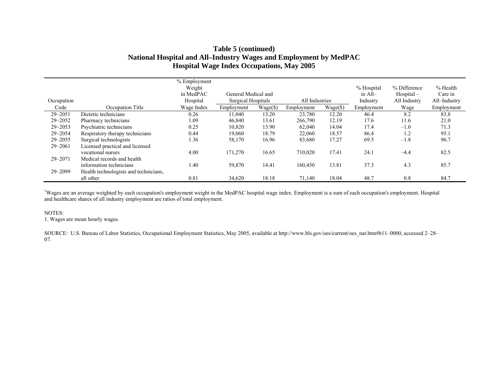# **Table 5 (continued) National Hospital and All–Industry Wages and Employment by MedPAC Hospital Wage Index Occupations, May 2005**

|             |                                       | % Employment |                           |          |                |          |                  |              |              |
|-------------|---------------------------------------|--------------|---------------------------|----------|----------------|----------|------------------|--------------|--------------|
|             |                                       | Weight       |                           |          |                |          | % Hospital       | % Difference | % Health     |
|             |                                       | in MedPAC    | General Medical and       |          |                |          | $\text{in}$ All- | $Hospital -$ | Care in      |
| Occupation  |                                       | Hospital     | <b>Surgical Hospitals</b> |          | All Industries |          | Industry         | All Industry | All-Industry |
| Code        | Occupation Title                      | Wage Index   | Employment                | Wage(\$) | Employment     | Wage(\$) | Employment       | Wage         | Employment   |
| $29 - 2051$ | Dietetic technicians                  | 0.26         | 11,040                    | 13.20    | 23,780         | 12.20    | 46.4             | 8.2          | 83.8         |
| 29-2052     | Pharmacy technicians                  | 1.09         | 46,840                    | 13.61    | 266,790        | 12.19    | 17.6             | 11.6         | 21.0         |
| $29 - 2053$ | Psychiatric technicians               | 0.25         | 10,820                    | 13.90    | 62,040         | 14.04    | 17.4             | $-1.0$       | 71.3         |
| 29-2054     | Respiratory therapy technicians       | 0.44         | 19,060                    | 18.79    | 22,060         | 18.57    | 86.4             | 1.2          | 95.1         |
| 29-2055     | Surgical technologists                | 1.36         | 58,170                    | 16.96    | 83,680         | 17.27    | 69.5             | $-1.8$       | 96.7         |
| 29-2061     | Licensed practical and licensed       |              |                           |          |                |          |                  |              |              |
|             | vocational nurses                     | 4.00         | 171,270                   | 16.65    | 710,020        | 17.41    | 24.1             | $-4.4$       | 82.5         |
| 29-2071     | Medical records and health            |              |                           |          |                |          |                  |              |              |
|             | information technicians               | 1.40         | 59,870                    | 14.41    | 160,450        | 13.81    | 37.3             | 4.3          | 85.7         |
| 29-2099     | Health technologists and technicians, |              |                           |          |                |          |                  |              |              |
|             | all other                             | 0.81         | 34,620                    | 18.18    | 71,140         | 18.04    | 48.7             | 0.8          | 84.7         |

<sup>1</sup>Wages are an average weighted by each occupation's employment weight in the MedPAC hospital wage index. Employment is a sum of each occupation's employment. Hospital and healthcare shares of all industry employment are ratios of total employment.

#### NOTES:

1. Wages are mean hourly wages.

SOURCE: U.S. Bureau of Labor Statistics, Occupational Employment Statistics, May 2005, available at http://www.bls.gov/oes/current/oes\_nat.htm#b11–0000, accessed 2–28– 07.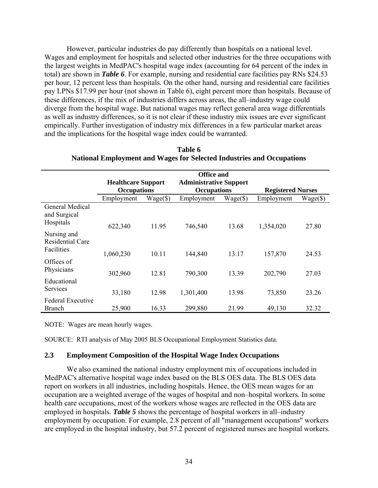However, particular industries do pay differently than hospitals on a national level. Wages and employment for hospitals and selected other industries for the three occupations with the largest weights in MedPAC's hospital wage index (accounting for 64 percent of the index in total) are shown in *Table 6*. For example, nursing and residential care facilities pay RNs \$24.53 per hour, 12 percent less than hospitals. On the other hand, nursing and residential care facilities pay LPNs \$17.99 per hour (not shown in Table 6), eight percent more than hospitals. Because of these differences, if the mix of industries differs across areas, the all–industry wage could diverge from the hospital wage. But national wages may reflect general area wage differentials as well as industry differences, so it is not clear if these industry mix issues are ever significant empirically. Further investigation of industry mix differences in a few particular market areas and the implications for the hospital wage index could be warranted.

|                                                      | <b>Healthcare Support</b><br><b>Occupations</b> |             | <b>Office and</b><br><b>Administrative Support</b><br><b>Occupations</b> |                   | <b>Registered Nurses</b> |             |  |
|------------------------------------------------------|-------------------------------------------------|-------------|--------------------------------------------------------------------------|-------------------|--------------------------|-------------|--|
|                                                      | Employment                                      | $Wage(\$\)$ | Employment                                                               | $Wage(\text{\$})$ | Employment               | $Wage(\$\)$ |  |
| General Medical<br>and Surgical<br>Hospitals         | 622,340                                         | 11.95       | 746,540                                                                  | 13.68             | 1,354,020                | 27.80       |  |
| Nursing and<br><b>Residential Care</b><br>Facilities |                                                 |             |                                                                          |                   |                          |             |  |
|                                                      | 1,060,230                                       | 10.11       | 144,840                                                                  | 13.17             | 157,870                  | 24.53       |  |
| Offices of<br>Physicians                             | 302,960                                         | 12.81       | 790,300                                                                  | 13.39             | 202,790                  | 27.03       |  |
| Educational<br>Services                              | 33,180                                          | 12.98       | 1,301,400                                                                | 13.98             | 73,850                   | 23.26       |  |
| <b>Federal Executive</b><br><b>Branch</b>            | 25,900                                          | 16.33       | 299,880                                                                  | 21.99             | 49,130                   | 32.32       |  |

| Table 6                                                                      |
|------------------------------------------------------------------------------|
| <b>National Employment and Wages for Selected Industries and Occupations</b> |

NOTE: Wages are mean hourly wages.

SOURCE: RTI analysis of May 2005 BLS Occupational Employment Statistics data.

#### **2.3 Employment Composition of the Hospital Wage Index Occupations**

We also examined the national industry employment mix of occupations included in MedPAC's alternative hospital wage index based on the BLS OES data. The BLS OES data report on workers in all industries, including hospitals. Hence, the OES mean wages for an occupation are a weighted average of the wages of hospital and non–hospital workers. In some health care occupations, most of the workers whose wages are reflected in the OES data are employed in hospitals. *Table 5* shows the percentage of hospital workers in all–industry employment by occupation. For example, 2.8 percent of all "management occupations" workers are employed in the hospital industry, but 57.2 percent of registered nurses are hospital workers.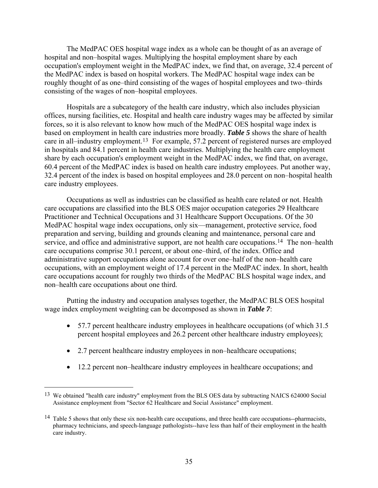<span id="page-40-0"></span>The MedPAC OES hospital wage index as a whole can be thought of as an average of hospital and non–hospital wages. Multiplying the hospital employment share by each occupation's employment weight in the MedPAC index, we find that, on average, 32.4 percent of the MedPAC index is based on hospital workers. The MedPAC hospital wage index can be roughly thought of as one–third consisting of the wages of hospital employees and two–thirds consisting of the wages of non–hospital employees.

Hospitals are a subcategory of the health care industry, which also includes physician offices, nursing facilities, etc. Hospital and health care industry wages may be affected by similar forces, so it is also relevant to know how much of the MedPAC OES hospital wage index is based on employment in health care industries more broadly. *Table 5* shows the share of health care in all–industry employment.[13](#page-40-0) For example, 57.2 percent of registered nurses are employed in hospitals and 84.1 percent in health care industries. Multiplying the health care employment share by each occupation's employment weight in the MedPAC index, we find that, on average, 60.4 percent of the MedPAC index is based on health care industry employees. Put another way, 32.4 percent of the index is based on hospital employees and 28.0 percent on non–hospital health care industry employees.

Occupations as well as industries can be classified as health care related or not. Health care occupations are classified into the BLS OES major occupation categories 29 Healthcare Practitioner and Technical Occupations and 31 Healthcare Support Occupations. Of the 30 MedPAC hospital wage index occupations, only six––management, protective service, food preparation and serving, building and grounds cleaning and maintenance, personal care and service, and office and administrative support, are not health care occupations.<sup>[14](#page-40-0)</sup> The non–health care occupations comprise 30.1 percent, or about one–third, of the index. Office and administrative support occupations alone account for over one–half of the non–health care occupations, with an employment weight of 17.4 percent in the MedPAC index. In short, health care occupations account for roughly two thirds of the MedPAC BLS hospital wage index, and non–health care occupations about one third.

Putting the industry and occupation analyses together, the MedPAC BLS OES hospital wage index employment weighting can be decomposed as shown in *Table 7*:

- 57.7 percent healthcare industry employees in healthcare occupations (of which 31.5) percent hospital employees and 26.2 percent other healthcare industry employees);
- 2.7 percent healthcare industry employees in non–healthcare occupations;
- 12.2 percent non–healthcare industry employees in healthcare occupations; and

 $\overline{a}$ 

<sup>&</sup>lt;sup>13</sup> We obtained "health care industry" employment from the BLS OES data by subtracting NAICS 624000 Social Assistance employment from "Sector 62 Healthcare and Social Assistance" employment.

 $14$  Table 5 shows that only these six non-health care occupations, and three health care occupations--pharmacists, pharmacy technicians, and speech-language pathologists--have less than half of their employment in the health care industry.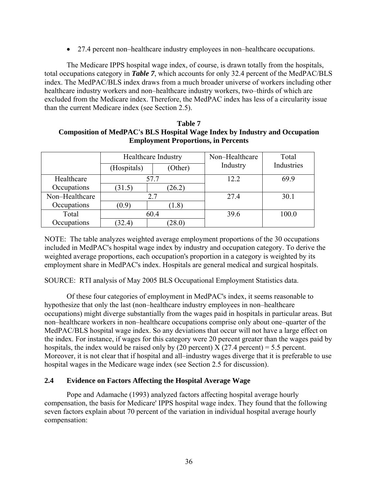• 27.4 percent non–healthcare industry employees in non–healthcare occupations.

The Medicare IPPS hospital wage index, of course, is drawn totally from the hospitals, total occupations category in *Table 7*, which accounts for only 32.4 percent of the MedPAC/BLS index. The MedPAC/BLS index draws from a much broader universe of workers including other healthcare industry workers and non–healthcare industry workers, two–thirds of which are excluded from the Medicare index. Therefore, the MedPAC index has less of a circularity issue than the current Medicare index (see Section 2.5).

| Table 7                                                                           |
|-----------------------------------------------------------------------------------|
| <b>Composition of MedPAC's BLS Hospital Wage Index by Industry and Occupation</b> |
| <b>Employment Proportions, in Percents</b>                                        |

|                    |             | <b>Healthcare Industry</b> | Non-Healthcare | Total      |  |
|--------------------|-------------|----------------------------|----------------|------------|--|
|                    | (Hospitals) | (Other)                    | Industry       | Industries |  |
| Healthcare<br>57.7 |             |                            | 12.2           | 69.9       |  |
| Occupations        | (31.5)      | (26.2)                     |                |            |  |
| Non-Healthcare     |             | 2.7                        | 27.4           | 30.1       |  |
| Occupations        | (0.9)       | $1.8^{\circ}$              |                |            |  |
| Total              |             | 60.4                       | 39.6           | 100.0      |  |
| Occupations        | (32.4)      | $28.0^\circ$               |                |            |  |

NOTE: The table analyzes weighted average employment proportions of the 30 occupations included in MedPAC's hospital wage index by industry and occupation category. To derive the weighted average proportions, each occupation's proportion in a category is weighted by its employment share in MedPAC's index. Hospitals are general medical and surgical hospitals.

SOURCE: RTI analysis of May 2005 BLS Occupational Employment Statistics data.

Of these four categories of employment in MedPAC's index, it seems reasonable to hypothesize that only the last (non–healthcare industry employees in non–healthcare occupations) might diverge substantially from the wages paid in hospitals in particular areas. But non–healthcare workers in non–healthcare occupations comprise only about one–quarter of the MedPAC/BLS hospital wage index. So any deviations that occur will not have a large effect on the index. For instance, if wages for this category were 20 percent greater than the wages paid by hospitals, the index would be raised only by (20 percent)  $X$  (27.4 percent) = 5.5 percent. Moreover, it is not clear that if hospital and all–industry wages diverge that it is preferable to use hospital wages in the Medicare wage index (see Section 2.5 for discussion).

## **2.4 Evidence on Factors Affecting the Hospital Average Wage**

Pope and Adamache (1993) analyzed factors affecting hospital average hourly compensation, the basis for Medicare' IPPS hospital wage index. They found that the following seven factors explain about 70 percent of the variation in individual hospital average hourly compensation: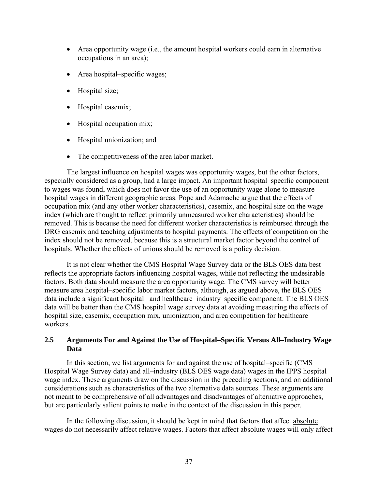- Area opportunity wage (i.e., the amount hospital workers could earn in alternative occupations in an area);
- Area hospital–specific wages;
- Hospital size;
- Hospital casemix;
- Hospital occupation mix;
- Hospital unionization; and
- The competitiveness of the area labor market.

The largest influence on hospital wages was opportunity wages, but the other factors, especially considered as a group, had a large impact. An important hospital–specific component to wages was found, which does not favor the use of an opportunity wage alone to measure hospital wages in different geographic areas. Pope and Adamache argue that the effects of occupation mix (and any other worker characteristics), casemix, and hospital size on the wage index (which are thought to reflect primarily unmeasured worker characteristics) should be removed. This is because the need for different worker characteristics is reimbursed through the DRG casemix and teaching adjustments to hospital payments. The effects of competition on the index should not be removed, because this is a structural market factor beyond the control of hospitals. Whether the effects of unions should be removed is a policy decision.

It is not clear whether the CMS Hospital Wage Survey data or the BLS OES data best reflects the appropriate factors influencing hospital wages, while not reflecting the undesirable factors. Both data should measure the area opportunity wage. The CMS survey will better measure area hospital–specific labor market factors, although, as argued above, the BLS OES data include a significant hospital– and healthcare–industry–specific component. The BLS OES data will be better than the CMS hospital wage survey data at avoiding measuring the effects of hospital size, casemix, occupation mix, unionization, and area competition for healthcare workers.

## **2.5 Arguments For and Against the Use of Hospital–Specific Versus All–Industry Wage Data**

In this section, we list arguments for and against the use of hospital–specific (CMS Hospital Wage Survey data) and all–industry (BLS OES wage data) wages in the IPPS hospital wage index. These arguments draw on the discussion in the preceding sections, and on additional considerations such as characteristics of the two alternative data sources. These arguments are not meant to be comprehensive of all advantages and disadvantages of alternative approaches, but are particularly salient points to make in the context of the discussion in this paper.

In the following discussion, it should be kept in mind that factors that affect absolute wages do not necessarily affect relative wages. Factors that affect absolute wages will only affect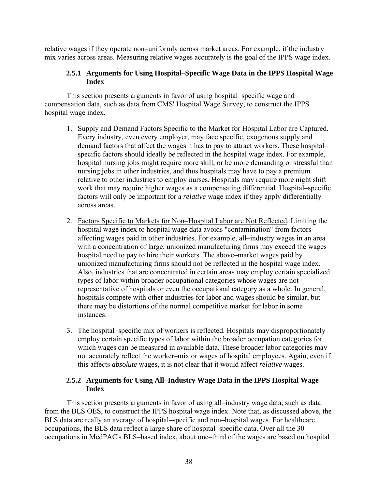relative wages if they operate non–uniformly across market areas. For example, if the industry mix varies across areas. Measuring relative wages accurately is the goal of the IPPS wage index.

# **2.5.1 Arguments for Using Hospital–Specific Wage Data in the IPPS Hospital Wage Index**

This section presents arguments in favor of using hospital–specific wage and compensation data, such as data from CMS' Hospital Wage Survey, to construct the IPPS hospital wage index.

- 1. Supply and Demand Factors Specific to the Market for Hospital Labor are Captured. Every industry, even every employer, may face specific, exogenous supply and demand factors that affect the wages it has to pay to attract workers. These hospital– specific factors should ideally be reflected in the hospital wage index. For example, hospital nursing jobs might require more skill, or be more demanding or stressful than nursing jobs in other industries, and thus hospitals may have to pay a premium relative to other industries to employ nurses. Hospitals may require more night shift work that may require higher wages as a compensating differential. Hospital–specific factors will only be important for a *relative* wage index if they apply differentially across areas.
- 2. Factors Specific to Markets for Non–Hospital Labor are Not Reflected. Limiting the hospital wage index to hospital wage data avoids "contamination" from factors affecting wages paid in other industries. For example, all–industry wages in an area with a concentration of large, unionized manufacturing firms may exceed the wages hospital need to pay to hire their workers. The above–market wages paid by unionized manufacturing firms should not be reflected in the hospital wage index. Also, industries that are concentrated in certain areas may employ certain specialized types of labor within broader occupational categories whose wages are not representative of hospitals or even the occupational category as a whole. In general, hospitals compete with other industries for labor and wages should be similar, but there may be distortions of the normal competitive market for labor in some instances.
- 3. The hospital–specific mix of workers is reflected. Hospitals may disproportionately employ certain specific types of labor within the broader occupation categories for which wages can be measured in available data. These broader labor categories may not accurately reflect the worker–mix or wages of hospital employees. Again, even if this affects *absolute* wages, it is not clear that it would affect *relative* wages.

## **2.5.2 Arguments for Using All–Industry Wage Data in the IPPS Hospital Wage Index**

This section presents arguments in favor of using all–industry wage data, such as data from the BLS OES, to construct the IPPS hospital wage index. Note that, as discussed above, the BLS data are really an average of hospital–specific and non–hospital wages. For healthcare occupations, the BLS data reflect a large share of hospital–specific data. Over all the 30 occupations in MedPAC's BLS–based index, about one–third of the wages are based on hospital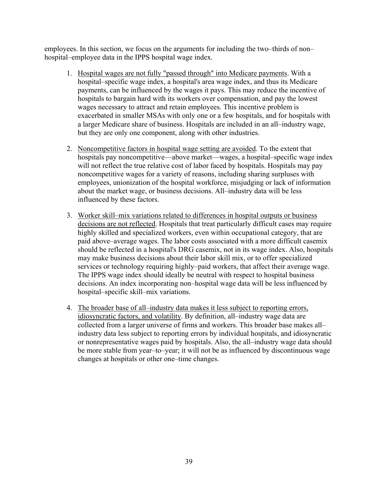employees. In this section, we focus on the arguments for including the two–thirds of non– hospital–employee data in the IPPS hospital wage index.

- 1. Hospital wages are not fully "passed through" into Medicare payments. With a hospital–specific wage index, a hospital's area wage index, and thus its Medicare payments, can be influenced by the wages it pays. This may reduce the incentive of hospitals to bargain hard with its workers over compensation, and pay the lowest wages necessary to attract and retain employees. This incentive problem is exacerbated in smaller MSAs with only one or a few hospitals, and for hospitals with a larger Medicare share of business. Hospitals are included in an all–industry wage, but they are only one component, along with other industries.
- 2. Noncompetitive factors in hospital wage setting are avoided. To the extent that hospitals pay noncompetitive—above market—wages, a hospital–specific wage index will not reflect the true relative cost of labor faced by hospitals. Hospitals may pay noncompetitive wages for a variety of reasons, including sharing surpluses with employees, unionization of the hospital workforce, misjudging or lack of information about the market wage, or business decisions. All–industry data will be less influenced by these factors.
- 3. Worker skill–mix variations related to differences in hospital outputs or business decisions are not reflected. Hospitals that treat particularly difficult cases may require highly skilled and specialized workers, even within occupational category, that are paid above–average wages. The labor costs associated with a more difficult casemix should be reflected in a hospital's DRG casemix, not in its wage index. Also, hospitals may make business decisions about their labor skill mix, or to offer specialized services or technology requiring highly–paid workers, that affect their average wage. The IPPS wage index should ideally be neutral with respect to hospital business decisions. An index incorporating non–hospital wage data will be less influenced by hospital–specific skill–mix variations.
- 4. The broader base of all–industry data makes it less subject to reporting errors, idiosyncratic factors, and volatility. By definition, all–industry wage data are collected from a larger universe of firms and workers. This broader base makes all– industry data less subject to reporting errors by individual hospitals, and idiosyncratic or nonrepresentative wages paid by hospitals. Also, the all–industry wage data should be more stable from year–to–year; it will not be as influenced by discontinuous wage changes at hospitals or other one–time changes.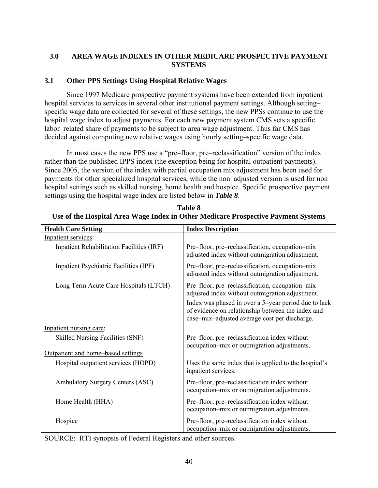# **3.0 AREA WAGE INDEXES IN OTHER MEDICARE PROSPECTIVE PAYMENT SYSTEMS**

# **3.1 Other PPS Settings Using Hospital Relative Wages**

Since 1997 Medicare prospective payment systems have been extended from inpatient hospital services to services in several other institutional payment settings. Although setting– specific wage data are collected for several of these settings, the new PPSs continue to use the hospital wage index to adjust payments. For each new payment system CMS sets a specific labor–related share of payments to be subject to area wage adjustment. Thus far CMS has decided against computing new relative wages using hourly setting–specific wage data.

In most cases the new PPS use a "pre–floor, pre–reclassification" version of the index rather than the published IPPS index (the exception being for hospital outpatient payments). Since 2005, the version of the index with partial occupation mix adjustment has been used for payments for other specialized hospital services, while the non–adjusted version is used for non– hospital settings such as skilled nursing, home health and hospice. Specific prospective payment settings using the hospital wage index are listed below in *Table 8*.

| <b>Health Care Setting</b>                | <b>Index Description</b>                                                                                                                                                                                                                                         |
|-------------------------------------------|------------------------------------------------------------------------------------------------------------------------------------------------------------------------------------------------------------------------------------------------------------------|
| Inpatient services:                       |                                                                                                                                                                                                                                                                  |
| Inpatient Rehabilitation Facilities (IRF) | Pre-floor, pre-reclassification, occupation-mix<br>adjusted index without outmigration adjustment.                                                                                                                                                               |
| Inpatient Psychiatric Facilities (IPF)    | Pre-floor, pre-reclassification, occupation-mix<br>adjusted index without outmigration adjustment.                                                                                                                                                               |
| Long Term Acute Care Hospitals (LTCH)     | Pre-floor, pre-reclassification, occupation-mix<br>adjusted index without outmigration adjustment.<br>Index was phased in over a 5-year period due to lack<br>of evidence on relationship between the index and<br>case-mix-adjusted average cost per discharge. |
| Inpatient nursing care:                   |                                                                                                                                                                                                                                                                  |
| <b>Skilled Nursing Facilities (SNF)</b>   | Pre–floor, pre–reclassification index without<br>occupation-mix or outmigration adjustments.                                                                                                                                                                     |
| Outpatient and home-based settings        |                                                                                                                                                                                                                                                                  |
| Hospital outpatient services (HOPD)       | Uses the same index that is applied to the hospital's<br>inpatient services.                                                                                                                                                                                     |
| Ambulatory Surgery Centers (ASC)          | Pre–floor, pre–reclassification index without<br>occupation-mix or outmigration adjustments.                                                                                                                                                                     |
| Home Health (HHA)                         | Pre-floor, pre-reclassification index without<br>occupation–mix or outmigration adjustments.                                                                                                                                                                     |
| Hospice                                   | Pre-floor, pre-reclassification index without<br>occupation-mix or outmigration adjustments.                                                                                                                                                                     |

**Table 8 Use of the Hospital Area Wage Index in Other Medicare Prospective Payment Systems** 

SOURCE: RTI synopsis of Federal Registers and other sources.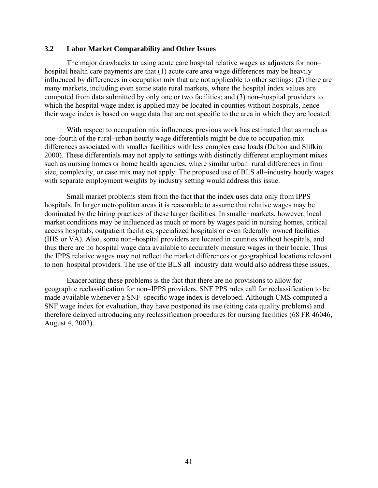### **3.2 Labor Market Comparability and Other Issues**

The major drawbacks to using acute care hospital relative wages as adjusters for non– hospital health care payments are that (1) acute care area wage differences may be heavily influenced by differences in occupation mix that are not applicable to other settings; (2) there are many markets, including even some state rural markets, where the hospital index values are computed from data submitted by only one or two facilities; and (3) non–hospital providers to which the hospital wage index is applied may be located in counties without hospitals, hence their wage index is based on wage data that are not specific to the area in which they are located.

With respect to occupation mix influences, previous work has estimated that as much as one–fourth of the rural–urban hourly wage differentials might be due to occupation mix differences associated with smaller facilities with less complex case loads (Dalton and Slifkin 2000). These differentials may not apply to settings with distinctly different employment mixes such as nursing homes or home health agencies, where similar urban–rural differences in firm size, complexity, or case mix may not apply. The proposed use of BLS all–industry hourly wages with separate employment weights by industry setting would address this issue.

Small market problems stem from the fact that the index uses data only from IPPS hospitals. In larger metropolitan areas it is reasonable to assume that relative wages may be dominated by the hiring practices of these larger facilities. In smaller markets, however, local market conditions may be influenced as much or more by wages paid in nursing homes, critical access hospitals, outpatient facilities, specialized hospitals or even federally–owned facilities (IHS or VA). Also, some non–hospital providers are located in counties without hospitals, and thus there are no hospital wage data available to accurately measure wages in their locale. Thus the IPPS relative wages may not reflect the market differences or geographical locations relevant to non–hospital providers. The use of the BLS all–industry data would also address these issues.

Exacerbating these problems is the fact that there are no provisions to allow for geographic reclassification for non–IPPS providers. SNF PPS rules call for reclassification to be made available whenever a SNF–specific wage index is developed. Although CMS computed a SNF wage index for evaluation, they have postponed its use (citing data quality problems) and therefore delayed introducing any reclassification procedures for nursing facilities (68 FR 46046, August 4, 2003).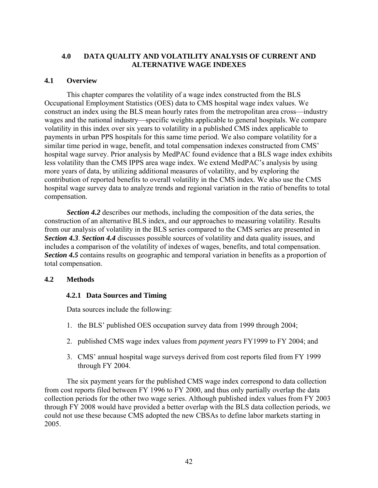## **4.0 DATA QUALITY AND VOLATILITY ANALYSIS OF CURRENT AND ALTERNATIVE WAGE INDEXES**

### **4.1 Overview**

This chapter compares the volatility of a wage index constructed from the BLS Occupational Employment Statistics (OES) data to CMS hospital wage index values. We construct an index using the BLS mean hourly rates from the metropolitan area cross—industry wages and the national industry—specific weights applicable to general hospitals. We compare volatility in this index over six years to volatility in a published CMS index applicable to payments in urban PPS hospitals for this same time period. We also compare volatility for a similar time period in wage, benefit, and total compensation indexes constructed from CMS' hospital wage survey. Prior analysis by MedPAC found evidence that a BLS wage index exhibits less volatility than the CMS IPPS area wage index. We extend MedPAC's analysis by using more years of data, by utilizing additional measures of volatility, and by exploring the contribution of reported benefits to overall volatility in the CMS index. We also use the CMS hospital wage survey data to analyze trends and regional variation in the ratio of benefits to total compensation.

*Section 4.2* describes our methods, including the composition of the data series, the construction of an alternative BLS index, and our approaches to measuring volatility. Results from our analysis of volatility in the BLS series compared to the CMS series are presented in *Section 4.3*. *Section 4.4* discusses possible sources of volatility and data quality issues, and includes a comparison of the volatility of indexes of wages, benefits, and total compensation. *Section 4.5* contains results on geographic and temporal variation in benefits as a proportion of total compensation.

### **4.2 Methods**

## **4.2.1 Data Sources and Timing**

Data sources include the following:

- 1. the BLS' published OES occupation survey data from 1999 through 2004;
- 2. published CMS wage index values from *payment years* FY1999 to FY 2004; and
- 3. CMS' annual hospital wage surveys derived from cost reports filed from FY 1999 through FY 2004.

The six payment years for the published CMS wage index correspond to data collection from cost reports filed between FY 1996 to FY 2000, and thus only partially overlap the data collection periods for the other two wage series. Although published index values from FY 2003 through FY 2008 would have provided a better overlap with the BLS data collection periods, we could not use these because CMS adopted the new CBSAs to define labor markets starting in 2005.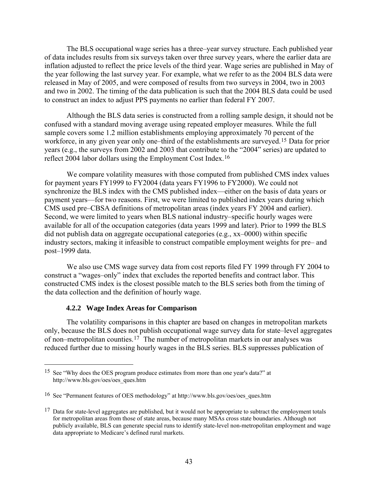<span id="page-48-0"></span>The BLS occupational wage series has a three–year survey structure. Each published year of data includes results from six surveys taken over three survey years, where the earlier data are inflation adjusted to reflect the price levels of the third year. Wage series are published in May of the year following the last survey year. For example, what we refer to as the 2004 BLS data were released in May of 2005, and were composed of results from two surveys in 2004, two in 2003 and two in 2002. The timing of the data publication is such that the 2004 BLS data could be used to construct an index to adjust PPS payments no earlier than federal FY 2007.

Although the BLS data series is constructed from a rolling sample design, it should not be confused with a standard moving average using repeated employer measures. While the full sample covers some 1.2 million establishments employing approximately 70 percent of the workforce, in any given year only one–third of the establishments are surveyed.[15](#page-48-0) Data for prior years (e.g., the surveys from 2002 and 2003 that contribute to the "2004" series) are updated to reflect 2004 labor dollars using the Employment Cost Index.[16](#page-48-0)

We compare volatility measures with those computed from published CMS index values for payment years FY1999 to FY2004 (data years FY1996 to FY2000). We could not synchronize the BLS index with the CMS published index—either on the basis of data years or payment years—for two reasons. First, we were limited to published index years during which CMS used pre–CBSA definitions of metropolitan areas (index years FY 2004 and earlier). Second, we were limited to years when BLS national industry–specific hourly wages were available for all of the occupation categories (data years 1999 and later). Prior to 1999 the BLS did not publish data on aggregate occupational categories (e.g., xx–0000) within specific industry sectors, making it infeasible to construct compatible employment weights for pre– and post–1999 data.

We also use CMS wage survey data from cost reports filed FY 1999 through FY 2004 to construct a "wages–only" index that excludes the reported benefits and contract labor. This constructed CMS index is the closest possible match to the BLS series both from the timing of the data collection and the definition of hourly wage.

### **4.2.2 Wage Index Areas for Comparison**

 $\overline{a}$ 

The volatility comparisons in this chapter are based on changes in metropolitan markets only, because the BLS does not publish occupational wage survey data for state–level aggregates of non–metropolitan counties.[17](#page-48-0) The number of metropolitan markets in our analyses was reduced further due to missing hourly wages in the BLS series. BLS suppresses publication of

<sup>15</sup> See "Why does the OES program produce estimates from more than one year's data?" at http://www.bls.gov/oes/oes\_ques.htm

<sup>16</sup> See "Permanent features of OES methodology" at http://www.bls.gov/oes/oes\_ques.htm

 $17$  Data for state-level aggregates are published, but it would not be appropriate to subtract the employment totals for metropolitan areas from those of state areas, because many MSAs cross state boundaries. Although not publicly available, BLS can generate special runs to identify state-level non-metropolitan employment and wage data appropriate to Medicare's defined rural markets.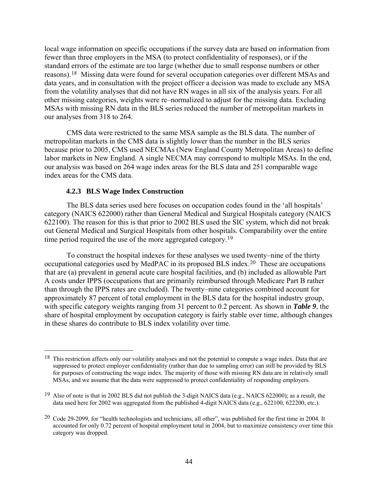<span id="page-49-0"></span>local wage information on specific occupations if the survey data are based on information from fewer than three employers in the MSA (to protect confidentiality of responses), or if the standard errors of the estimate are too large (whether due to small response numbers or other reasons).[18](#page-49-0) Missing data were found for several occupation categories over different MSAs and data years, and in consultation with the project officer a decision was made to exclude any MSA from the volatility analyses that did not have RN wages in all six of the analysis years. For all other missing categories, weights were re–normalized to adjust for the missing data. Excluding MSAs with missing RN data in the BLS series reduced the number of metropolitan markets in our analyses from 318 to 264.

CMS data were restricted to the same MSA sample as the BLS data. The number of metropolitan markets in the CMS data is slightly lower than the number in the BLS series because prior to 2005, CMS used NECMAs (New England County Metropolitan Areas) to define labor markets in New England. A single NECMA may correspond to multiple MSAs. In the end, our analysis was based on 264 wage index areas for the BLS data and 251 comparable wage index areas for the CMS data.

### **4.2.3 BLS Wage Index Construction**

 $\overline{a}$ 

The BLS data series used here focuses on occupation codes found in the 'all hospitals' category (NAICS 622000) rather than General Medical and Surgical Hospitals category (NAICS 622100). The reason for this is that prior to 2002 BLS used the SIC system, which did not break out General Medical and Surgical Hospitals from other hospitals. Comparability over the entire time period required the use of the more aggregated category.<sup>[19](#page-49-0)</sup>

To construct the hospital indexes for these analyses we used twenty–nine of the thirty occupational categories used by MedPAC in its proposed BLS index.[20](#page-49-0) These are occupations that are (a) prevalent in general acute care hospital facilities, and (b) included as allowable Part A costs under IPPS (occupations that are primarily reimbursed through Medicare Part B rather than through the IPPS rates are excluded). The twenty–nine categories combined account for approximately 87 percent of total employment in the BLS data for the hospital industry group, with specific category weights ranging from 31 percent to 0.2 percent. As shown in *Table 9*, the share of hospital employment by occupation category is fairly stable over time, although changes in these shares do contribute to BLS index volatility over time.

<sup>&</sup>lt;sup>18</sup> This restriction affects only our volatility analyses and not the potential to compute a wage index. Data that are suppressed to protect employer confidentiality (rather than due to sampling error) can still be provided by BLS for purposes of constructing the wage index. The majority of those with missing RN data are in relatively small MSAs, and we assume that the data were suppressed to protect confidentiality of responding employers.

<sup>19</sup> Also of note is that in 2002 BLS did not publish the 3-digit NAICS data (e.g., NAICS 622000); as a result, the data used here for 2002 was aggregated from the published 4-digit NAICS data (e.g., 622100, 622200, etc.).

<sup>20</sup> Code 29-2099, for "health technologists and technicians, all other", was published for the first time in 2004. It accounted for only 0.72 percent of hospital employment total in 2004, but to maximize consistency over time this category was dropped.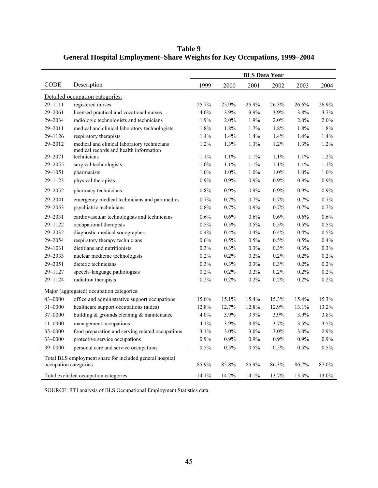**Table 9 General Hospital Employment–Share Weights for Key Occupations, 1999–2004** 

|                       |                                                                                       | <b>BLS Data Year</b> |       |         |         |         |         |
|-----------------------|---------------------------------------------------------------------------------------|----------------------|-------|---------|---------|---------|---------|
| CODE                  | Description                                                                           | 1999                 | 2000  | 2001    | 2002    | 2003    | 2004    |
|                       | Detailed occupation categories:                                                       |                      |       |         |         |         |         |
| 29-1111               | registered nurses                                                                     | 25.7%                | 25.9% | 25.9%   | 26.3%   | 26.6%   | 26.9%   |
| 29-2061               | licensed practical and vocational nurses                                              | 4.0%                 | 3.9%  | 3.9%    | 3.9%    | 3.8%    | 3.7%    |
| 29-2034               | radiologic technologists and technicians                                              | 1.9%                 | 2.0%  | 1.9%    | 2.0%    | 2.0%    | 2.0%    |
| 29-2011               | medical and clinical laboratory technologists                                         | 1.8%                 | 1.8%  | 1.7%    | 1.8%    | 1.8%    | 1.8%    |
| $29 - 1126$           | respiratory therapists                                                                | 1.4%                 | 1.4%  | 1.4%    | 1.4%    | 1.4%    | 1.4%    |
| 29-2012               | medical and clinical laboratory technicians<br>medical records and health information | 1.2%                 | 1.3%  | 1.3%    | 1.2%    | 1.3%    | 1.2%    |
| 29-2071               | technicians                                                                           | 1.1%                 | 1.1%  | 1.1%    | 1.1%    | 1.1%    | 1.2%    |
| $29 - 2055$           | surgical technologists                                                                | 1.0%                 | 1.1%  | 1.1%    | 1.1%    | 1.1%    | 1.1%    |
| 29-1051               | pharmacists                                                                           | 1.0%                 | 1.0%  | 1.0%    | 1.0%    | 1.0%    | 1.0%    |
| $29 - 1123$           | physical therapists                                                                   | 0.9%                 | 0.9%  | 0.9%    | 0.9%    | $0.9\%$ | $0.9\%$ |
| 29-2052               | pharmacy technicians                                                                  | 0.8%                 | 0.9%  | $0.9\%$ | $0.9\%$ | $0.9\%$ | 0.9%    |
| $29 - 2041$           | emergency medical technicians and paramedics                                          | 0.7%                 | 0.7%  | 0.7%    | 0.7%    | $0.7\%$ | 0.7%    |
| 29-2053               | psychiatric technicians                                                               | 0.8%                 | 0.7%  | 0.9%    | 0.7%    | 0.7%    | 0.7%    |
| 29-2031               | cardiovascular technologists and technicians                                          | 0.6%                 | 0.6%  | $0.6\%$ | 0.6%    | $0.6\%$ | $0.6\%$ |
| $29 - 1122$           | occupational therapists                                                               | 0.5%                 | 0.5%  | 0.5%    | 0.5%    | 0.5%    | 0.5%    |
| 29-2032               | diagnostic medical sonographers                                                       | 0.4%                 | 0.4%  | 0.4%    | 0.4%    | $0.4\%$ | 0.5%    |
| 29-2054               | respiratory therapy technicians                                                       | 0.6%                 | 0.5%  | 0.5%    | 0.5%    | 0.5%    | $0.4\%$ |
| 29-1031               | dietitians and nutritionists                                                          | 0.3%                 | 0.3%  | 0.3%    | 0.3%    | 0.3%    | $0.3\%$ |
| 29-2033               | nuclear medicine technologists                                                        | 0.2%                 | 0.2%  | 0.2%    | 0.2%    | 0.2%    | 0.2%    |
| $29 - 2051$           | dietetic technicians                                                                  | 0.3%                 | 0.3%  | 0.3%    | 0.3%    | 0.2%    | 0.2%    |
| 29-1127               | speech-language pathologists                                                          | 0.2%                 | 0.2%  | 0.2%    | 0.2%    | $0.2\%$ | 0.2%    |
| 29-1124               | radiation therapists                                                                  | 0.2%                 | 0.2%  | 0.2%    | 0.2%    | 0.2%    | 0.2%    |
|                       | Major (aggregated) occupation categories:                                             |                      |       |         |         |         |         |
| 43-0000               | office and administrative support occupations                                         | 15.0%                | 15.1% | 15.4%   | 15.3%   | 15.4%   | 15.3%   |
| $31 - 0000$           | healthcare support occupations (aides)                                                | 12.8%                | 12.7% | 12.8%   | 12.9%   | 13.1%   | 13.2%   |
| 37-0000               | building & grounds cleaning & maintenance                                             | 4.0%                 | 3.9%  | 3.9%    | 3.9%    | 3.9%    | 3.8%    |
| $11 - 0000$           | management occupations                                                                | 4.1%                 | 3.9%  | 3.8%    | 3.7%    | 3.5%    | 3.5%    |
| 35-0000               | food preparation and serving related occupations                                      | 3.1%                 | 3.0%  | 3.0%    | 3.0%    | 3.0%    | 2.9%    |
| 33-0000               | protective service occupations                                                        | 0.9%                 | 0.9%  | 0.9%    | 0.9%    | 0.9%    | 0.9%    |
| 39-0000               | personal care and service occupations                                                 | 0.5%                 | 0.5%  | 0.5%    | 0.5%    | $0.5\%$ | $0.5\%$ |
|                       | Total BLS employment share for included general hospital                              |                      |       |         |         |         |         |
| occupation categories |                                                                                       | 85.9%                | 85.8% | 85.9%   | 86.3%   | 86.7%   | 87.0%   |
|                       | Total excluded occupation categories                                                  | 14.1%                | 14.2% | 14.1%   | 13.7%   | 13.3%   | 13.0%   |

SOURCE: RTI analysis of BLS Occupational Employment Statistics data.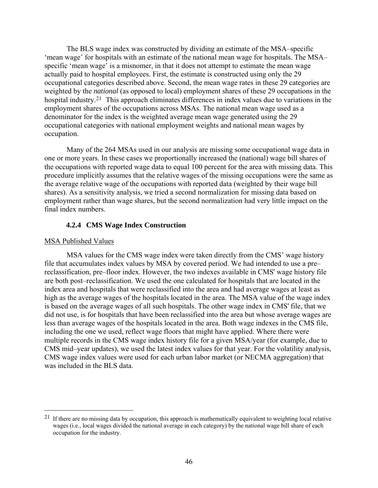<span id="page-51-0"></span>The BLS wage index was constructed by dividing an estimate of the MSA–specific 'mean wage' for hospitals with an estimate of the national mean wage for hospitals. The MSA– specific 'mean wage' is a misnomer, in that it does not attempt to estimate the mean wage actually paid to hospital employees. First, the estimate is constructed using only the 29 occupational categories described above. Second, the mean wage rates in these 29 categories are weighted by the *national* (as opposed to local) employment shares of these 29 occupations in the hospital industry.<sup>[21](#page-51-0)</sup> This approach eliminates differences in index values due to variations in the employment shares of the occupations across MSAs. The national mean wage used as a denominator for the index is the weighted average mean wage generated using the 29 occupational categories with national employment weights and national mean wages by occupation.

Many of the 264 MSAs used in our analysis are missing some occupational wage data in one or more years. In these cases we proportionally increased the (national) wage bill shares of the occupations with reported wage data to equal 100 percent for the area with missing data. This procedure implicitly assumes that the relative wages of the missing occupations were the same as the average relative wage of the occupations with reported data (weighted by their wage bill shares). As a sensitivity analysis, we tried a second normalization for missing data based on employment rather than wage shares, but the second normalization had very little impact on the final index numbers.

### **4.2.4 CMS Wage Index Construction**

### MSA Published Values

 $\overline{a}$ 

MSA values for the CMS wage index were taken directly from the CMS' wage history file that accumulates index values by MSA by covered period. We had intended to use a pre– reclassification, pre–floor index. However, the two indexes available in CMS' wage history file are both post–reclassification. We used the one calculated for hospitals that are located in the index area and hospitals that were reclassified into the area and had average wages at least as high as the average wages of the hospitals located in the area. The MSA value of the wage index is based on the average wages of all such hospitals. The other wage index in CMS' file, that we did not use, is for hospitals that have been reclassified into the area but whose average wages are less than average wages of the hospitals located in the area. Both wage indexes in the CMS file, including the one we used, reflect wage floors that might have applied. Where there were multiple records in the CMS wage index history file for a given MSA/year (for example, due to CMS mid–year updates), we used the latest index values for that year. For the volatility analysis, CMS wage index values were used for each urban labor market (or NECMA aggregation) that was included in the BLS data.

 $21$  If there are no missing data by occupation, this approach is mathematically equivalent to weighting local relative wages (i.e., local wages divided the national average in each category) by the national wage bill share of each occupation for the industry.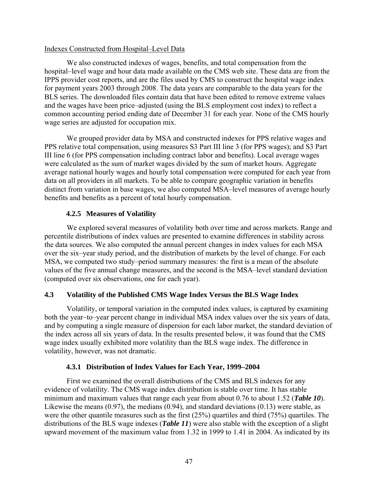### Indexes Constructed from Hospital–Level Data

We also constructed indexes of wages, benefits, and total compensation from the hospital–level wage and hour data made available on the CMS web site. These data are from the IPPS provider cost reports, and are the files used by CMS to construct the hospital wage index for payment years 2003 through 2008. The data years are comparable to the data years for the BLS series. The downloaded files contain data that have been edited to remove extreme values and the wages have been price–adjusted (using the BLS employment cost index) to reflect a common accounting period ending date of December 31 for each year. None of the CMS hourly wage series are adjusted for occupation mix.

We grouped provider data by MSA and constructed indexes for PPS relative wages and PPS relative total compensation, using measures S3 Part III line 3 (for PPS wages); and S3 Part III line 6 (for PPS compensation including contract labor and benefits). Local average wages were calculated as the sum of market wages divided by the sum of market hours. Aggregate average national hourly wages and hourly total compensation were computed for each year from data on all providers in all markets. To be able to compare geographic variation in benefits distinct from variation in base wages, we also computed MSA–level measures of average hourly benefits and benefits as a percent of total hourly compensation.

## **4.2.5 Measures of Volatility**

We explored several measures of volatility both over time and across markets. Range and percentile distributions of index values are presented to examine differences in stability across the data sources. We also computed the annual percent changes in index values for each MSA over the six–year study period, and the distribution of markets by the level of change. For each MSA, we computed two study–period summary measures: the first is a mean of the absolute values of the five annual change measures, and the second is the MSA–level standard deviation (computed over six observations, one for each year).

## **4.3 Volatility of the Published CMS Wage Index Versus the BLS Wage Index**

Volatility, or temporal variation in the computed index values, is captured by examining both the year–to–year percent change in individual MSA index values over the six years of data, and by computing a single measure of dispersion for each labor market, the standard deviation of the index across all six years of data. In the results presented below, it was found that the CMS wage index usually exhibited more volatility than the BLS wage index. The difference in volatility, however, was not dramatic.

## **4.3.1 Distribution of Index Values for Each Year, 1999–2004**

First we examined the overall distributions of the CMS and BLS indexes for any evidence of volatility. The CMS wage index distribution is stable over time. It has stable minimum and maximum values that range each year from about 0.76 to about 1.52 (*Table 10*). Likewise the means (0.97), the medians (0.94), and standard deviations (0.13) were stable, as were the other quantile measures such as the first (25%) quartiles and third (75%) quartiles. The distributions of the BLS wage indexes (*Table 11*) were also stable with the exception of a slight upward movement of the maximum value from 1.32 in 1999 to 1.41 in 2004. As indicated by its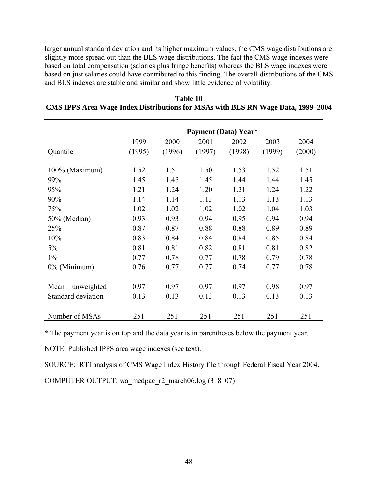larger annual standard deviation and its higher maximum values, the CMS wage distributions are slightly more spread out than the BLS wage distributions. The fact the CMS wage indexes were based on total compensation (salaries plus fringe benefits) whereas the BLS wage indexes were based on just salaries could have contributed to this finding. The overall distributions of the CMS and BLS indexes are stable and similar and show little evidence of volatility.

|                    | <b>Payment (Data) Year*</b> |        |        |        |        |        |
|--------------------|-----------------------------|--------|--------|--------|--------|--------|
|                    | 1999                        | 2000   | 2001   | 2002   | 2003   | 2004   |
| Quantile           | (1995)                      | (1996) | (1997) | (1998) | (1999) | (2000) |
|                    |                             |        |        |        |        |        |
| 100% (Maximum)     | 1.52                        | 1.51   | 1.50   | 1.53   | 1.52   | 1.51   |
| 99%                | 1.45                        | 1.45   | 1.45   | 1.44   | 1.44   | 1.45   |
| 95%                | 1.21                        | 1.24   | 1.20   | 1.21   | 1.24   | 1.22   |
| 90%                | 1.14                        | 1.14   | 1.13   | 1.13   | 1.13   | 1.13   |
| 75%                | 1.02                        | 1.02   | 1.02   | 1.02   | 1.04   | 1.03   |
| 50% (Median)       | 0.93                        | 0.93   | 0.94   | 0.95   | 0.94   | 0.94   |
| 25%                | 0.87                        | 0.87   | 0.88   | 0.88   | 0.89   | 0.89   |
| 10%                | 0.83                        | 0.84   | 0.84   | 0.84   | 0.85   | 0.84   |
| 5%                 | 0.81                        | 0.81   | 0.82   | 0.81   | 0.81   | 0.82   |
| $1\%$              | 0.77                        | 0.78   | 0.77   | 0.78   | 0.79   | 0.78   |
| 0% (Minimum)       | 0.76                        | 0.77   | 0.77   | 0.74   | 0.77   | 0.78   |
| Mean – unweighted  | 0.97                        | 0.97   | 0.97   | 0.97   | 0.98   | 0.97   |
| Standard deviation | 0.13                        | 0.13   | 0.13   | 0.13   | 0.13   | 0.13   |
| Number of MSAs     | 251                         | 251    | 251    | 251    | 251    | 251    |

**Table 10 CMS IPPS Area Wage Index Distributions for MSAs with BLS RN Wage Data, 1999–2004** 

\* The payment year is on top and the data year is in parentheses below the payment year.

NOTE: Published IPPS area wage indexes (see text).

SOURCE: RTI analysis of CMS Wage Index History file through Federal Fiscal Year 2004.

COMPUTER OUTPUT: wa\_medpac\_r2\_march06.log  $(3-8-07)$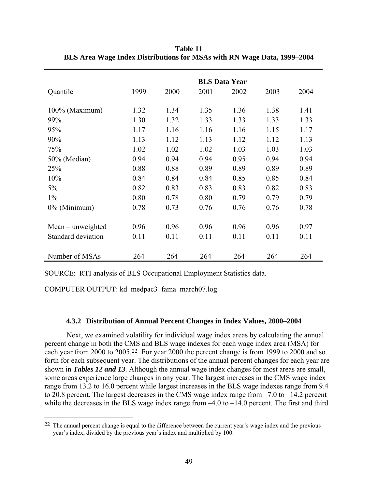|                     | <b>BLS Data Year</b> |      |      |      |      |      |
|---------------------|----------------------|------|------|------|------|------|
| Quantile            | 1999                 | 2000 | 2001 | 2002 | 2003 | 2004 |
|                     |                      |      |      |      |      |      |
| 100% (Maximum)      | 1.32                 | 1.34 | 1.35 | 1.36 | 1.38 | 1.41 |
| 99%                 | 1.30                 | 1.32 | 1.33 | 1.33 | 1.33 | 1.33 |
| 95%                 | 1.17                 | 1.16 | 1.16 | 1.16 | 1.15 | 1.17 |
| 90%                 | 1.13                 | 1.12 | 1.13 | 1.12 | 1.12 | 1.13 |
| 75%                 | 1.02                 | 1.02 | 1.02 | 1.03 | 1.03 | 1.03 |
| 50% (Median)        | 0.94                 | 0.94 | 0.94 | 0.95 | 0.94 | 0.94 |
| 25%                 | 0.88                 | 0.88 | 0.89 | 0.89 | 0.89 | 0.89 |
| 10%                 | 0.84                 | 0.84 | 0.84 | 0.85 | 0.85 | 0.84 |
| $5\%$               | 0.82                 | 0.83 | 0.83 | 0.83 | 0.82 | 0.83 |
| $1\%$               | 0.80                 | 0.78 | 0.80 | 0.79 | 0.79 | 0.79 |
| $0\%$ (Minimum)     | 0.78                 | 0.73 | 0.76 | 0.76 | 0.76 | 0.78 |
|                     |                      |      |      |      |      |      |
| $Mean$ – unweighted | 0.96                 | 0.96 | 0.96 | 0.96 | 0.96 | 0.97 |
| Standard deviation  | 0.11                 | 0.11 | 0.11 | 0.11 | 0.11 | 0.11 |
|                     |                      |      |      |      |      |      |
| Number of MSAs      | 264                  | 264  | 264  | 264  | 264  | 264  |

<span id="page-54-0"></span>**Table 11 BLS Area Wage Index Distributions for MSAs with RN Wage Data, 1999–2004** 

SOURCE: RTI analysis of BLS Occupational Employment Statistics data.

COMPUTER OUTPUT: kd\_medpac3\_fama\_march07.log

 $\overline{a}$ 

#### **4.3.2 Distribution of Annual Percent Changes in Index Values, 2000–2004**

Next, we examined volatility for individual wage index areas by calculating the annual percent change in both the CMS and BLS wage indexes for each wage index area (MSA) for each year from 2000 to 2005.[22](#page-54-0) For year 2000 the percent change is from 1999 to 2000 and so forth for each subsequent year. The distributions of the annual percent changes for each year are shown in *Tables 12 and 13*. Although the annual wage index changes for most areas are small, some areas experience large changes in any year. The largest increases in the CMS wage index range from 13.2 to 16.0 percent while largest increases in the BLS wage indexes range from 9.4 to 20.8 percent. The largest decreases in the CMS wage index range from –7.0 to –14.2 percent while the decreases in the BLS wage index range from  $-4.0$  to  $-14.0$  percent. The first and third

<sup>&</sup>lt;sup>22</sup> The annual percent change is equal to the difference between the current year's wage index and the previous year's index, divided by the previous year's index and multiplied by 100.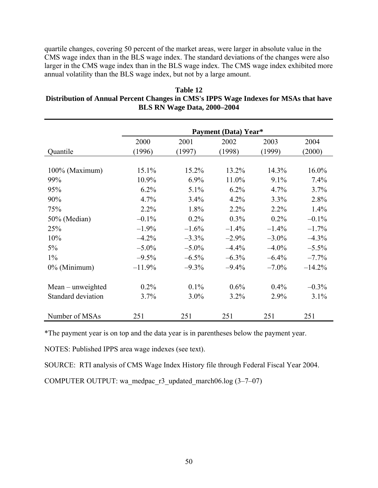quartile changes, covering 50 percent of the market areas, were larger in absolute value in the CMS wage index than in the BLS wage index. The standard deviations of the changes were also larger in the CMS wage index than in the BLS wage index. The CMS wage index exhibited more annual volatility than the BLS wage index, but not by a large amount.

| Table 12                                                                             |
|--------------------------------------------------------------------------------------|
| Distribution of Annual Percent Changes in CMS's IPPS Wage Indexes for MSAs that have |
| BLS RN Wage Data, 2000–2004                                                          |

|                    | Payment (Data) Year* |          |          |          |          |  |  |
|--------------------|----------------------|----------|----------|----------|----------|--|--|
|                    | 2000                 | 2001     | 2002     | 2003     | 2004     |  |  |
| Quantile           | (1996)               | (1997)   | (1998)   | (1999)   | (2000)   |  |  |
|                    |                      |          |          |          |          |  |  |
| 100% (Maximum)     | 15.1%                | 15.2%    | 13.2%    | 14.3%    | 16.0%    |  |  |
| 99%                | 10.9%                | 6.9%     | 11.0%    | 9.1%     | 7.4%     |  |  |
| 95%                | 6.2%                 | 5.1%     | 6.2%     | 4.7%     | 3.7%     |  |  |
| 90%                | 4.7%                 | 3.4%     | 4.2%     | 3.3%     | 2.8%     |  |  |
| 75%                | 2.2%                 | 1.8%     | 2.2%     | 2.2%     | 1.4%     |  |  |
| 50% (Median)       | $-0.1%$              | $0.2\%$  | $0.3\%$  | 0.2%     | $-0.1\%$ |  |  |
| 25%                | $-1.9%$              | $-1.6%$  | $-1.4%$  | $-1.4%$  | $-1.7%$  |  |  |
| 10%                | $-4.2%$              | $-3.3\%$ | $-2.9%$  | $-3.0\%$ | $-4.3\%$ |  |  |
| 5%                 | $-5.0\%$             | $-5.0\%$ | $-4.4%$  | $-4.0\%$ | $-5.5\%$ |  |  |
| $1\%$              | $-9.5%$              | $-6.5\%$ | $-6.3\%$ | $-6.4%$  | $-7.7%$  |  |  |
| $0\%$ (Minimum)    | $-11.9%$             | $-9.3\%$ | $-9.4\%$ | $-7.0\%$ | $-14.2%$ |  |  |
| Mean - unweighted  | 0.2%                 | $0.1\%$  | 0.6%     | 0.4%     | $-0.3%$  |  |  |
| Standard deviation | 3.7%                 | 3.0%     | 3.2%     | 2.9%     | 3.1%     |  |  |
| Number of MSAs     | 251                  | 251      | 251      | 251      | 251      |  |  |

\*The payment year is on top and the data year is in parentheses below the payment year.

NOTES: Published IPPS area wage indexes (see text).

SOURCE: RTI analysis of CMS Wage Index History file through Federal Fiscal Year 2004.

COMPUTER OUTPUT: wa\_medpac\_r3\_updated\_march06.log  $(3–7–07)$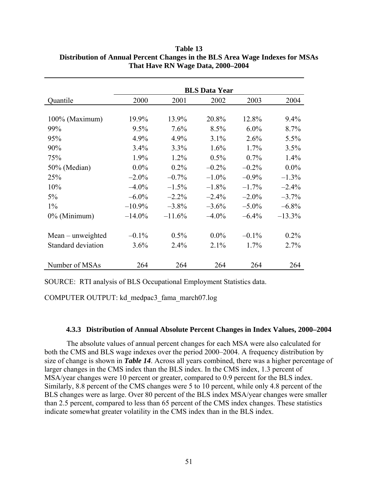|                     | <b>BLS Data Year</b> |          |          |          |           |  |
|---------------------|----------------------|----------|----------|----------|-----------|--|
| Quantile            | 2000                 | 2001     | 2002     | 2003     | 2004      |  |
|                     |                      |          |          |          |           |  |
| 100% (Maximum)      | 19.9%                | 13.9%    | 20.8%    | 12.8%    | 9.4%      |  |
| 99%                 | 9.5%                 | 7.6%     | 8.5%     | $6.0\%$  | 8.7%      |  |
| 95%                 | 4.9%                 | 4.9%     | $3.1\%$  | 2.6%     | 5.5%      |  |
| 90%                 | 3.4%                 | 3.3%     | 1.6%     | 1.7%     | 3.5%      |  |
| 75%                 | 1.9%                 | $1.2\%$  | 0.5%     | 0.7%     | 1.4%      |  |
| 50% (Median)        | $0.0\%$              | $0.2\%$  | $-0.2\%$ | $-0.2%$  | $0.0\%$   |  |
| 25%                 | $-2.0\%$             | $-0.7\%$ | $-1.0\%$ | $-0.9\%$ | $-1.3%$   |  |
| 10%                 | $-4.0\%$             | $-1.5%$  | $-1.8%$  | $-1.7\%$ | $-2.4%$   |  |
| 5%                  | $-6.0\%$             | $-2.2%$  | $-2.4%$  | $-2.0\%$ | $-3.7\%$  |  |
| $1\%$               | $-10.9\%$            | $-3.8\%$ | $-3.6\%$ | $-5.0\%$ | $-6.8\%$  |  |
| $0\%$ (Minimum)     | $-14.0\%$            | $-11.6%$ | $-4.0\%$ | $-6.4%$  | $-13.3\%$ |  |
|                     |                      |          |          |          |           |  |
| $Mean$ – unweighted | $-0.1\%$             | 0.5%     | $0.0\%$  | $-0.1\%$ | $0.2\%$   |  |
| Standard deviation  | $3.6\%$              | 2.4%     | 2.1%     | 1.7%     | 2.7%      |  |
|                     |                      |          |          |          |           |  |
| Number of MSAs      | 264                  | 264      | 264      | 264      | 264       |  |

**Table 13 Distribution of Annual Percent Changes in the BLS Area Wage Indexes for MSAs That Have RN Wage Data, 2000–2004** 

SOURCE: RTI analysis of BLS Occupational Employment Statistics data.

COMPUTER OUTPUT: kd\_medpac3\_fama\_march07.log

### **4.3.3 Distribution of Annual Absolute Percent Changes in Index Values, 2000–2004**

The absolute values of annual percent changes for each MSA were also calculated for both the CMS and BLS wage indexes over the period 2000–2004. A frequency distribution by size of change is shown in *Table 14*. Across all years combined, there was a higher percentage of larger changes in the CMS index than the BLS index. In the CMS index, 1.3 percent of MSA/year changes were 10 percent or greater, compared to 0.9 percent for the BLS index. Similarly, 8.8 percent of the CMS changes were 5 to 10 percent, while only 4.8 percent of the BLS changes were as large. Over 80 percent of the BLS index MSA/year changes were smaller than 2.5 percent, compared to less than 65 percent of the CMS index changes. These statistics indicate somewhat greater volatility in the CMS index than in the BLS index.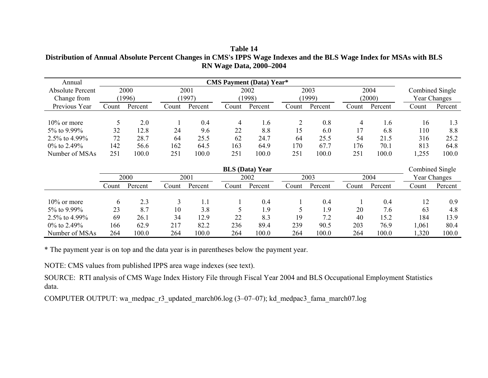**Table 14 Distribution of Annual Absolute Percent Changes in CMS's IPPS Wage Indexes and the BLS Wage Index for MSAs with BLS RN Wage Data, 2000–2004** 

| Annual                  | <b>CMS Payment (Data) Year*</b> |         |       |         |       |                        |       |         |       |         |       |                 |
|-------------------------|---------------------------------|---------|-------|---------|-------|------------------------|-------|---------|-------|---------|-------|-----------------|
| <b>Absolute Percent</b> |                                 | 2000    |       | 2001    |       | 2002                   |       | 2003    |       | 2004    |       | Combined Single |
| Change from             |                                 | (1996)  |       | (1997)  |       | (1998)                 |       | (1999)  |       | (2000)  |       | Year Changes    |
| Previous Year           | Count                           | Percent | Count | Percent | Count | Percent                | Count | Percent | Count | Percent | Count | Percent         |
| $10\%$ or more          | 5                               | 2.0     |       | 0.4     | 4     | 1.6                    |       | 0.8     | 4     | 1.6     | 16    | 1.3             |
| 5% to 9.99%             | 32                              | 12.8    | 24    | 9.6     | 22    | 8.8                    | 15    | 6.0     | 17    | 6.8     | 110   | 8.8             |
| 2.5% to 4.99%           | 72                              | 28.7    | 64    | 25.5    | 62    | 24.7                   | 64    | 25.5    | 54    | 21.5    | 316   | 25.2            |
| 0% to 2.49%             | 142                             | 56.6    | 162   | 64.5    | 163   | 64.9                   | 170   | 67.7    | 176   | 70.1    | 813   | 64.8            |
| Number of MSAs          | 251                             | 100.0   | 251   | 100.0   | 251   | 100.0                  | 251   | 100.0   | 251   | 100.0   | 1,255 | 100.0           |
|                         |                                 |         |       |         |       | <b>BLS</b> (Data) Year |       |         |       |         |       | Combined Single |
|                         |                                 | 2000    |       | 2001    |       | 2002                   |       | 2003    |       | 2004    |       | Year Changes    |
|                         | Count                           | Percent | Count | Percent | Count | Percent                | Count | Percent | Count | Percent | Count | Percent         |
| $10\%$ or more          | 6                               | 2.3     | 3     |         |       | 0.4                    |       | 0.4     |       | 0.4     | 12    | 0.9             |

3.8 5 1.9 5 1.9 20 7.6 63 4.8

12.9 22 8.3 19 7.2 40 15.2 184 13.9

82.2 236 89.4 239 90.5 203 76.9 1,061 80.4

100.0 264 100.0 264 100.0 264 100.0 1,320 100.0

\* The payment year is on top and the data year is in parentheses below the payment year.

NOTE: CMS values from published IPPS area wage indexes (see text).

5% to 9.99% 23 8.7 10

2.5% to 4.99% 69 26.1 34

0% to 2.49% 166 62.9 217

Number of MSAs 264 100.0 264

SOURCE: RTI analysis of CMS Wage Index History File through Fiscal Year 2004 and BLS Occupational Employment Statistics data.

COMPUTER OUTPUT: wa\_medpac\_r3\_updated\_march06.log (3–07–07); kd\_medpac3\_fama\_march07.log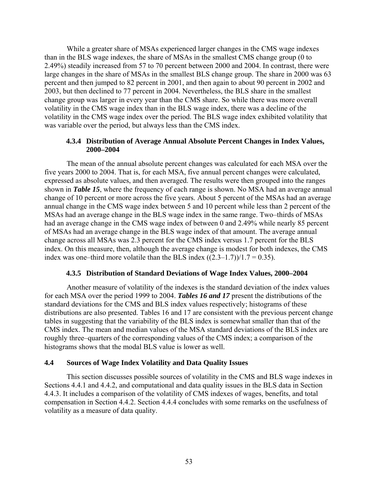While a greater share of MSAs experienced larger changes in the CMS wage indexes than in the BLS wage indexes, the share of MSAs in the smallest CMS change group (0 to 2.49%) steadily increased from 57 to 70 percent between 2000 and 2004. In contrast, there were large changes in the share of MSAs in the smallest BLS change group. The share in 2000 was 63 percent and then jumped to 82 percent in 2001, and then again to about 90 percent in 2002 and 2003, but then declined to 77 percent in 2004. Nevertheless, the BLS share in the smallest change group was larger in every year than the CMS share. So while there was more overall volatility in the CMS wage index than in the BLS wage index, there was a decline of the volatility in the CMS wage index over the period. The BLS wage index exhibited volatility that was variable over the period, but always less than the CMS index.

#### **4.3.4 Distribution of Average Annual Absolute Percent Changes in Index Values, 2000–2004**

The mean of the annual absolute percent changes was calculated for each MSA over the five years 2000 to 2004. That is, for each MSA, five annual percent changes were calculated, expressed as absolute values, and then averaged. The results were then grouped into the ranges shown in *Table 15*, where the frequency of each range is shown. No MSA had an average annual change of 10 percent or more across the five years. About 5 percent of the MSAs had an average annual change in the CMS wage index between 5 and 10 percent while less than 2 percent of the MSAs had an average change in the BLS wage index in the same range. Two–thirds of MSAs had an average change in the CMS wage index of between 0 and 2.49% while nearly 85 percent of MSAs had an average change in the BLS wage index of that amount. The average annual change across all MSAs was 2.3 percent for the CMS index versus 1.7 percent for the BLS index. On this measure, then, although the average change is modest for both indexes, the CMS index was one–third more volatile than the BLS index  $((2.3-1.7))/1.7 = 0.35)$ .

#### **4.3.5 Distribution of Standard Deviations of Wage Index Values, 2000–2004**

Another measure of volatility of the indexes is the standard deviation of the index values for each MSA over the period 1999 to 2004. *Tables 16 and 17* present the distributions of the standard deviations for the CMS and BLS index values respectively; histograms of these distributions are also presented. Tables 16 and 17 are consistent with the previous percent change tables in suggesting that the variability of the BLS index is somewhat smaller than that of the CMS index. The mean and median values of the MSA standard deviations of the BLS index are roughly three–quarters of the corresponding values of the CMS index; a comparison of the histograms shows that the modal BLS value is lower as well.

### **4.4 Sources of Wage Index Volatility and Data Quality Issues**

This section discusses possible sources of volatility in the CMS and BLS wage indexes in Sections 4.4.1 and 4.4.2, and computational and data quality issues in the BLS data in Section 4.4.3. It includes a comparison of the volatility of CMS indexes of wages, benefits, and total compensation in Section 4.4.2. Section 4.4.4 concludes with some remarks on the usefulness of volatility as a measure of data quality.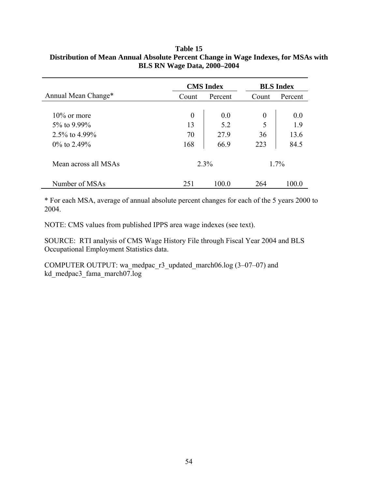## **Table 15 Distribution of Mean Annual Absolute Percent Change in Wage Indexes, for MSAs with BLS RN Wage Data, 2000–2004**

|                      | <b>CMS</b> Index |         | <b>BLS</b> Index |         |  |
|----------------------|------------------|---------|------------------|---------|--|
| Annual Mean Change*  | Count            | Percent | Count            | Percent |  |
|                      |                  |         |                  |         |  |
| $10\%$ or more       | $\theta$         | 0.0     | $\theta$         | 0.0     |  |
| $5\%$ to 9.99%       | 13               | 5.2     | 5                | 1.9     |  |
| 2.5% to $4.99\%$     | 70               | 27.9    | 36               | 13.6    |  |
| $0\%$ to 2.49%       | 168              | 66.9    | 223              | 84.5    |  |
| Mean across all MSAs | $2.3\%$          |         |                  | $1.7\%$ |  |
| Number of MSAs       | 251              | 100 0   | 264              | 100 0   |  |

\* For each MSA, average of annual absolute percent changes for each of the 5 years 2000 to 2004.

NOTE: CMS values from published IPPS area wage indexes (see text).

SOURCE: RTI analysis of CMS Wage History File through Fiscal Year 2004 and BLS Occupational Employment Statistics data.

COMPUTER OUTPUT: wa\_medpac\_r3\_updated\_march06.log  $(3-07-07)$  and kd\_medpac3\_fama\_march07.log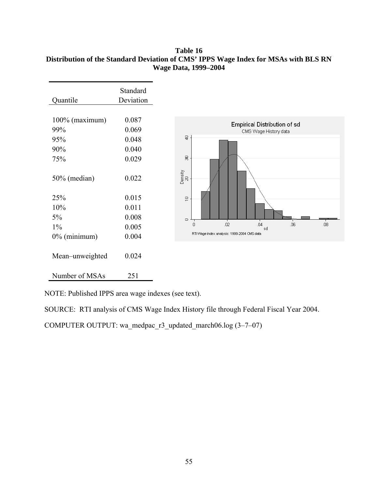## **Table 16 Distribution of the Standard Deviation of CMS' IPPS Wage Index for MSAs with BLS RN Wage Data, 1999–2004**



NOTE: Published IPPS area wage indexes (see text).

SOURCE: RTI analysis of CMS Wage Index History file through Federal Fiscal Year 2004.

COMPUTER OUTPUT: wa\_medpac\_r3\_updated\_march06.log  $(3–7–07)$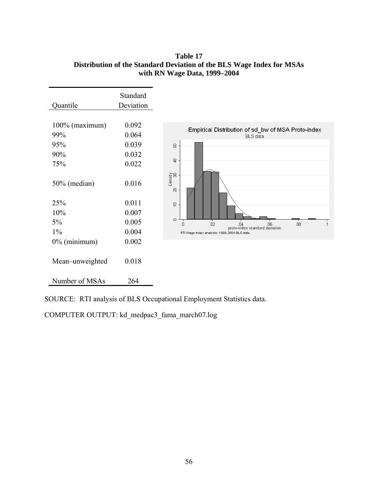**Table 17 Distribution of the Standard Deviation of the BLS Wage Index for MSAs with RN Wage Data, 1999–2004** 

| Quantile                 | Standard<br>Deviation   |                                                                                                                                      |
|--------------------------|-------------------------|--------------------------------------------------------------------------------------------------------------------------------------|
| $100\%$ (maximum)<br>99% | 0.092<br>0.064          | Empirical Distribution of sd_bw of MSA Proto-index<br><b>BLS</b> data                                                                |
| 95%<br>90%<br>75%        | 0.039<br>0.032<br>0.022 | 8<br>$\overline{a}$                                                                                                                  |
| 50% (median)             | 0.016                   | Density<br>30<br>R                                                                                                                   |
| 25%                      | 0.011                   | $\Xi$                                                                                                                                |
| 10%                      | 0.007                   |                                                                                                                                      |
| $5\%$                    | 0.005                   | $\hskip10mm\hskip10mm\hskip10mm\hskip10mm\hskip10mm$<br>.02<br>.08<br>$\cdot$ 1<br>$\Omega$<br>.04<br>proto-index standard deviation |
| $1\%$                    | 0.004                   | RTI Wage index analysis: 1999-2004 BLS data                                                                                          |
| $0\%$ (minimum)          | 0.002                   |                                                                                                                                      |
| Mean-unweighted          | 0.018                   |                                                                                                                                      |
| Number of MSAs           | 264                     |                                                                                                                                      |

SOURCE: RTI analysis of BLS Occupational Employment Statistics data.

COMPUTER OUTPUT: kd\_medpac3\_fama\_march07.log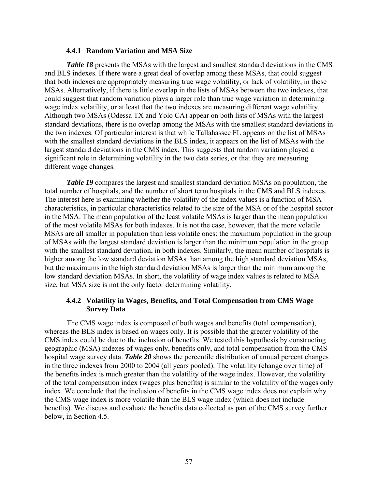#### **4.4.1 Random Variation and MSA Size**

*Table 18* presents the MSAs with the largest and smallest standard deviations in the CMS and BLS indexes. If there were a great deal of overlap among these MSAs, that could suggest that both indexes are appropriately measuring true wage volatility, or lack of volatility, in these MSAs. Alternatively, if there is little overlap in the lists of MSAs between the two indexes, that could suggest that random variation plays a larger role than true wage variation in determining wage index volatility, or at least that the two indexes are measuring different wage volatility. Although two MSAs (Odessa TX and Yolo CA) appear on both lists of MSAs with the largest standard deviations, there is no overlap among the MSAs with the smallest standard deviations in the two indexes. Of particular interest is that while Tallahassee FL appears on the list of MSAs with the smallest standard deviations in the BLS index, it appears on the list of MSAs with the largest standard deviations in the CMS index. This suggests that random variation played a significant role in determining volatility in the two data series, or that they are measuring different wage changes.

*Table 19* compares the largest and smallest standard deviation MSAs on population, the total number of hospitals, and the number of short term hospitals in the CMS and BLS indexes. The interest here is examining whether the volatility of the index values is a function of MSA characteristics, in particular characteristics related to the size of the MSA or of the hospital sector in the MSA. The mean population of the least volatile MSAs is larger than the mean population of the most volatile MSAs for both indexes. It is not the case, however, that the more volatile MSAs are all smaller in population than less volatile ones: the maximum population in the group of MSAs with the largest standard deviation is larger than the minimum population in the group with the smallest standard deviation, in both indexes. Similarly, the mean number of hospitals is higher among the low standard deviation MSAs than among the high standard deviation MSAs, but the maximums in the high standard deviation MSAs is larger than the minimum among the low standard deviation MSAs. In short, the volatility of wage index values is related to MSA size, but MSA size is not the only factor determining volatility.

#### **4.4.2 Volatility in Wages, Benefits, and Total Compensation from CMS Wage Survey Data**

The CMS wage index is composed of both wages and benefits (total compensation), whereas the BLS index is based on wages only. It is possible that the greater volatility of the CMS index could be due to the inclusion of benefits. We tested this hypothesis by constructing geographic (MSA) indexes of wages only, benefits only, and total compensation from the CMS hospital wage survey data. *Table 20* shows the percentile distribution of annual percent changes in the three indexes from 2000 to 2004 (all years pooled). The volatility (change over time) of the benefits index is much greater than the volatility of the wage index. However, the volatility of the total compensation index (wages plus benefits) is similar to the volatility of the wages only index. We conclude that the inclusion of benefits in the CMS wage index does not explain why the CMS wage index is more volatile than the BLS wage index (which does not include benefits). We discuss and evaluate the benefits data collected as part of the CMS survey further below, in Section 4.5.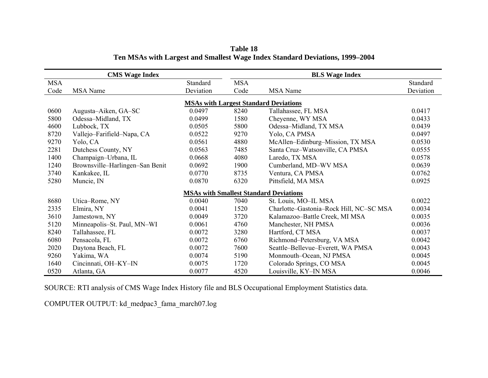|            | <b>CMS</b> Wage Index           |           |            | <b>BLS Wage Index</b>                         |           |
|------------|---------------------------------|-----------|------------|-----------------------------------------------|-----------|
| <b>MSA</b> |                                 | Standard  | <b>MSA</b> |                                               | Standard  |
| Code       | <b>MSA</b> Name                 | Deviation | Code       | <b>MSA</b> Name                               | Deviation |
|            |                                 |           |            | <b>MSAs with Largest Standard Deviations</b>  |           |
| 0600       | Augusta–Aiken, GA–SC            | 0.0497    | 8240       | Tallahassee, FL MSA                           | 0.0417    |
| 5800       | Odessa-Midland, TX              | 0.0499    | 1580       | Cheyenne, WY MSA                              | 0.0433    |
| 4600       | Lubbock, TX                     | 0.0505    | 5800       | Odessa-Midland, TX MSA                        | 0.0439    |
| 8720       | Vallejo-Farifield-Napa, CA      | 0.0522    | 9270       | Yolo, CA PMSA                                 | 0.0497    |
| 9270       | Yolo, CA                        | 0.0561    | 4880       | McAllen-Edinburg-Mission, TX MSA              | 0.0530    |
| 2281       | Dutchess County, NY             | 0.0563    | 7485       | Santa Cruz-Watsonville, CA PMSA               | 0.0555    |
| 1400       | Champaign-Urbana, IL            | 0.0668    | 4080       | Laredo, TX MSA                                | 0.0578    |
| 1240       | Brownsville-Harlingen-San Benit | 0.0692    | 1900       | Cumberland, MD-WV MSA                         | 0.0639    |
| 3740       | Kankakee, IL                    | 0.0770    | 8735       | Ventura, CA PMSA                              | 0.0762    |
| 5280       | Muncie, IN                      | 0.0870    | 6320       | Pittsfield, MA MSA                            | 0.0925    |
|            |                                 |           |            | <b>MSAs with Smallest Standard Deviations</b> |           |
| 8680       | Utica-Rome, NY                  | 0.0040    | 7040       | St. Louis, MO-IL MSA                          | 0.0022    |
| 2335       | Elmira, NY                      | 0.0041    | 1520       | Charlotte-Gastonia-Rock Hill, NC-SC MSA       | 0.0034    |
| 3610       | Jamestown, NY                   | 0.0049    | 3720       | Kalamazoo-Battle Creek, MI MSA                | 0.0035    |
| 5120       | Minneapolis–St. Paul, MN–WI     | 0.0061    | 4760       | Manchester, NH PMSA                           | 0.0036    |
| 8240       | Tallahassee, FL                 | 0.0072    | 3280       | Hartford, CT MSA                              | 0.0037    |
| 6080       | Pensacola, FL                   | 0.0072    | 6760       | Richmond-Petersburg, VA MSA                   | 0.0042    |
| 2020       | Daytona Beach, FL               | 0.0072    | 7600       | Seattle-Bellevue-Everett, WA PMSA             | 0.0043    |
| 9260       | Yakima, WA                      | 0.0074    | 5190       | Monmouth-Ocean, NJ PMSA                       | 0.0045    |
| 1640       | Cincinnati, OH-KY-IN            | 0.0075    | 1720       | Colorado Springs, CO MSA                      | 0.0045    |
| 0520       | Atlanta, GA                     | 0.0077    | 4520       | Louisville, KY-IN MSA                         | 0.0046    |

**Table 18 Ten MSAs with Largest and Smallest Wage Index Standard Deviations, 1999–2004** 

SOURCE: RTI analysis of CMS Wage Index History file and BLS Occupational Employment Statistics data.

COMPUTER OUTPUT: kd\_medpac3\_fama\_march07.log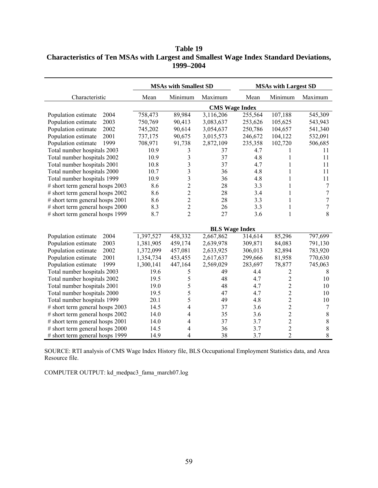# **Table 19 Characteristics of Ten MSAs with Largest and Smallest Wage Index Standard Deviations, 1999–2004**

|                                   | <b>MSAs with Smallest SD</b> |                |                       |                       | <b>MSAs with Largest SD</b> |                |
|-----------------------------------|------------------------------|----------------|-----------------------|-----------------------|-----------------------------|----------------|
| Characteristic                    | Mean                         | Minimum        | Maximum               | Mean                  | Minimum                     | Maximum        |
|                                   |                              |                |                       | <b>CMS Wage Index</b> |                             |                |
| Population estimate<br>2004       | 758,473                      | 89,984         | 3,116,206             | 255,564               | 107,188                     | 545,309        |
| 2003<br>Population estimate       | 750,769                      | 90,413         | 3,083,637             | 253,626               | 105,625                     | 543,943        |
| Population estimate<br>2002       | 745,202                      | 90,614         | 3,054,637             | 250,786               | 104,657                     | 541,340        |
| Population estimate<br>2001       | 737,175                      | 90,675         | 3,015,573             | 246,672               | 104,122                     | 532,091        |
| Population estimate<br>1999       | 708,971                      | 91,738         | 2,872,109             | 235,358               | 102,720                     | 506,685        |
| Total number hospitals 2003       | 10.9                         | 3              | 37                    | 4.7                   |                             | 11             |
| Total number hospitals 2002       | 10.9                         | 3              | 37                    | 4.8                   | 1                           | 11             |
| Total number hospitals 2001       | 10.8                         | 3              | 37                    | 4.7                   | 1                           | 11             |
| Total number hospitals 2000       | 10.7                         | 3              | 36                    | 4.8                   | 1                           | 11             |
| Total number hospitals 1999       | 10.9                         | 3              | 36                    | 4.8                   | 1                           | 11             |
| $#$ short term general hosps 2003 | 8.6                          | $\overline{c}$ | 28                    | 3.3                   | 1                           | 7              |
| # short term general hosps 2002   | 8.6                          | $\overline{c}$ | 28                    | 3.4                   | 1                           | $\overline{7}$ |
| $#$ short term general hosps 2001 | 8.6                          | $\overline{c}$ | 28                    | 3.3                   | $\mathbf{1}$                | $\overline{7}$ |
| # short term general hosps 2000   | 8.3                          | $\overline{c}$ | 26                    | 3.3                   | 1                           | $\overline{7}$ |
| # short term general hosps 1999   | 8.7                          | $\overline{2}$ | 27                    | 3.6                   | $\mathbf{1}$                | 8              |
|                                   |                              |                | <b>BLS Wage Index</b> |                       |                             |                |
| 2004<br>Population estimate       | 1,397,527                    | 458,332        | 2,667,862             | 314,614               | 85,296                      | 797,699        |
| Population estimate<br>2003       | 1,381,905                    | 459,174        | 2,639,978             | 309,871               | 84,083                      | 791,130        |
| Population estimate<br>2002       | 1,372,099                    | 457,081        | 2,633,925             | 306,013               | 82,894                      | 783,920        |
| Population estimate<br>2001       | 1,354,734                    | 453,455        | 2,617,637             | 299,666               | 81,958                      | 770,630        |
| Population estimate<br>1999       | 1,300,141                    | 447,164        | 2,569,029             | 283,697               | 78,877                      | 745,063        |
| Total number hospitals 2003       | 19.6                         | 5              | 49                    | 4.4                   | 2                           | 8              |
| Total number hospitals 2002       | 19.5                         | 5              | 48                    | 4.7                   | $\overline{c}$              | 10             |
| Total number hospitals 2001       | 19.0                         | 5              | 48                    | 4.7                   | $\overline{c}$              | 10             |
| Total number hospitals 2000       | 19.5                         | 5              | 47                    | 4.7                   | $\overline{c}$              | 10             |
| Total number hospitals 1999       | 20.1                         | 5              | 49                    | 4.8                   | $\overline{c}$              | 10             |
| # short term general hosps 2003   | 14.5                         | 4              | 37                    | 3.6                   |                             | 7              |
| # short term general hosps 2002   | 14.0                         | 4              | 35                    | 3.6                   | $\frac{2}{2}$               | $8\,$          |
| # short term general hosps 2001   | 14.0                         | 4              | 37                    | 3.7                   | $\overline{c}$              | $8\,$          |
| # short term general hosps 2000   | 14.5                         | 4              | 36                    | 3.7                   | $\overline{c}$              | $\,8\,$        |
| # short term general hosps 1999   | 14.9                         | 4              | 38                    | 3.7                   | $\overline{2}$              | $\,8\,$        |

SOURCE: RTI analysis of CMS Wage Index History file, BLS Occupational Employment Statistics data, and Area Resource file.

COMPUTER OUTPUT: kd\_medpac3\_fama\_march07.log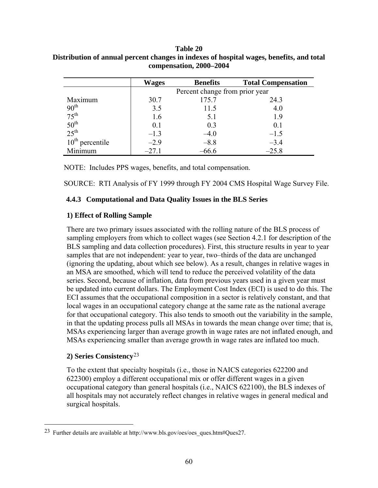### <span id="page-65-0"></span>**Table 20 Distribution of annual percent changes in indexes of hospital wages, benefits, and total compensation, 2000–2004**

|                                      | <b>Wages</b> | <b>Benefits</b>                | <b>Total Compensation</b> |  |  |  |  |
|--------------------------------------|--------------|--------------------------------|---------------------------|--|--|--|--|
|                                      |              | Percent change from prior year |                           |  |  |  |  |
| Maximum                              | 30.7         | 175.7                          | 24.3                      |  |  |  |  |
| $90^{th}$<br>$75^{th}$               | 3.5          | 11.5                           | 4.0                       |  |  |  |  |
|                                      | 1.6          | 5.1                            | 1.9                       |  |  |  |  |
| $50^{\text{th}}$<br>$25^{\text{th}}$ | 0.1          | 0.3                            | 0.1                       |  |  |  |  |
|                                      | $-1.3$       | $-4.0$                         | $-1.5$                    |  |  |  |  |
| $10th$ percentile                    | $-2.9$       | $-8.8$                         | $-3.4$                    |  |  |  |  |
| Minimum                              | $-27.1$      | $-66.6$                        | $-25.8$                   |  |  |  |  |

NOTE: Includes PPS wages, benefits, and total compensation.

SOURCE: RTI Analysis of FY 1999 through FY 2004 CMS Hospital Wage Survey File.

### **4.4.3 Computational and Data Quality Issues in the BLS Series**

### **1) Effect of Rolling Sample**

There are two primary issues associated with the rolling nature of the BLS process of sampling employers from which to collect wages (see Section 4.2.1 for description of the BLS sampling and data collection procedures). First, this structure results in year to year samples that are not independent: year to year, two–thirds of the data are unchanged (ignoring the updating, about which see below). As a result, changes in relative wages in an MSA are smoothed, which will tend to reduce the perceived volatility of the data series. Second, because of inflation, data from previous years used in a given year must be updated into current dollars. The Employment Cost Index (ECI) is used to do this. The ECI assumes that the occupational composition in a sector is relatively constant, and that local wages in an occupational category change at the same rate as the national average for that occupational category. This also tends to smooth out the variability in the sample, in that the updating process pulls all MSAs in towards the mean change over time; that is, MSAs experiencing larger than average growth in wage rates are not inflated enough, and MSAs experiencing smaller than average growth in wage rates are inflated too much.

## **2) Series Consistency**[23](#page-65-0)

 $\overline{a}$ 

To the extent that specialty hospitals (i.e., those in NAICS categories 622200 and 622300) employ a different occupational mix or offer different wages in a given occupational category than general hospitals (i.e., NAICS 622100), the BLS indexes of all hospitals may not accurately reflect changes in relative wages in general medical and surgical hospitals.

<sup>23</sup> Further details are available at http://www.bls.gov/oes/oes\_ques.htm#Ques27.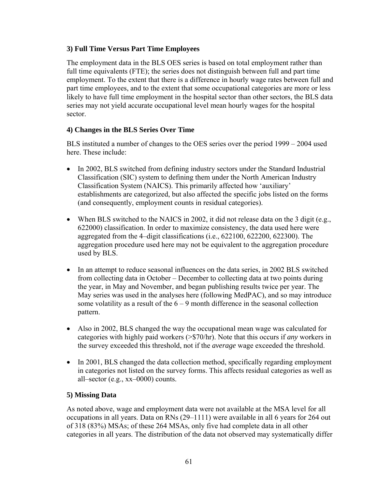# **3) Full Time Versus Part Time Employees**

The employment data in the BLS OES series is based on total employment rather than full time equivalents (FTE); the series does not distinguish between full and part time employment. To the extent that there is a difference in hourly wage rates between full and part time employees, and to the extent that some occupational categories are more or less likely to have full time employment in the hospital sector than other sectors, the BLS data series may not yield accurate occupational level mean hourly wages for the hospital sector.

# **4) Changes in the BLS Series Over Time**

BLS instituted a number of changes to the OES series over the period 1999 – 2004 used here. These include:

- In 2002, BLS switched from defining industry sectors under the Standard Industrial Classification (SIC) system to defining them under the North American Industry Classification System (NAICS). This primarily affected how 'auxiliary' establishments are categorized, but also affected the specific jobs listed on the forms (and consequently, employment counts in residual categories).
- When BLS switched to the NAICS in 2002, it did not release data on the 3 digit (e.g., 622000) classification. In order to maximize consistency, the data used here were aggregated from the 4–digit classifications (i.e., 622100, 622200, 622300). The aggregation procedure used here may not be equivalent to the aggregation procedure used by BLS.
- In an attempt to reduce seasonal influences on the data series, in 2002 BLS switched from collecting data in October – December to collecting data at two points during the year, in May and November, and began publishing results twice per year. The May series was used in the analyses here (following MedPAC), and so may introduce some volatility as a result of the  $6 - 9$  month difference in the seasonal collection pattern.
- Also in 2002, BLS changed the way the occupational mean wage was calculated for categories with highly paid workers (>\$70/hr). Note that this occurs if *any* workers in the survey exceeded this threshold, not if the *average* wage exceeded the threshold.
- In 2001, BLS changed the data collection method, specifically regarding employment in categories not listed on the survey forms. This affects residual categories as well as all–sector (e.g., xx–0000) counts.

# **5) Missing Data**

As noted above, wage and employment data were not available at the MSA level for all occupations in all years. Data on RNs (29–1111) were available in all 6 years for 264 out of 318 (83%) MSAs; of these 264 MSAs, only five had complete data in all other categories in all years. The distribution of the data not observed may systematically differ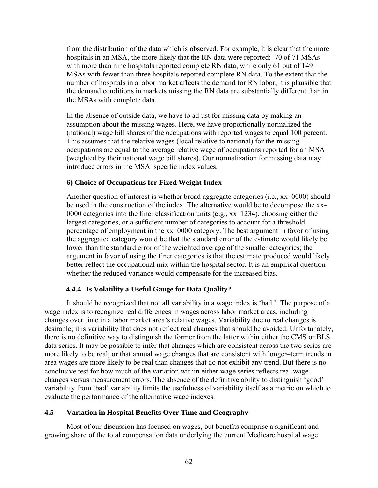from the distribution of the data which is observed. For example, it is clear that the more hospitals in an MSA, the more likely that the RN data were reported: 70 of 71 MSAs with more than nine hospitals reported complete RN data, while only 61 out of 149 MSAs with fewer than three hospitals reported complete RN data. To the extent that the number of hospitals in a labor market affects the demand for RN labor, it is plausible that the demand conditions in markets missing the RN data are substantially different than in the MSAs with complete data.

In the absence of outside data, we have to adjust for missing data by making an assumption about the missing wages. Here, we have proportionally normalized the (national) wage bill shares of the occupations with reported wages to equal 100 percent. This assumes that the relative wages (local relative to national) for the missing occupations are equal to the average relative wage of occupations reported for an MSA (weighted by their national wage bill shares). Our normalization for missing data may introduce errors in the MSA–specific index values.

#### **6) Choice of Occupations for Fixed Weight Index**

Another question of interest is whether broad aggregate categories (i.e., xx–0000) should be used in the construction of the index. The alternative would be to decompose the xx– 0000 categories into the finer classification units (e.g., xx–1234), choosing either the largest categories, or a sufficient number of categories to account for a threshold percentage of employment in the xx–0000 category. The best argument in favor of using the aggregated category would be that the standard error of the estimate would likely be lower than the standard error of the weighted average of the smaller categories; the argument in favor of using the finer categories is that the estimate produced would likely better reflect the occupational mix within the hospital sector. It is an empirical question whether the reduced variance would compensate for the increased bias.

### **4.4.4 Is Volatility a Useful Gauge for Data Quality?**

It should be recognized that not all variability in a wage index is 'bad.' The purpose of a wage index is to recognize real differences in wages across labor market areas, including changes over time in a labor market area's relative wages. Variability due to real changes is desirable; it is variability that does not reflect real changes that should be avoided. Unfortunately, there is no definitive way to distinguish the former from the latter within either the CMS or BLS data series. It may be possible to infer that changes which are consistent across the two series are more likely to be real; or that annual wage changes that are consistent with longer–term trends in area wages are more likely to be real than changes that do not exhibit any trend. But there is no conclusive test for how much of the variation within either wage series reflects real wage changes versus measurement errors. The absence of the definitive ability to distinguish 'good' variability from 'bad' variability limits the usefulness of variability itself as a metric on which to evaluate the performance of the alternative wage indexes.

#### **4.5 Variation in Hospital Benefits Over Time and Geography**

Most of our discussion has focused on wages, but benefits comprise a significant and growing share of the total compensation data underlying the current Medicare hospital wage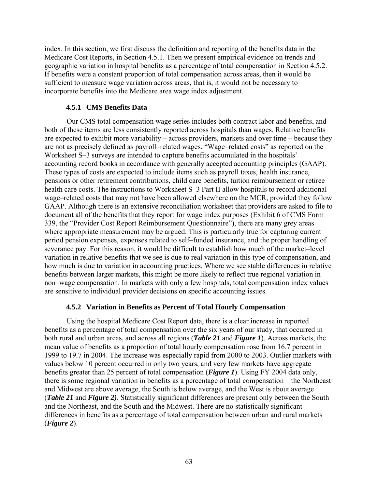index. In this section, we first discuss the definition and reporting of the benefits data in the Medicare Cost Reports, in Section 4.5.1. Then we present empirical evidence on trends and geographic variation in hospital benefits as a percentage of total compensation in Section 4.5.2. If benefits were a constant proportion of total compensation across areas, then it would be sufficient to measure wage variation across areas, that is, it would not be necessary to incorporate benefits into the Medicare area wage index adjustment.

### **4.5.1 CMS Benefits Data**

Our CMS total compensation wage series includes both contract labor and benefits, and both of these items are less consistently reported across hospitals than wages. Relative benefits are expected to exhibit more variability – across providers, markets and over time – because they are not as precisely defined as payroll–related wages. "Wage–related costs" as reported on the Worksheet S–3 surveys are intended to capture benefits accumulated in the hospitals' accounting record books in accordance with generally accepted accounting principles (GAAP). These types of costs are expected to include items such as payroll taxes, health insurance, pensions or other retirement contributions, child care benefits, tuition reimbursement or retiree health care costs. The instructions to Worksheet S–3 Part II allow hospitals to record additional wage–related costs that may not have been allowed elsewhere on the MCR, provided they follow GAAP. Although there is an extensive reconciliation worksheet that providers are asked to file to document all of the benefits that they report for wage index purposes (Exhibit 6 of CMS Form 339, the "Provider Cost Report Reimbursement Questionnaire"), there are many grey areas where appropriate measurement may be argued. This is particularly true for capturing current period pension expenses, expenses related to self–funded insurance, and the proper handling of severance pay. For this reason, it would be difficult to establish how much of the market–level variation in relative benefits that we see is due to real variation in this type of compensation, and how much is due to variation in accounting practices. Where we see stable differences in relative benefits between larger markets, this might be more likely to reflect true regional variation in non–wage compensation. In markets with only a few hospitals, total compensation index values are sensitive to individual provider decisions on specific accounting issues.

### **4.5.2 Variation in Benefits as Percent of Total Hourly Compensation**

Using the hospital Medicare Cost Report data, there is a clear increase in reported benefits as a percentage of total compensation over the six years of our study, that occurred in both rural and urban areas, and across all regions (*Table 21* and *Figure 1*). Across markets, the mean value of benefits as a proportion of total hourly compensation rose from 16.7 percent in 1999 to 19.7 in 2004. The increase was especially rapid from 2000 to 2003. Outlier markets with values below 10 percent occurred in only two years, and very few markets have aggregate benefits greater than 25 percent of total compensation (*Figure 1*). Using FY 2004 data only, there is some regional variation in benefits as a percentage of total compensation—the Northeast and Midwest are above average, the South is below average, and the West is about average (*Table 21* and *Figure 2)*. Statistically significant differences are present only between the South and the Northeast, and the South and the Midwest. There are no statistically significant differences in benefits as a percentage of total compensation between urban and rural markets (*Figure 2*).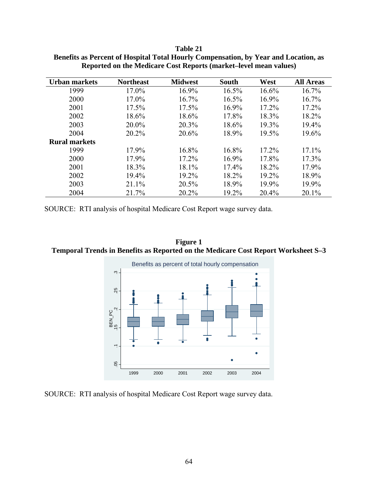| Urban markets        | <b>Northeast</b> | <b>Midwest</b> | <b>South</b> | West     | <b>All Areas</b> |
|----------------------|------------------|----------------|--------------|----------|------------------|
| 1999                 | 17.0%            | $16.9\%$       | 16.5%        | 16.6%    | $16.7\%$         |
| 2000                 | 17.0%            | $16.7\%$       | 16.5%        | 16.9%    | 16.7%            |
| 2001                 | $17.5\%$         | $17.5\%$       | 16.9%        | $17.2\%$ | $17.2\%$         |
| 2002                 | 18.6%            | 18.6%          | 17.8%        | 18.3%    | 18.2%            |
| 2003                 | 20.0%            | 20.3%          | 18.6%        | 19.3%    | 19.4%            |
| 2004                 | 20.2%            | 20.6%          | 18.9%        | 19.5%    | 19.6%            |
| <b>Rural markets</b> |                  |                |              |          |                  |
| 1999                 | 17.9%            | 16.8%          | 16.8%        | 17.2%    | 17.1%            |
| 2000                 | 17.9%            | 17.2%          | $16.9\%$     | 17.8%    | 17.3%            |
| 2001                 | 18.3%            | 18.1%          | 17.4%        | 18.2%    | 17.9%            |
| 2002                 | 19.4%            | 19.2%          | 18.2%        | 19.2%    | 18.9%            |
| 2003                 | 21.1%            | 20.5%          | 18.9%        | 19.9%    | 19.9%            |
| 2004                 | 21.7%            | 20.2%          | 19.2%        | 20.4%    | 20.1%            |

**Table 21 Benefits as Percent of Hospital Total Hourly Compensation, by Year and Location, as Reported on the Medicare Cost Reports (market–level mean values)** 

SOURCE: RTI analysis of hospital Medicare Cost Report wage survey data.

**Figure 1 Temporal Trends in Benefits as Reported on the Medicare Cost Report Worksheet S–3** 



SOURCE: RTI analysis of hospital Medicare Cost Report wage survey data.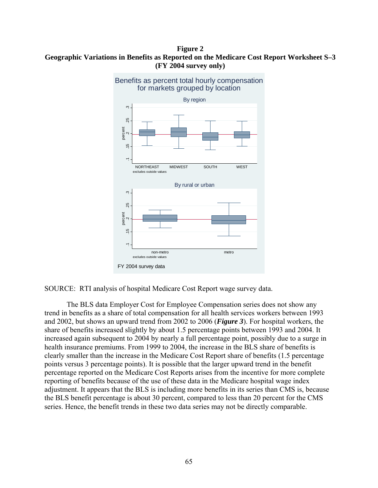**Figure 2 Geographic Variations in Benefits as Reported on the Medicare Cost Report Worksheet S–3 (FY 2004 survey only)** 



SOURCE: RTI analysis of hospital Medicare Cost Report wage survey data.

The BLS data Employer Cost for Employee Compensation series does not show any trend in benefits as a share of total compensation for all health services workers between 1993 and 2002, but shows an upward trend from 2002 to 2006 (*Figure 3*). For hospital workers, the share of benefits increased slightly by about 1.5 percentage points between 1993 and 2004. It increased again subsequent to 2004 by nearly a full percentage point, possibly due to a surge in health insurance premiums. From 1999 to 2004, the increase in the BLS share of benefits is clearly smaller than the increase in the Medicare Cost Report share of benefits (1.5 percentage points versus 3 percentage points). It is possible that the larger upward trend in the benefit percentage reported on the Medicare Cost Reports arises from the incentive for more complete reporting of benefits because of the use of these data in the Medicare hospital wage index adjustment. It appears that the BLS is including more benefits in its series than CMS is, because the BLS benefit percentage is about 30 percent, compared to less than 20 percent for the CMS series. Hence, the benefit trends in these two data series may not be directly comparable.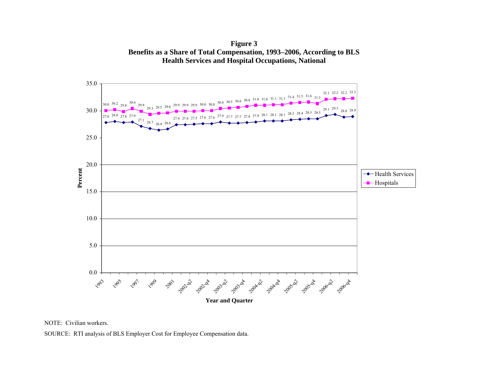**Figure 3 Benefits as a Share of Total Compensation, 1993–2006, According to BLS Health Services and Hospital Occupations, National** 



NOTE: Civilian workers.

SOURCE: RTI analysis of BLS Employer Cost for Employee Compensation data.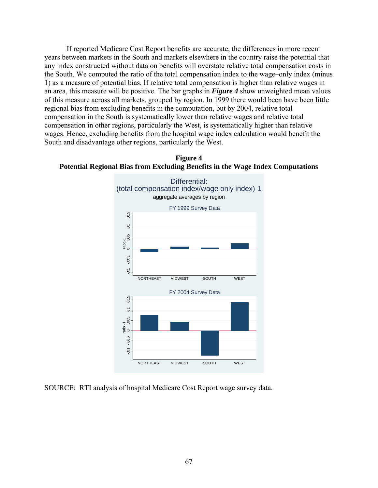If reported Medicare Cost Report benefits are accurate, the differences in more recent years between markets in the South and markets elsewhere in the country raise the potential that any index constructed without data on benefits will overstate relative total compensation costs in the South. We computed the ratio of the total compensation index to the wage–only index (minus 1) as a measure of potential bias. If relative total compensation is higher than relative wages in an area, this measure will be positive. The bar graphs in *Figure 4* show unweighted mean values of this measure across all markets, grouped by region. In 1999 there would been have been little regional bias from excluding benefits in the computation, but by 2004, relative total compensation in the South is systematically lower than relative wages and relative total compensation in other regions, particularly the West, is systematically higher than relative wages. Hence, excluding benefits from the hospital wage index calculation would benefit the South and disadvantage other regions, particularly the West.





SOURCE: RTI analysis of hospital Medicare Cost Report wage survey data.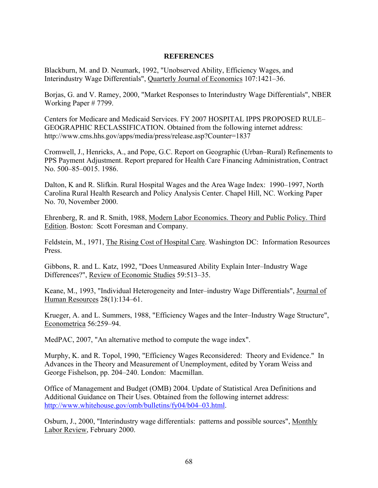## **REFERENCES**

Blackburn, M. and D. Neumark, 1992, "Unobserved Ability, Efficiency Wages, and Interindustry Wage Differentials", Quarterly Journal of Economics 107:1421–36.

Borjas, G. and V. Ramey, 2000, "Market Responses to Interindustry Wage Differentials", NBER Working Paper # 7799.

Centers for Medicare and Medicaid Services. FY 2007 HOSPITAL IPPS PROPOSED RULE– GEOGRAPHIC RECLASSIFICATION. Obtained from the following internet address: http://www.cms.hhs.gov/apps/media/press/release.asp?Counter=1837

Cromwell, J., Henricks, A., and Pope, G.C. Report on Geographic (Urban–Rural) Refinements to PPS Payment Adjustment. Report prepared for Health Care Financing Administration, Contract No. 500–85–0015. 1986.

Dalton, K and R. Slifkin. Rural Hospital Wages and the Area Wage Index: 1990–1997, North Carolina Rural Health Research and Policy Analysis Center. Chapel Hill, NC. Working Paper No. 70, November 2000.

Ehrenberg, R. and R. Smith, 1988, Modern Labor Economics. Theory and Public Policy. Third Edition. Boston: Scott Foresman and Company.

Feldstein, M., 1971, The Rising Cost of Hospital Care. Washington DC: Information Resources Press.

Gibbons, R. and L. Katz, 1992, "Does Unmeasured Ability Explain Inter–Industry Wage Differences?", Review of Economic Studies 59:513–35.

Keane, M., 1993, "Individual Heterogeneity and Inter–industry Wage Differentials", Journal of Human Resources 28(1):134–61.

Krueger, A. and L. Summers, 1988, "Efficiency Wages and the Inter–Industry Wage Structure", Econometrica 56:259–94.

MedPAC, 2007, "An alternative method to compute the wage index".

Murphy, K. and R. Topol, 1990, "Efficiency Wages Reconsidered: Theory and Evidence." In Advances in the Theory and Measurement of Unemployment, edited by Yoram Weiss and George Fishelson, pp. 204–240. London: Macmillan.

Office of Management and Budget (OMB) 2004. Update of Statistical Area Definitions and Additional Guidance on Their Uses. Obtained from the following internet address: [http://www.whitehouse.gov/omb/bulletins/fy04/b04–03.html](http://www.whitehouse.gov/omb/bulletins/fy04/b04-03.html).

Osburn, J., 2000, "Interindustry wage differentials: patterns and possible sources", Monthly Labor Review, February 2000.